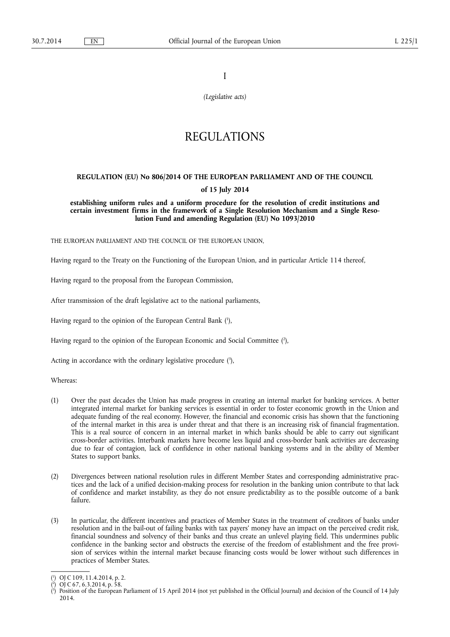I

*(Legislative acts)* 

# REGULATIONS

# **REGULATION (EU) No 806/2014 OF THE EUROPEAN PARLIAMENT AND OF THE COUNCIL**

# **of 15 July 2014**

**establishing uniform rules and a uniform procedure for the resolution of credit institutions and certain investment firms in the framework of a Single Resolution Mechanism and a Single Resolution Fund and amending Regulation (EU) No 1093/2010** 

THE EUROPEAN PARLIAMENT AND THE COUNCIL OF THE EUROPEAN UNION,

Having regard to the Treaty on the Functioning of the European Union, and in particular Article 114 thereof,

Having regard to the proposal from the European Commission,

After transmission of the draft legislative act to the national parliaments,

Having regard to the opinion of the European Central Bank ( 1 ),

Having regard to the opinion of the European Economic and Social Committee ( 2 ),

Acting in accordance with the ordinary legislative procedure  $(3)$ ,

Whereas:

- (1) Over the past decades the Union has made progress in creating an internal market for banking services. A better integrated internal market for banking services is essential in order to foster economic growth in the Union and adequate funding of the real economy. However, the financial and economic crisis has shown that the functioning of the internal market in this area is under threat and that there is an increasing risk of financial fragmentation. This is a real source of concern in an internal market in which banks should be able to carry out significant cross-border activities. Interbank markets have become less liquid and cross-border bank activities are decreasing due to fear of contagion, lack of confidence in other national banking systems and in the ability of Member States to support banks.
- (2) Divergences between national resolution rules in different Member States and corresponding administrative practices and the lack of a unified decision-making process for resolution in the banking union contribute to that lack of confidence and market instability, as they do not ensure predictability as to the possible outcome of a bank failure.
- (3) In particular, the different incentives and practices of Member States in the treatment of creditors of banks under resolution and in the bail-out of failing banks with tax payers' money have an impact on the perceived credit risk, financial soundness and solvency of their banks and thus create an unlevel playing field. This undermines public confidence in the banking sector and obstructs the exercise of the freedom of establishment and the free provision of services within the internal market because financing costs would be lower without such differences in practices of Member States.

<sup>(</sup> 1 ) OJ C 109, 11.4.2014, p. 2.

<sup>(</sup> 2 ) OJ C 67, 6.3.2014, p. 58.

<sup>(</sup> 3 ) Position of the European Parliament of 15 April 2014 (not yet published in the Official Journal) and decision of the Council of 14 July 2014.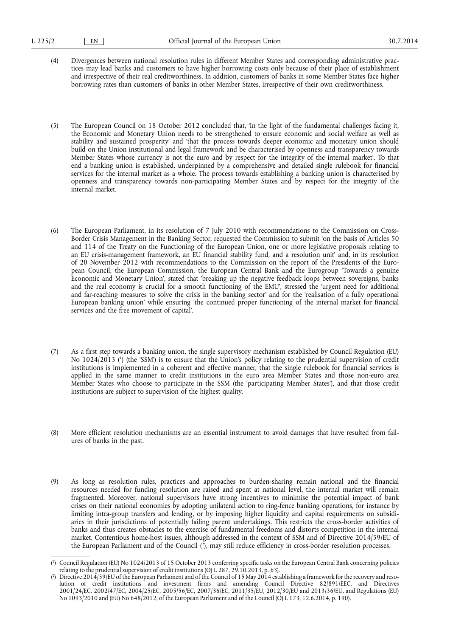- (4) Divergences between national resolution rules in different Member States and corresponding administrative practices may lead banks and customers to have higher borrowing costs only because of their place of establishment and irrespective of their real creditworthiness. In addition, customers of banks in some Member States face higher borrowing rates than customers of banks in other Member States, irrespective of their own creditworthiness.
- (5) The European Council on 18 October 2012 concluded that, 'In the light of the fundamental challenges facing it, the Economic and Monetary Union needs to be strengthened to ensure economic and social welfare as well as stability and sustained prosperity' and 'that the process towards deeper economic and monetary union should build on the Union institutional and legal framework and be characterised by openness and transparency towards Member States whose currency is not the euro and by respect for the integrity of the internal market'. To that end a banking union is established, underpinned by a comprehensive and detailed single rulebook for financial services for the internal market as a whole. The process towards establishing a banking union is characterised by openness and transparency towards non-participating Member States and by respect for the integrity of the internal market.
- (6) The European Parliament, in its resolution of 7 July 2010 with recommendations to the Commission on Cross-Border Crisis Management in the Banking Sector, requested the Commission to submit 'on the basis of Articles 50 and 114 of the Treaty on the Functioning of the European Union, one or more legislative proposals relating to an EU crisis-management framework, an EU financial stability fund, and a resolution unit' and, in its resolution of 20 November 2012 with recommendations to the Commission on the report of the Presidents of the European Council, the European Commission, the European Central Bank and the Eurogroup 'Towards a genuine Economic and Monetary Union', stated that 'breaking up the negative feedback loops between sovereigns, banks and the real economy is crucial for a smooth functioning of the EMU', stressed the 'urgent need for additional and far-reaching measures to solve the crisis in the banking sector' and for the 'realisation of a fully operational European banking union' while ensuring 'the continued proper functioning of the internal market for financial services and the free movement of capital'.
- (7) As a first step towards a banking union, the single supervisory mechanism established by Council Regulation (EU) No 1024/2013 ( 1 ) (the 'SSM') is to ensure that the Union's policy relating to the prudential supervision of credit institutions is implemented in a coherent and effective manner, that the single rulebook for financial services is applied in the same manner to credit institutions in the euro area Member States and those non-euro area Member States who choose to participate in the SSM (the 'participating Member States'), and that those credit institutions are subject to supervision of the highest quality.
- (8) More efficient resolution mechanisms are an essential instrument to avoid damages that have resulted from failures of banks in the past.
- (9) As long as resolution rules, practices and approaches to burden-sharing remain national and the financial resources needed for funding resolution are raised and spent at national level, the internal market will remain fragmented. Moreover, national supervisors have strong incentives to minimise the potential impact of bank crises on their national economies by adopting unilateral action to ring-fence banking operations, for instance by limiting intra-group transfers and lending, or by imposing higher liquidity and capital requirements on subsidiaries in their jurisdictions of potentially failing parent undertakings. This restricts the cross-border activities of banks and thus creates obstacles to the exercise of fundamental freedoms and distorts competition in the internal market. Contentious home-host issues, although addressed in the context of SSM and of Directive 2014/59/EU of the European Parliament and of the Council (<sup>2</sup>), may still reduce efficiency in cross-border resolution processes.

<sup>(</sup> 1 ) Council Regulation (EU) No 1024/2013 of 15 October 2013 conferring specific tasks on the European Central Bank concerning policies relating to the prudential supervision of credit institutions (OJ L 287, 29.10.2013, p. 63).

<sup>(</sup> 2 ) Directive 2014/59/EU of the European Parliament and of the Council of 15 May 2014 establishing a framework for the recovery and resolution of credit institutions and investment firms and amending Council Directive 82/891/EEC, and Directives 2001/24/EC, 2002/47/EC, 2004/25/EC, 2005/56/EC, 2007/36/EC, 2011/35/EU, 2012/30/EU and 2013/36/EU, and Regulations (EU) No 1093/2010 and (EU) No 648/2012, of the European Parliament and of the Council (OJ L 173, 12.6.2014, p. 190).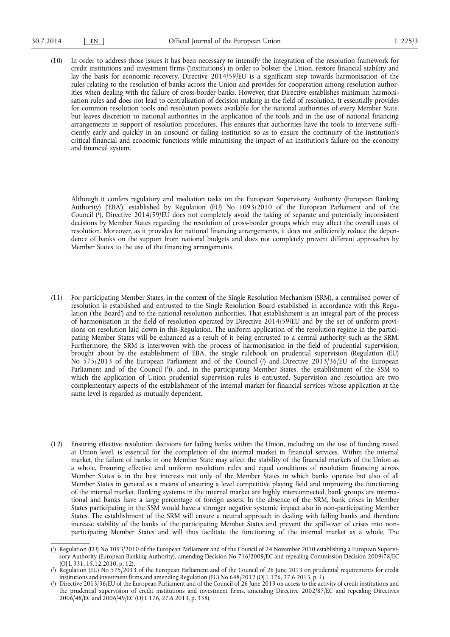(10) In order to address those issues it has been necessary to intensify the integration of the resolution framework for credit institutions and investment firms ('institutions') in order to bolster the Union, restore financial stability and lay the basis for economic recovery. Directive 2014/59/EU is a significant step towards harmonisation of the rules relating to the resolution of banks across the Union and provides for cooperation among resolution authorities when dealing with the failure of cross-border banks. However, that Directive establishes minimum harmonisation rules and does not lead to centralisation of decision making in the field of resolution. It essentially provides for common resolution tools and resolution powers available for the national authorities of every Member State, but leaves discretion to national authorities in the application of the tools and in the use of national financing arrangements in support of resolution procedures. This ensures that authorities have the tools to intervene sufficiently early and quickly in an unsound or failing institution so as to ensure the continuity of the institution's critical financial and economic functions while minimising the impact of an institution's failure on the economy and financial system.

Although it confers regulatory and mediation tasks on the European Supervisory Authority (European Banking Authority) ('EBA'), established by Regulation (EU) No 1093/2010 of the European Parliament and of the Council ( 1 ), Directive 2014/59/EU does not completely avoid the taking of separate and potentially inconsistent decisions by Member States regarding the resolution of cross-border groups which may affect the overall costs of resolution. Moreover, as it provides for national financing arrangements, it does not sufficiently reduce the dependence of banks on the support from national budgets and does not completely prevent different approaches by Member States to the use of the financing arrangements.

- (11) For participating Member States, in the context of the Single Resolution Mechanism (SRM), a centralised power of resolution is established and entrusted to the Single Resolution Board established in accordance with this Regulation ('the Board') and to the national resolution authorities. That establishment is an integral part of the process of harmonisation in the field of resolution operated by Directive 2014/59/EU and by the set of uniform provisions on resolution laid down in this Regulation. The uniform application of the resolution regime in the participating Member States will be enhanced as a result of it being entrusted to a central authority such as the SRM. Furthermore, the SRM is interwoven with the process of harmonisation in the field of prudential supervision, brought about by the establishment of EBA, the single rulebook on prudential supervision (Regulation (EU) No 575/2013 of the European Parliament and of the Council ( 2 ) and Directive 2013/36/EU of the European Parliament and of the Council ( 3 )), and, in the participating Member States, the establishment of the SSM to which the application of Union prudential supervision rules is entrusted. Supervision and resolution are two complementary aspects of the establishment of the internal market for financial services whose application at the same level is regarded as mutually dependent.
- (12) Ensuring effective resolution decisions for failing banks within the Union, including on the use of funding raised at Union level, is essential for the completion of the internal market in financial services. Within the internal market, the failure of banks in one Member State may affect the stability of the financial markets of the Union as a whole. Ensuring effective and uniform resolution rules and equal conditions of resolution financing across Member States is in the best interests not only of the Member States in which banks operate but also of all Member States in general as a means of ensuring a level competitive playing field and improving the functioning of the internal market. Banking systems in the internal market are highly interconnected, bank groups are international and banks have a large percentage of foreign assets. In the absence of the SRM, bank crises in Member States participating in the SSM would have a stronger negative systemic impact also in non-participating Member States. The establishment of the SRM will ensure a neutral approach in dealing with failing banks and therefore increase stability of the banks of the participating Member States and prevent the spill-over of crises into nonparticipating Member States and will thus facilitate the functioning of the internal market as a whole. The

<sup>(</sup> 1 ) Regulation (EU) No 1093/2010 of the European Parliament and of the Council of 24 November 2010 establishing a European Supervisory Authority (European Banking Authority), amending Decision No 716/2009/EC and repealing Commission Decision 2009/78/EC (OJ L 331, 15.12.2010, p. 12).

<sup>(</sup> 2 ) Regulation (EU) No 575/2013 of the European Parliament and of the Council of 26 June 2013 on prudential requirements for credit institutions and investment firms and amending Regulation (EU) No  $648/2012$  (OJ L  $176$ , 27.6.2013, p. 1).

<sup>(</sup> 3 ) Directive 2013/36/EU of the European Parliament and of the Council of 26 June 2013 on access to the activity of credit institutions and the prudential supervision of credit institutions and investment firms, amending Directive 2002/87/EC and repealing Directives 2006/48/EC and 2006/49/EC (OJ L 176, 27.6.2013, p. 338).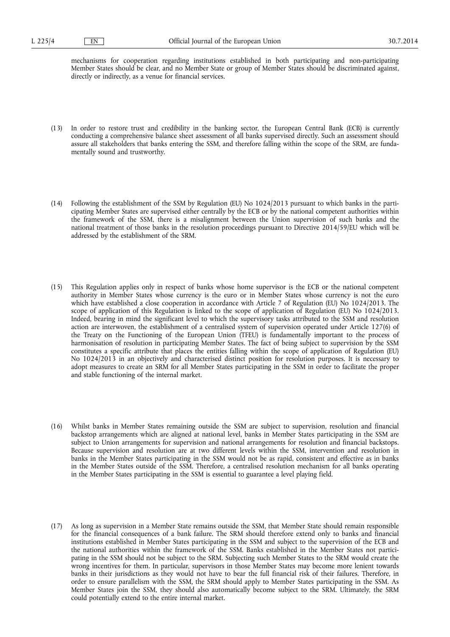mechanisms for cooperation regarding institutions established in both participating and non-participating Member States should be clear, and no Member State or group of Member States should be discriminated against, directly or indirectly, as a venue for financial services.

- (13) In order to restore trust and credibility in the banking sector, the European Central Bank (ECB) is currently conducting a comprehensive balance sheet assessment of all banks supervised directly. Such an assessment should assure all stakeholders that banks entering the SSM, and therefore falling within the scope of the SRM, are fundamentally sound and trustworthy.
- (14) Following the establishment of the SSM by Regulation (EU) No 1024/2013 pursuant to which banks in the participating Member States are supervised either centrally by the ECB or by the national competent authorities within the framework of the SSM, there is a misalignment between the Union supervision of such banks and the national treatment of those banks in the resolution proceedings pursuant to Directive 2014/59/EU which will be addressed by the establishment of the SRM.
- (15) This Regulation applies only in respect of banks whose home supervisor is the ECB or the national competent authority in Member States whose currency is the euro or in Member States whose currency is not the euro which have established a close cooperation in accordance with Article 7 of Regulation (EU) No 1024/2013. The scope of application of this Regulation is linked to the scope of application of Regulation (EU) No 1024/2013. Indeed, bearing in mind the significant level to which the supervisory tasks attributed to the SSM and resolution action are interwoven, the establishment of a centralised system of supervision operated under Article 127(6) of the Treaty on the Functioning of the European Union (TFEU) is fundamentally important to the process of harmonisation of resolution in participating Member States. The fact of being subject to supervision by the SSM constitutes a specific attribute that places the entities falling within the scope of application of Regulation (EU) No 1024/2013 in an objectively and characterised distinct position for resolution purposes. It is necessary to adopt measures to create an SRM for all Member States participating in the SSM in order to facilitate the proper and stable functioning of the internal market.
- (16) Whilst banks in Member States remaining outside the SSM are subject to supervision, resolution and financial backstop arrangements which are aligned at national level, banks in Member States participating in the SSM are subject to Union arrangements for supervision and national arrangements for resolution and financial backstops. Because supervision and resolution are at two different levels within the SSM, intervention and resolution in banks in the Member States participating in the SSM would not be as rapid, consistent and effective as in banks in the Member States outside of the SSM. Therefore, a centralised resolution mechanism for all banks operating in the Member States participating in the SSM is essential to guarantee a level playing field.
- (17) As long as supervision in a Member State remains outside the SSM, that Member State should remain responsible for the financial consequences of a bank failure. The SRM should therefore extend only to banks and financial institutions established in Member States participating in the SSM and subject to the supervision of the ECB and the national authorities within the framework of the SSM. Banks established in the Member States not participating in the SSM should not be subject to the SRM. Subjecting such Member States to the SRM would create the wrong incentives for them. In particular, supervisors in those Member States may become more lenient towards banks in their jurisdictions as they would not have to bear the full financial risk of their failures. Therefore, in order to ensure parallelism with the SSM, the SRM should apply to Member States participating in the SSM. As Member States join the SSM, they should also automatically become subject to the SRM. Ultimately, the SRM could potentially extend to the entire internal market.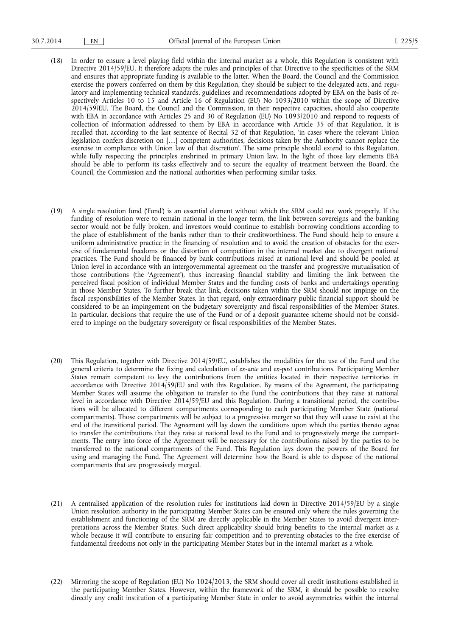- (18) In order to ensure a level playing field within the internal market as a whole, this Regulation is consistent with Directive 2014/59/EU. It therefore adapts the rules and principles of that Directive to the specificities of the SRM and ensures that appropriate funding is available to the latter. When the Board, the Council and the Commission exercise the powers conferred on them by this Regulation, they should be subject to the delegated acts, and regulatory and implementing technical standards, guidelines and recommendations adopted by EBA on the basis of respectively Articles 10 to 15 and Article 16 of Regulation (EU) No 1093/2010 within the scope of Directive 2014/59/EU. The Board, the Council and the Commission, in their respective capacities, should also cooperate with EBA in accordance with Articles 25 and 30 of Regulation (EU) No 1093/2010 and respond to requests of collection of information addressed to them by EBA in accordance with Article 35 of that Regulation. It is recalled that, according to the last sentence of Recital 32 of that Regulation, 'in cases where the relevant Union legislation confers discretion on […] competent authorities, decisions taken by the Authority cannot replace the exercise in compliance with Union law of that discretion'. The same principle should extend to this Regulation, while fully respecting the principles enshrined in primary Union law. In the light of those key elements EBA should be able to perform its tasks effectively and to secure the equality of treatment between the Board, the Council, the Commission and the national authorities when performing similar tasks.
- (19) A single resolution fund ('Fund') is an essential element without which the SRM could not work properly. If the funding of resolution were to remain national in the longer term, the link between sovereigns and the banking sector would not be fully broken, and investors would continue to establish borrowing conditions according to the place of establishment of the banks rather than to their creditworthiness. The Fund should help to ensure a uniform administrative practice in the financing of resolution and to avoid the creation of obstacles for the exercise of fundamental freedoms or the distortion of competition in the internal market due to divergent national practices. The Fund should be financed by bank contributions raised at national level and should be pooled at Union level in accordance with an intergovernmental agreement on the transfer and progressive mutualisation of those contributions (the 'Agreement'), thus increasing financial stability and limiting the link between the perceived fiscal position of individual Member States and the funding costs of banks and undertakings operating in those Member States. To further break that link, decisions taken within the SRM should not impinge on the fiscal responsibilities of the Member States. In that regard, only extraordinary public financial support should be considered to be an impingement on the budgetary sovereignty and fiscal responsibilities of the Member States. In particular, decisions that require the use of the Fund or of a deposit guarantee scheme should not be considered to impinge on the budgetary sovereignty or fiscal responsibilities of the Member States.
- (20) This Regulation, together with Directive 2014/59/EU, establishes the modalities for the use of the Fund and the general criteria to determine the fixing and calculation of *ex-ante* and *ex-post* contributions. Participating Member States remain competent to levy the contributions from the entities located in their respective territories in accordance with Directive 2014/59/EU and with this Regulation. By means of the Agreement, the participating Member States will assume the obligation to transfer to the Fund the contributions that they raise at national level in accordance with Directive 2014/59/EU and this Regulation. During a transitional period, the contributions will be allocated to different compartments corresponding to each participating Member State (national compartments). Those compartments will be subject to a progressive merger so that they will cease to exist at the end of the transitional period. The Agreement will lay down the conditions upon which the parties thereto agree to transfer the contributions that they raise at national level to the Fund and to progressively merge the compartments. The entry into force of the Agreement will be necessary for the contributions raised by the parties to be transferred to the national compartments of the Fund. This Regulation lays down the powers of the Board for using and managing the Fund. The Agreement will determine how the Board is able to dispose of the national compartments that are progressively merged.
- (21) A centralised application of the resolution rules for institutions laid down in Directive 2014/59/EU by a single Union resolution authority in the participating Member States can be ensured only where the rules governing the establishment and functioning of the SRM are directly applicable in the Member States to avoid divergent interpretations across the Member States. Such direct applicability should bring benefits to the internal market as a whole because it will contribute to ensuring fair competition and to preventing obstacles to the free exercise of fundamental freedoms not only in the participating Member States but in the internal market as a whole.
- (22) Mirroring the scope of Regulation (EU) No 1024/2013, the SRM should cover all credit institutions established in the participating Member States. However, within the framework of the SRM, it should be possible to resolve directly any credit institution of a participating Member State in order to avoid asymmetries within the internal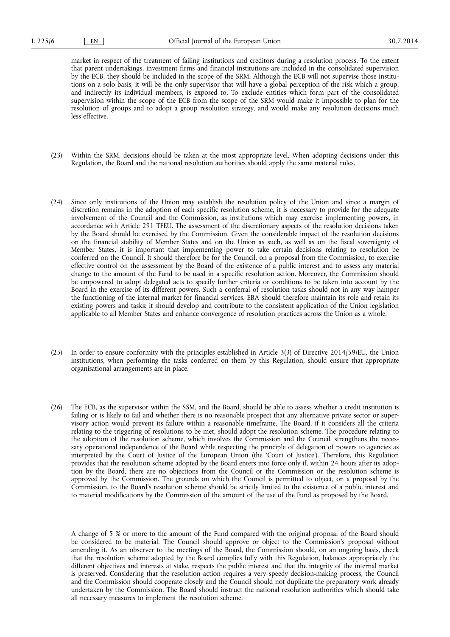market in respect of the treatment of failing institutions and creditors during a resolution process. To the extent that parent undertakings, investment firms and financial institutions are included in the consolidated supervision by the ECB, they should be included in the scope of the SRM. Although the ECB will not supervise those institutions on a solo basis, it will be the only supervisor that will have a global perception of the risk which a group, and indirectly its individual members, is exposed to. To exclude entities which form part of the consolidated supervision within the scope of the ECB from the scope of the SRM would make it impossible to plan for the resolution of groups and to adopt a group resolution strategy, and would make any resolution decisions much less effective.

- (23) Within the SRM, decisions should be taken at the most appropriate level. When adopting decisions under this Regulation, the Board and the national resolution authorities should apply the same material rules.
- (24) Since only institutions of the Union may establish the resolution policy of the Union and since a margin of discretion remains in the adoption of each specific resolution scheme, it is necessary to provide for the adequate involvement of the Council and the Commission, as institutions which may exercise implementing powers, in accordance with Article 291 TFEU. The assessment of the discretionary aspects of the resolution decisions taken by the Board should be exercised by the Commission. Given the considerable impact of the resolution decisions on the financial stability of Member States and on the Union as such, as well as on the fiscal sovereignty of Member States, it is important that implementing power to take certain decisions relating to resolution be conferred on the Council. It should therefore be for the Council, on a proposal from the Commission, to exercise effective control on the assessment by the Board of the existence of a public interest and to assess any material change to the amount of the Fund to be used in a specific resolution action. Moreover, the Commission should be empowered to adopt delegated acts to specify further criteria or conditions to be taken into account by the Board in the exercise of its different powers. Such a conferral of resolution tasks should not in any way hamper the functioning of the internal market for financial services. EBA should therefore maintain its role and retain its existing powers and tasks: it should develop and contribute to the consistent application of the Union legislation applicable to all Member States and enhance convergence of resolution practices across the Union as a whole.
- (25) In order to ensure conformity with the principles established in Article 3(3) of Directive 2014/59/EU, the Union institutions, when performing the tasks conferred on them by this Regulation, should ensure that appropriate organisational arrangements are in place.
- (26) The ECB, as the supervisor within the SSM, and the Board, should be able to assess whether a credit institution is failing or is likely to fail and whether there is no reasonable prospect that any alternative private sector or supervisory action would prevent its failure within a reasonable timeframe. The Board, if it considers all the criteria relating to the triggering of resolutions to be met, should adopt the resolution scheme. The procedure relating to the adoption of the resolution scheme, which involves the Commission and the Council, strengthens the necessary operational independence of the Board while respecting the principle of delegation of powers to agencies as interpreted by the Court of Justice of the European Union (the 'Court of Justice'). Therefore, this Regulation provides that the resolution scheme adopted by the Board enters into force only if, within 24 hours after its adoption by the Board, there are no objections from the Council or the Commission or the resolution scheme is approved by the Commission. The grounds on which the Council is permitted to object, on a proposal by the Commission, to the Board's resolution scheme should be strictly limited to the existence of a public interest and to material modifications by the Commission of the amount of the use of the Fund as proposed by the Board.

A change of 5 % or more to the amount of the Fund compared with the original proposal of the Board should be considered to be material. The Council should approve or object to the Commission's proposal without amending it. As an observer to the meetings of the Board, the Commission should, on an ongoing basis, check that the resolution scheme adopted by the Board complies fully with this Regulation, balances appropriately the different objectives and interests at stake, respects the public interest and that the integrity of the internal market is preserved. Considering that the resolution action requires a very speedy decision-making process, the Council and the Commission should cooperate closely and the Council should not duplicate the preparatory work already undertaken by the Commission. The Board should instruct the national resolution authorities which should take all necessary measures to implement the resolution scheme.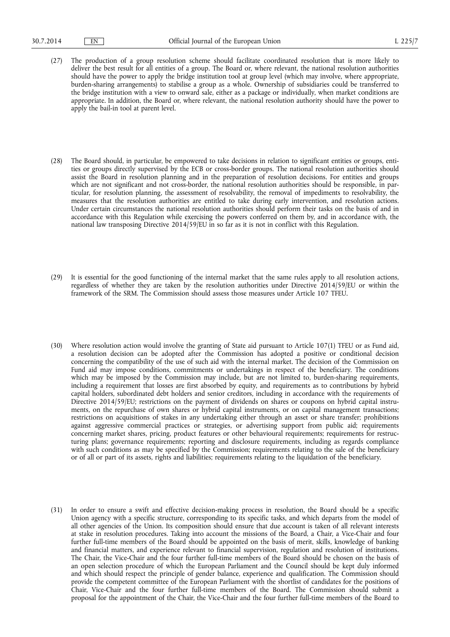- (27) The production of a group resolution scheme should facilitate coordinated resolution that is more likely to deliver the best result for all entities of a group. The Board or, where relevant, the national resolution authorities should have the power to apply the bridge institution tool at group level (which may involve, where appropriate, burden-sharing arrangements) to stabilise a group as a whole. Ownership of subsidiaries could be transferred to the bridge institution with a view to onward sale, either as a package or individually, when market conditions are appropriate. In addition, the Board or, where relevant, the national resolution authority should have the power to apply the bail-in tool at parent level.
- (28) The Board should, in particular, be empowered to take decisions in relation to significant entities or groups, entities or groups directly supervised by the ECB or cross-border groups. The national resolution authorities should assist the Board in resolution planning and in the preparation of resolution decisions. For entities and groups which are not significant and not cross-border, the national resolution authorities should be responsible, in particular, for resolution planning, the assessment of resolvability, the removal of impediments to resolvability, the measures that the resolution authorities are entitled to take during early intervention, and resolution actions. Under certain circumstances the national resolution authorities should perform their tasks on the basis of and in accordance with this Regulation while exercising the powers conferred on them by, and in accordance with, the national law transposing Directive 2014/59/EU in so far as it is not in conflict with this Regulation.
- (29) It is essential for the good functioning of the internal market that the same rules apply to all resolution actions, regardless of whether they are taken by the resolution authorities under Directive 2014/59/EU or within the framework of the SRM. The Commission should assess those measures under Article 107 TFEU.
- (30) Where resolution action would involve the granting of State aid pursuant to Article 107(1) TFEU or as Fund aid, a resolution decision can be adopted after the Commission has adopted a positive or conditional decision concerning the compatibility of the use of such aid with the internal market. The decision of the Commission on Fund aid may impose conditions, commitments or undertakings in respect of the beneficiary. The conditions which may be imposed by the Commission may include, but are not limited to, burden-sharing requirements, including a requirement that losses are first absorbed by equity, and requirements as to contributions by hybrid capital holders, subordinated debt holders and senior creditors, including in accordance with the requirements of Directive 2014/59/EU; restrictions on the payment of dividends on shares or coupons on hybrid capital instruments, on the repurchase of own shares or hybrid capital instruments, or on capital management transactions; restrictions on acquisitions of stakes in any undertaking either through an asset or share transfer; prohibitions against aggressive commercial practices or strategies, or advertising support from public aid; requirements concerning market shares, pricing, product features or other behavioural requirements; requirements for restructuring plans; governance requirements; reporting and disclosure requirements, including as regards compliance with such conditions as may be specified by the Commission; requirements relating to the sale of the beneficiary or of all or part of its assets, rights and liabilities; requirements relating to the liquidation of the beneficiary.
- (31) In order to ensure a swift and effective decision-making process in resolution, the Board should be a specific Union agency with a specific structure, corresponding to its specific tasks, and which departs from the model of all other agencies of the Union. Its composition should ensure that due account is taken of all relevant interests at stake in resolution procedures. Taking into account the missions of the Board, a Chair, a Vice-Chair and four further full-time members of the Board should be appointed on the basis of merit, skills, knowledge of banking and financial matters, and experience relevant to financial supervision, regulation and resolution of institutions. The Chair, the Vice-Chair and the four further full-time members of the Board should be chosen on the basis of an open selection procedure of which the European Parliament and the Council should be kept duly informed and which should respect the principle of gender balance, experience and qualification. The Commission should provide the competent committee of the European Parliament with the shortlist of candidates for the positions of Chair, Vice-Chair and the four further full-time members of the Board. The Commission should submit a proposal for the appointment of the Chair, the Vice-Chair and the four further full-time members of the Board to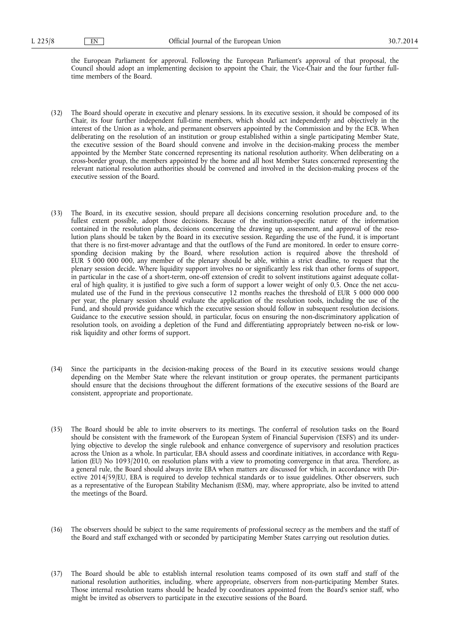the European Parliament for approval. Following the European Parliament's approval of that proposal, the Council should adopt an implementing decision to appoint the Chair, the Vice-Chair and the four further fulltime members of the Board.

- (32) The Board should operate in executive and plenary sessions. In its executive session, it should be composed of its Chair, its four further independent full-time members, which should act independently and objectively in the interest of the Union as a whole, and permanent observers appointed by the Commission and by the ECB. When deliberating on the resolution of an institution or group established within a single participating Member State, the executive session of the Board should convene and involve in the decision-making process the member appointed by the Member State concerned representing its national resolution authority. When deliberating on a cross-border group, the members appointed by the home and all host Member States concerned representing the relevant national resolution authorities should be convened and involved in the decision-making process of the executive session of the Board.
- (33) The Board, in its executive session, should prepare all decisions concerning resolution procedure and, to the fullest extent possible, adopt those decisions. Because of the institution-specific nature of the information contained in the resolution plans, decisions concerning the drawing up, assessment, and approval of the resolution plans should be taken by the Board in its executive session. Regarding the use of the Fund, it is important that there is no first-mover advantage and that the outflows of the Fund are monitored. In order to ensure corresponding decision making by the Board, where resolution action is required above the threshold of EUR 5 000 000 000, any member of the plenary should be able, within a strict deadline, to request that the plenary session decide. Where liquidity support involves no or significantly less risk than other forms of support, in particular in the case of a short-term, one-off extension of credit to solvent institutions against adequate collateral of high quality, it is justified to give such a form of support a lower weight of only 0,5. Once the net accumulated use of the Fund in the previous consecutive 12 months reaches the threshold of EUR 5 000 000 000 per year, the plenary session should evaluate the application of the resolution tools, including the use of the Fund, and should provide guidance which the executive session should follow in subsequent resolution decisions. Guidance to the executive session should, in particular, focus on ensuring the non-discriminatory application of resolution tools, on avoiding a depletion of the Fund and differentiating appropriately between no-risk or lowrisk liquidity and other forms of support.
- (34) Since the participants in the decision-making process of the Board in its executive sessions would change depending on the Member State where the relevant institution or group operates, the permanent participants should ensure that the decisions throughout the different formations of the executive sessions of the Board are consistent, appropriate and proportionate.
- (35) The Board should be able to invite observers to its meetings. The conferral of resolution tasks on the Board should be consistent with the framework of the European System of Financial Supervision ('ESFS') and its underlying objective to develop the single rulebook and enhance convergence of supervisory and resolution practices across the Union as a whole. In particular, EBA should assess and coordinate initiatives, in accordance with Regulation (EU) No 1093/2010, on resolution plans with a view to promoting convergence in that area. Therefore, as a general rule, the Board should always invite EBA when matters are discussed for which, in accordance with Directive 2014/59/EU, EBA is required to develop technical standards or to issue guidelines. Other observers, such as a representative of the European Stability Mechanism (ESM), may, where appropriate, also be invited to attend the meetings of the Board.
- (36) The observers should be subject to the same requirements of professional secrecy as the members and the staff of the Board and staff exchanged with or seconded by participating Member States carrying out resolution duties.
- (37) The Board should be able to establish internal resolution teams composed of its own staff and staff of the national resolution authorities, including, where appropriate, observers from non-participating Member States. Those internal resolution teams should be headed by coordinators appointed from the Board's senior staff, who might be invited as observers to participate in the executive sessions of the Board.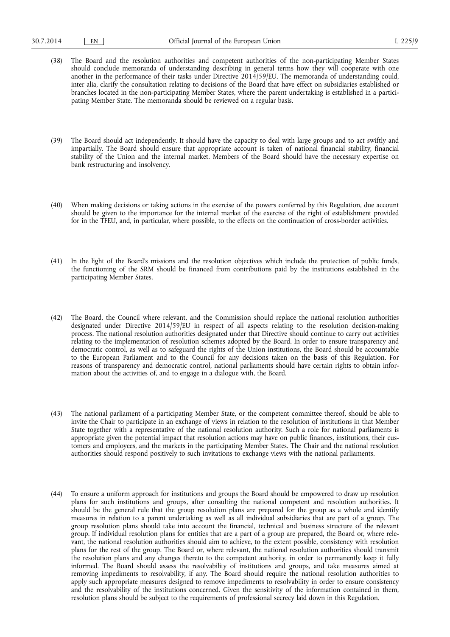- (38) The Board and the resolution authorities and competent authorities of the non-participating Member States should conclude memoranda of understanding describing in general terms how they will cooperate with one another in the performance of their tasks under Directive 2014/59/EU. The memoranda of understanding could, inter alia, clarify the consultation relating to decisions of the Board that have effect on subsidiaries established or branches located in the non-participating Member States, where the parent undertaking is established in a participating Member State. The memoranda should be reviewed on a regular basis.
- (39) The Board should act independently. It should have the capacity to deal with large groups and to act swiftly and impartially. The Board should ensure that appropriate account is taken of national financial stability, financial stability of the Union and the internal market. Members of the Board should have the necessary expertise on bank restructuring and insolvency.
- (40) When making decisions or taking actions in the exercise of the powers conferred by this Regulation, due account should be given to the importance for the internal market of the exercise of the right of establishment provided for in the TFEU, and, in particular, where possible, to the effects on the continuation of cross-border activities.
- (41) In the light of the Board's missions and the resolution objectives which include the protection of public funds, the functioning of the SRM should be financed from contributions paid by the institutions established in the participating Member States.
- (42) The Board, the Council where relevant, and the Commission should replace the national resolution authorities designated under Directive 2014/59/EU in respect of all aspects relating to the resolution decision-making process. The national resolution authorities designated under that Directive should continue to carry out activities relating to the implementation of resolution schemes adopted by the Board. In order to ensure transparency and democratic control, as well as to safeguard the rights of the Union institutions, the Board should be accountable to the European Parliament and to the Council for any decisions taken on the basis of this Regulation. For reasons of transparency and democratic control, national parliaments should have certain rights to obtain information about the activities of, and to engage in a dialogue with, the Board.
- (43) The national parliament of a participating Member State, or the competent committee thereof, should be able to invite the Chair to participate in an exchange of views in relation to the resolution of institutions in that Member State together with a representative of the national resolution authority. Such a role for national parliaments is appropriate given the potential impact that resolution actions may have on public finances, institutions, their customers and employees, and the markets in the participating Member States. The Chair and the national resolution authorities should respond positively to such invitations to exchange views with the national parliaments.
- (44) To ensure a uniform approach for institutions and groups the Board should be empowered to draw up resolution plans for such institutions and groups, after consulting the national competent and resolution authorities. It should be the general rule that the group resolution plans are prepared for the group as a whole and identify measures in relation to a parent undertaking as well as all individual subsidiaries that are part of a group. The group resolution plans should take into account the financial, technical and business structure of the relevant group. If individual resolution plans for entities that are a part of a group are prepared, the Board or, where relevant, the national resolution authorities should aim to achieve, to the extent possible, consistency with resolution plans for the rest of the group. The Board or, where relevant, the national resolution authorities should transmit the resolution plans and any changes thereto to the competent authority, in order to permanently keep it fully informed. The Board should assess the resolvability of institutions and groups, and take measures aimed at removing impediments to resolvability, if any. The Board should require the national resolution authorities to apply such appropriate measures designed to remove impediments to resolvability in order to ensure consistency and the resolvability of the institutions concerned. Given the sensitivity of the information contained in them, resolution plans should be subject to the requirements of professional secrecy laid down in this Regulation.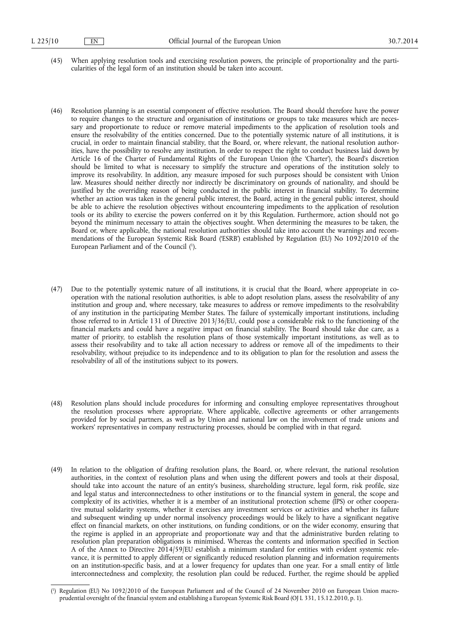- (45) When applying resolution tools and exercising resolution powers, the principle of proportionality and the particularities of the legal form of an institution should be taken into account.
- (46) Resolution planning is an essential component of effective resolution. The Board should therefore have the power to require changes to the structure and organisation of institutions or groups to take measures which are necessary and proportionate to reduce or remove material impediments to the application of resolution tools and ensure the resolvability of the entities concerned. Due to the potentially systemic nature of all institutions, it is crucial, in order to maintain financial stability, that the Board, or, where relevant, the national resolution authorities, have the possibility to resolve any institution. In order to respect the right to conduct business laid down by Article 16 of the Charter of Fundamental Rights of the European Union (the 'Charter'), the Board's discretion should be limited to what is necessary to simplify the structure and operations of the institution solely to improve its resolvability. In addition, any measure imposed for such purposes should be consistent with Union law. Measures should neither directly nor indirectly be discriminatory on grounds of nationality, and should be justified by the overriding reason of being conducted in the public interest in financial stability. To determine whether an action was taken in the general public interest, the Board, acting in the general public interest, should be able to achieve the resolution objectives without encountering impediments to the application of resolution tools or its ability to exercise the powers conferred on it by this Regulation. Furthermore, action should not go beyond the minimum necessary to attain the objectives sought. When determining the measures to be taken, the Board or, where applicable, the national resolution authorities should take into account the warnings and recommendations of the European Systemic Risk Board ('ESRB') established by Regulation (EU) No 1092/2010 of the European Parliament and of the Council ( 1 ).
- (47) Due to the potentially systemic nature of all institutions, it is crucial that the Board, where appropriate in cooperation with the national resolution authorities, is able to adopt resolution plans, assess the resolvability of any institution and group and, where necessary, take measures to address or remove impediments to the resolvability of any institution in the participating Member States. The failure of systemically important institutions, including those referred to in Article 131 of Directive 2013/36/EU, could pose a considerable risk to the functioning of the financial markets and could have a negative impact on financial stability. The Board should take due care, as a matter of priority, to establish the resolution plans of those systemically important institutions, as well as to assess their resolvability and to take all action necessary to address or remove all of the impediments to their resolvability, without prejudice to its independence and to its obligation to plan for the resolution and assess the resolvability of all of the institutions subject to its powers.
- (48) Resolution plans should include procedures for informing and consulting employee representatives throughout the resolution processes where appropriate. Where applicable, collective agreements or other arrangements provided for by social partners, as well as by Union and national law on the involvement of trade unions and workers' representatives in company restructuring processes, should be complied with in that regard.
- (49) In relation to the obligation of drafting resolution plans, the Board, or, where relevant, the national resolution authorities, in the context of resolution plans and when using the different powers and tools at their disposal, should take into account the nature of an entity's business, shareholding structure, legal form, risk profile, size and legal status and interconnectedness to other institutions or to the financial system in general, the scope and complexity of its activities, whether it is a member of an institutional protection scheme (IPS) or other cooperative mutual solidarity systems, whether it exercises any investment services or activities and whether its failure and subsequent winding up under normal insolvency proceedings would be likely to have a significant negative effect on financial markets, on other institutions, on funding conditions, or on the wider economy, ensuring that the regime is applied in an appropriate and proportionate way and that the administrative burden relating to resolution plan preparation obligations is minimised. Whereas the contents and information specified in Section A of the Annex to Directive 2014/59/EU establish a minimum standard for entities with evident systemic relevance, it is permitted to apply different or significantly reduced resolution planning and information requirements on an institution-specific basis, and at a lower frequency for updates than one year. For a small entity of little interconnectedness and complexity, the resolution plan could be reduced. Further, the regime should be applied

<sup>(</sup> 1 ) Regulation (EU) No 1092/2010 of the European Parliament and of the Council of 24 November 2010 on European Union macroprudential oversight of the financial system and establishing a European Systemic Risk Board (OJ L 331, 15.12.2010, p. 1).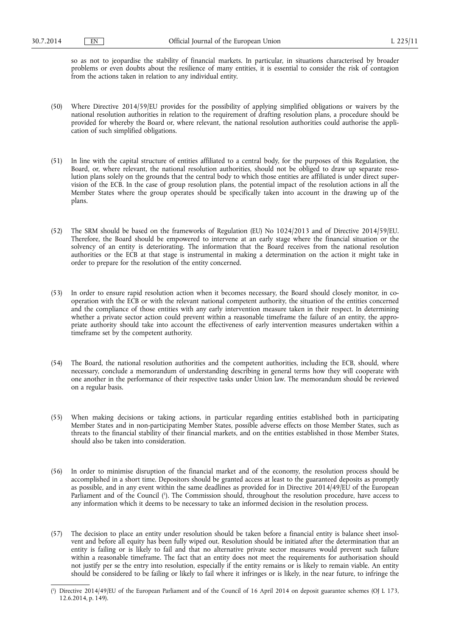so as not to jeopardise the stability of financial markets. In particular, in situations characterised by broader problems or even doubts about the resilience of many entities, it is essential to consider the risk of contagion from the actions taken in relation to any individual entity.

- (50) Where Directive 2014/59/EU provides for the possibility of applying simplified obligations or waivers by the national resolution authorities in relation to the requirement of drafting resolution plans, a procedure should be provided for whereby the Board or, where relevant, the national resolution authorities could authorise the application of such simplified obligations.
- (51) In line with the capital structure of entities affiliated to a central body, for the purposes of this Regulation, the Board, or, where relevant, the national resolution authorities, should not be obliged to draw up separate resolution plans solely on the grounds that the central body to which those entities are affiliated is under direct supervision of the ECB. In the case of group resolution plans, the potential impact of the resolution actions in all the Member States where the group operates should be specifically taken into account in the drawing up of the plans.
- (52) The SRM should be based on the frameworks of Regulation (EU) No 1024/2013 and of Directive 2014/59/EU. Therefore, the Board should be empowered to intervene at an early stage where the financial situation or the solvency of an entity is deteriorating. The information that the Board receives from the national resolution authorities or the ECB at that stage is instrumental in making a determination on the action it might take in order to prepare for the resolution of the entity concerned.
- (53) In order to ensure rapid resolution action when it becomes necessary, the Board should closely monitor, in cooperation with the ECB or with the relevant national competent authority, the situation of the entities concerned and the compliance of those entities with any early intervention measure taken in their respect. In determining whether a private sector action could prevent within a reasonable timeframe the failure of an entity, the appropriate authority should take into account the effectiveness of early intervention measures undertaken within a timeframe set by the competent authority.
- (54) The Board, the national resolution authorities and the competent authorities, including the ECB, should, where necessary, conclude a memorandum of understanding describing in general terms how they will cooperate with one another in the performance of their respective tasks under Union law. The memorandum should be reviewed on a regular basis.
- (55) When making decisions or taking actions, in particular regarding entities established both in participating Member States and in non-participating Member States, possible adverse effects on those Member States, such as threats to the financial stability of their financial markets, and on the entities established in those Member States, should also be taken into consideration.
- (56) In order to minimise disruption of the financial market and of the economy, the resolution process should be accomplished in a short time. Depositors should be granted access at least to the guaranteed deposits as promptly as possible, and in any event within the same deadlines as provided for in Directive 2014/49/EU of the European Parliament and of the Council ( 1 ). The Commission should, throughout the resolution procedure, have access to any information which it deems to be necessary to take an informed decision in the resolution process.
- (57) The decision to place an entity under resolution should be taken before a financial entity is balance sheet insolvent and before all equity has been fully wiped out. Resolution should be initiated after the determination that an entity is failing or is likely to fail and that no alternative private sector measures would prevent such failure within a reasonable timeframe. The fact that an entity does not meet the requirements for authorisation should not justify per se the entry into resolution, especially if the entity remains or is likely to remain viable. An entity should be considered to be failing or likely to fail where it infringes or is likely, in the near future, to infringe the

<sup>(</sup> 1 ) Directive 2014/49/EU of the European Parliament and of the Council of 16 April 2014 on deposit guarantee schemes (OJ L 173, 12.6.2014, p. 149).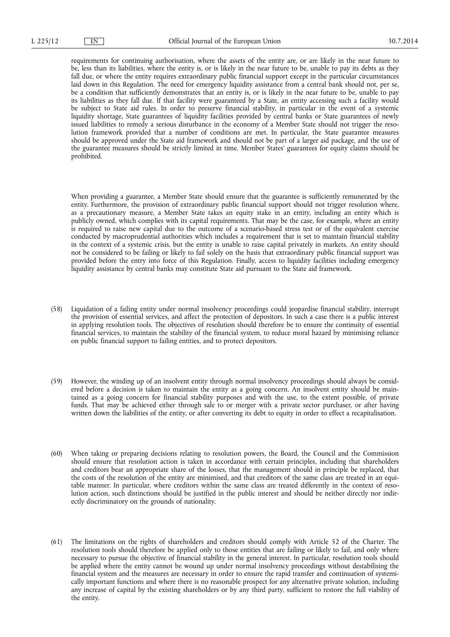requirements for continuing authorisation, where the assets of the entity are, or are likely in the near future to be, less than its liabilities, where the entity is, or is likely in the near future to be, unable to pay its debts as they fall due, or where the entity requires extraordinary public financial support except in the particular circumstances laid down in this Regulation. The need for emergency liquidity assistance from a central bank should not, per se, be a condition that sufficiently demonstrates that an entity is, or is likely in the near future to be, unable to pay its liabilities as they fall due. If that facility were guaranteed by a State, an entity accessing such a facility would be subject to State aid rules. In order to preserve financial stability, in particular in the event of a systemic liquidity shortage, State guarantees of liquidity facilities provided by central banks or State guarantees of newly issued liabilities to remedy a serious disturbance in the economy of a Member State should not trigger the resolution framework provided that a number of conditions are met. In particular, the State guarantee measures should be approved under the State aid framework and should not be part of a larger aid package, and the use of the guarantee measures should be strictly limited in time. Member States' guarantees for equity claims should be prohibited.

When providing a guarantee, a Member State should ensure that the guarantee is sufficiently remunerated by the entity. Furthermore, the provision of extraordinary public financial support should not trigger resolution where, as a precautionary measure, a Member State takes an equity stake in an entity, including an entity which is publicly owned, which complies with its capital requirements. That may be the case, for example, where an entity is required to raise new capital due to the outcome of a scenario-based stress test or of the equivalent exercise conducted by macroprudential authorities which includes a requirement that is set to maintain financial stability in the context of a systemic crisis, but the entity is unable to raise capital privately in markets. An entity should not be considered to be failing or likely to fail solely on the basis that extraordinary public financial support was provided before the entry into force of this Regulation. Finally, access to liquidity facilities including emergency liquidity assistance by central banks may constitute State aid pursuant to the State aid framework.

- (58) Liquidation of a failing entity under normal insolvency proceedings could jeopardise financial stability, interrupt the provision of essential services, and affect the protection of depositors. In such a case there is a public interest in applying resolution tools. The objectives of resolution should therefore be to ensure the continuity of essential financial services, to maintain the stability of the financial system, to reduce moral hazard by minimising reliance on public financial support to failing entities, and to protect depositors.
- (59) However, the winding up of an insolvent entity through normal insolvency proceedings should always be considered before a decision is taken to maintain the entity as a going concern. An insolvent entity should be maintained as a going concern for financial stability purposes and with the use, to the extent possible, of private funds. That may be achieved either through sale to or merger with a private sector purchaser, or after having written down the liabilities of the entity, or after converting its debt to equity in order to effect a recapitalisation.
- (60) When taking or preparing decisions relating to resolution powers, the Board, the Council and the Commission should ensure that resolution action is taken in accordance with certain principles, including that shareholders and creditors bear an appropriate share of the losses, that the management should in principle be replaced, that the costs of the resolution of the entity are minimised, and that creditors of the same class are treated in an equitable manner. In particular, where creditors within the same class are treated differently in the context of resolution action, such distinctions should be justified in the public interest and should be neither directly nor indirectly discriminatory on the grounds of nationality.
- (61) The limitations on the rights of shareholders and creditors should comply with Article 52 of the Charter. The resolution tools should therefore be applied only to those entities that are failing or likely to fail, and only where necessary to pursue the objective of financial stability in the general interest. In particular, resolution tools should be applied where the entity cannot be wound up under normal insolvency proceedings without destabilising the financial system and the measures are necessary in order to ensure the rapid transfer and continuation of systemically important functions and where there is no reasonable prospect for any alternative private solution, including any increase of capital by the existing shareholders or by any third party, sufficient to restore the full viability of the entity.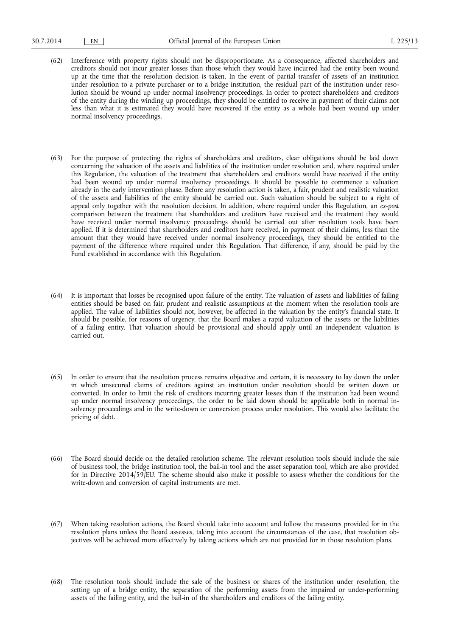- (62) Interference with property rights should not be disproportionate. As a consequence, affected shareholders and creditors should not incur greater losses than those which they would have incurred had the entity been wound up at the time that the resolution decision is taken. In the event of partial transfer of assets of an institution under resolution to a private purchaser or to a bridge institution, the residual part of the institution under resolution should be wound up under normal insolvency proceedings. In order to protect shareholders and creditors of the entity during the winding up proceedings, they should be entitled to receive in payment of their claims not less than what it is estimated they would have recovered if the entity as a whole had been wound up under normal insolvency proceedings.
- (63) For the purpose of protecting the rights of shareholders and creditors, clear obligations should be laid down concerning the valuation of the assets and liabilities of the institution under resolution and, where required under this Regulation, the valuation of the treatment that shareholders and creditors would have received if the entity had been wound up under normal insolvency proceedings. It should be possible to commence a valuation already in the early intervention phase. Before any resolution action is taken, a fair, prudent and realistic valuation of the assets and liabilities of the entity should be carried out. Such valuation should be subject to a right of appeal only together with the resolution decision. In addition, where required under this Regulation, an *ex-post*  comparison between the treatment that shareholders and creditors have received and the treatment they would have received under normal insolvency proceedings should be carried out after resolution tools have been applied. If it is determined that shareholders and creditors have received, in payment of their claims, less than the amount that they would have received under normal insolvency proceedings, they should be entitled to the payment of the difference where required under this Regulation. That difference, if any, should be paid by the Fund established in accordance with this Regulation.
- (64) It is important that losses be recognised upon failure of the entity. The valuation of assets and liabilities of failing entities should be based on fair, prudent and realistic assumptions at the moment when the resolution tools are applied. The value of liabilities should not, however, be affected in the valuation by the entity's financial state. It should be possible, for reasons of urgency, that the Board makes a rapid valuation of the assets or the liabilities of a failing entity. That valuation should be provisional and should apply until an independent valuation is carried out.
- (65) In order to ensure that the resolution process remains objective and certain, it is necessary to lay down the order in which unsecured claims of creditors against an institution under resolution should be written down or converted. In order to limit the risk of creditors incurring greater losses than if the institution had been wound up under normal insolvency proceedings, the order to be laid down should be applicable both in normal insolvency proceedings and in the write-down or conversion process under resolution. This would also facilitate the pricing of debt.
- (66) The Board should decide on the detailed resolution scheme. The relevant resolution tools should include the sale of business tool, the bridge institution tool, the bail-in tool and the asset separation tool, which are also provided for in Directive 2014/59/EU. The scheme should also make it possible to assess whether the conditions for the write-down and conversion of capital instruments are met.
- (67) When taking resolution actions, the Board should take into account and follow the measures provided for in the resolution plans unless the Board assesses, taking into account the circumstances of the case, that resolution objectives will be achieved more effectively by taking actions which are not provided for in those resolution plans.
- (68) The resolution tools should include the sale of the business or shares of the institution under resolution, the setting up of a bridge entity, the separation of the performing assets from the impaired or under-performing assets of the failing entity, and the bail-in of the shareholders and creditors of the failing entity.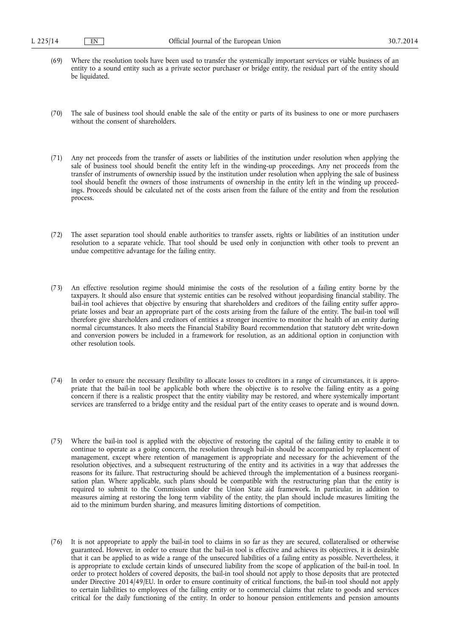- (69) Where the resolution tools have been used to transfer the systemically important services or viable business of an entity to a sound entity such as a private sector purchaser or bridge entity, the residual part of the entity should be liquidated.
- (70) The sale of business tool should enable the sale of the entity or parts of its business to one or more purchasers without the consent of shareholders.
- (71) Any net proceeds from the transfer of assets or liabilities of the institution under resolution when applying the sale of business tool should benefit the entity left in the winding-up proceedings. Any net proceeds from the transfer of instruments of ownership issued by the institution under resolution when applying the sale of business tool should benefit the owners of those instruments of ownership in the entity left in the winding up proceedings. Proceeds should be calculated net of the costs arisen from the failure of the entity and from the resolution process.
- (72) The asset separation tool should enable authorities to transfer assets, rights or liabilities of an institution under resolution to a separate vehicle. That tool should be used only in conjunction with other tools to prevent an undue competitive advantage for the failing entity.
- (73) An effective resolution regime should minimise the costs of the resolution of a failing entity borne by the taxpayers. It should also ensure that systemic entities can be resolved without jeopardising financial stability. The bail-in tool achieves that objective by ensuring that shareholders and creditors of the failing entity suffer appropriate losses and bear an appropriate part of the costs arising from the failure of the entity. The bail-in tool will therefore give shareholders and creditors of entities a stronger incentive to monitor the health of an entity during normal circumstances. It also meets the Financial Stability Board recommendation that statutory debt write-down and conversion powers be included in a framework for resolution, as an additional option in conjunction with other resolution tools.
- (74) In order to ensure the necessary flexibility to allocate losses to creditors in a range of circumstances, it is appropriate that the bail-in tool be applicable both where the objective is to resolve the failing entity as a going concern if there is a realistic prospect that the entity viability may be restored, and where systemically important services are transferred to a bridge entity and the residual part of the entity ceases to operate and is wound down.
- (75) Where the bail-in tool is applied with the objective of restoring the capital of the failing entity to enable it to continue to operate as a going concern, the resolution through bail-in should be accompanied by replacement of management, except where retention of management is appropriate and necessary for the achievement of the resolution objectives, and a subsequent restructuring of the entity and its activities in a way that addresses the reasons for its failure. That restructuring should be achieved through the implementation of a business reorganisation plan. Where applicable, such plans should be compatible with the restructuring plan that the entity is required to submit to the Commission under the Union State aid framework. In particular, in addition to measures aiming at restoring the long term viability of the entity, the plan should include measures limiting the aid to the minimum burden sharing, and measures limiting distortions of competition.
- (76) It is not appropriate to apply the bail-in tool to claims in so far as they are secured, collateralised or otherwise guaranteed. However, in order to ensure that the bail-in tool is effective and achieves its objectives, it is desirable that it can be applied to as wide a range of the unsecured liabilities of a failing entity as possible. Nevertheless, it is appropriate to exclude certain kinds of unsecured liability from the scope of application of the bail-in tool. In order to protect holders of covered deposits, the bail-in tool should not apply to those deposits that are protected under Directive 2014/49/EU. In order to ensure continuity of critical functions, the bail-in tool should not apply to certain liabilities to employees of the failing entity or to commercial claims that relate to goods and services critical for the daily functioning of the entity. In order to honour pension entitlements and pension amounts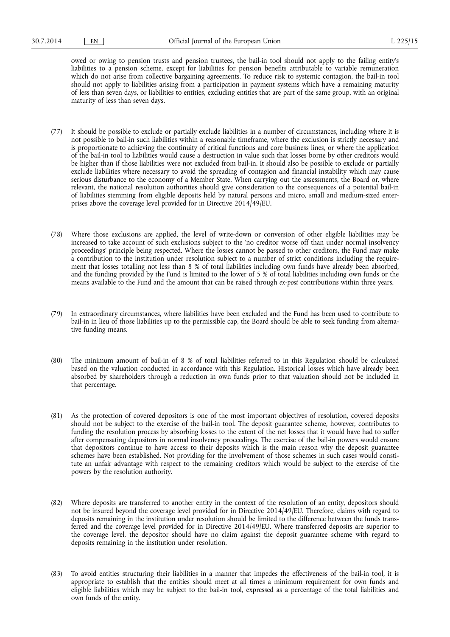owed or owing to pension trusts and pension trustees, the bail-in tool should not apply to the failing entity's liabilities to a pension scheme, except for liabilities for pension benefits attributable to variable remuneration which do not arise from collective bargaining agreements. To reduce risk to systemic contagion, the bail-in tool should not apply to liabilities arising from a participation in payment systems which have a remaining maturity of less than seven days, or liabilities to entities, excluding entities that are part of the same group, with an original maturity of less than seven days.

- (77) It should be possible to exclude or partially exclude liabilities in a number of circumstances, including where it is not possible to bail-in such liabilities within a reasonable timeframe, where the exclusion is strictly necessary and is proportionate to achieving the continuity of critical functions and core business lines, or where the application of the bail-in tool to liabilities would cause a destruction in value such that losses borne by other creditors would be higher than if those liabilities were not excluded from bail-in. It should also be possible to exclude or partially exclude liabilities where necessary to avoid the spreading of contagion and financial instability which may cause serious disturbance to the economy of a Member State. When carrying out the assessments, the Board or, where relevant, the national resolution authorities should give consideration to the consequences of a potential bail-in of liabilities stemming from eligible deposits held by natural persons and micro, small and medium-sized enterprises above the coverage level provided for in Directive 2014/49/EU.
- (78) Where those exclusions are applied, the level of write-down or conversion of other eligible liabilities may be increased to take account of such exclusions subject to the 'no creditor worse off than under normal insolvency proceedings' principle being respected. Where the losses cannot be passed to other creditors, the Fund may make a contribution to the institution under resolution subject to a number of strict conditions including the requirement that losses totalling not less than 8 % of total liabilities including own funds have already been absorbed, and the funding provided by the Fund is limited to the lower of 5 % of total liabilities including own funds or the means available to the Fund and the amount that can be raised through *ex-post* contributions within three years.
- (79) In extraordinary circumstances, where liabilities have been excluded and the Fund has been used to contribute to bail-in in lieu of those liabilities up to the permissible cap, the Board should be able to seek funding from alternative funding means.
- (80) The minimum amount of bail-in of 8 % of total liabilities referred to in this Regulation should be calculated based on the valuation conducted in accordance with this Regulation. Historical losses which have already been absorbed by shareholders through a reduction in own funds prior to that valuation should not be included in that percentage.
- (81) As the protection of covered depositors is one of the most important objectives of resolution, covered deposits should not be subject to the exercise of the bail-in tool. The deposit guarantee scheme, however, contributes to funding the resolution process by absorbing losses to the extent of the net losses that it would have had to suffer after compensating depositors in normal insolvency proceedings. The exercise of the bail-in powers would ensure that depositors continue to have access to their deposits which is the main reason why the deposit guarantee schemes have been established. Not providing for the involvement of those schemes in such cases would constitute an unfair advantage with respect to the remaining creditors which would be subject to the exercise of the powers by the resolution authority.
- (82) Where deposits are transferred to another entity in the context of the resolution of an entity, depositors should not be insured beyond the coverage level provided for in Directive 2014/49/EU. Therefore, claims with regard to deposits remaining in the institution under resolution should be limited to the difference between the funds transferred and the coverage level provided for in Directive 2014/49/EU. Where transferred deposits are superior to the coverage level, the depositor should have no claim against the deposit guarantee scheme with regard to deposits remaining in the institution under resolution.
- (83) To avoid entities structuring their liabilities in a manner that impedes the effectiveness of the bail-in tool, it is appropriate to establish that the entities should meet at all times a minimum requirement for own funds and eligible liabilities which may be subject to the bail-in tool, expressed as a percentage of the total liabilities and own funds of the entity.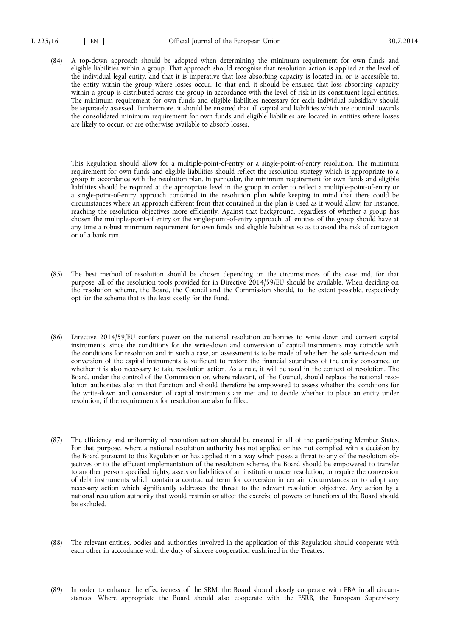(84) A top-down approach should be adopted when determining the minimum requirement for own funds and eligible liabilities within a group. That approach should recognise that resolution action is applied at the level of the individual legal entity, and that it is imperative that loss absorbing capacity is located in, or is accessible to, the entity within the group where losses occur. To that end, it should be ensured that loss absorbing capacity within a group is distributed across the group in accordance with the level of risk in its constituent legal entities. The minimum requirement for own funds and eligible liabilities necessary for each individual subsidiary should be separately assessed. Furthermore, it should be ensured that all capital and liabilities which are counted towards the consolidated minimum requirement for own funds and eligible liabilities are located in entities where losses are likely to occur, or are otherwise available to absorb losses.

This Regulation should allow for a multiple-point-of-entry or a single-point-of-entry resolution. The minimum requirement for own funds and eligible liabilities should reflect the resolution strategy which is appropriate to a group in accordance with the resolution plan. In particular, the minimum requirement for own funds and eligible liabilities should be required at the appropriate level in the group in order to reflect a multiple-point-of-entry or a single-point-of-entry approach contained in the resolution plan while keeping in mind that there could be circumstances where an approach different from that contained in the plan is used as it would allow, for instance, reaching the resolution objectives more efficiently. Against that background, regardless of whether a group has chosen the multiple-point-of entry or the single-point-of-entry approach, all entities of the group should have at any time a robust minimum requirement for own funds and eligible liabilities so as to avoid the risk of contagion or of a bank run.

- (85) The best method of resolution should be chosen depending on the circumstances of the case and, for that purpose, all of the resolution tools provided for in Directive 2014/59/EU should be available. When deciding on the resolution scheme, the Board, the Council and the Commission should, to the extent possible, respectively opt for the scheme that is the least costly for the Fund.
- (86) Directive 2014/59/EU confers power on the national resolution authorities to write down and convert capital instruments, since the conditions for the write-down and conversion of capital instruments may coincide with the conditions for resolution and in such a case, an assessment is to be made of whether the sole write-down and conversion of the capital instruments is sufficient to restore the financial soundness of the entity concerned or whether it is also necessary to take resolution action. As a rule, it will be used in the context of resolution. The Board, under the control of the Commission or, where relevant, of the Council, should replace the national resolution authorities also in that function and should therefore be empowered to assess whether the conditions for the write-down and conversion of capital instruments are met and to decide whether to place an entity under resolution, if the requirements for resolution are also fulfilled.
- (87) The efficiency and uniformity of resolution action should be ensured in all of the participating Member States. For that purpose, where a national resolution authority has not applied or has not complied with a decision by the Board pursuant to this Regulation or has applied it in a way which poses a threat to any of the resolution objectives or to the efficient implementation of the resolution scheme, the Board should be empowered to transfer to another person specified rights, assets or liabilities of an institution under resolution, to require the conversion of debt instruments which contain a contractual term for conversion in certain circumstances or to adopt any necessary action which significantly addresses the threat to the relevant resolution objective. Any action by a national resolution authority that would restrain or affect the exercise of powers or functions of the Board should be excluded.
- (88) The relevant entities, bodies and authorities involved in the application of this Regulation should cooperate with each other in accordance with the duty of sincere cooperation enshrined in the Treaties.
- (89) In order to enhance the effectiveness of the SRM, the Board should closely cooperate with EBA in all circumstances. Where appropriate the Board should also cooperate with the ESRB, the European Supervisory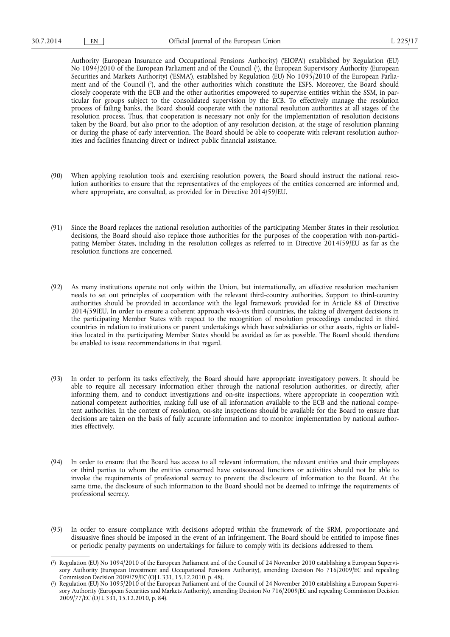Authority (European Insurance and Occupational Pensions Authority) ('EIOPA') established by Regulation (EU) No 1094/2010 of the European Parliament and of the Council ( 1 ), the European Supervisory Authority (European Securities and Markets Authority) ('ESMA'), established by Regulation (EU) No 1095/2010 of the European Parliament and of the Council ( 2 ), and the other authorities which constitute the ESFS. Moreover, the Board should closely cooperate with the ECB and the other authorities empowered to supervise entities within the SSM, in particular for groups subject to the consolidated supervision by the ECB. To effectively manage the resolution process of failing banks, the Board should cooperate with the national resolution authorities at all stages of the resolution process. Thus, that cooperation is necessary not only for the implementation of resolution decisions taken by the Board, but also prior to the adoption of any resolution decision, at the stage of resolution planning or during the phase of early intervention. The Board should be able to cooperate with relevant resolution authorities and facilities financing direct or indirect public financial assistance.

- (90) When applying resolution tools and exercising resolution powers, the Board should instruct the national resolution authorities to ensure that the representatives of the employees of the entities concerned are informed and, where appropriate, are consulted, as provided for in Directive 2014/59/EU.
- (91) Since the Board replaces the national resolution authorities of the participating Member States in their resolution decisions, the Board should also replace those authorities for the purposes of the cooperation with non-participating Member States, including in the resolution colleges as referred to in Directive 2014/59/EU as far as the resolution functions are concerned.
- (92) As many institutions operate not only within the Union, but internationally, an effective resolution mechanism needs to set out principles of cooperation with the relevant third-country authorities. Support to third-country authorities should be provided in accordance with the legal framework provided for in Article 88 of Directive 2014/59/EU. In order to ensure a coherent approach vis-à-vis third countries, the taking of divergent decisions in the participating Member States with respect to the recognition of resolution proceedings conducted in third countries in relation to institutions or parent undertakings which have subsidiaries or other assets, rights or liabilities located in the participating Member States should be avoided as far as possible. The Board should therefore be enabled to issue recommendations in that regard.
- (93) In order to perform its tasks effectively, the Board should have appropriate investigatory powers. It should be able to require all necessary information either through the national resolution authorities, or directly, after informing them, and to conduct investigations and on-site inspections, where appropriate in cooperation with national competent authorities, making full use of all information available to the ECB and the national competent authorities. In the context of resolution, on-site inspections should be available for the Board to ensure that decisions are taken on the basis of fully accurate information and to monitor implementation by national authorities effectively.
- (94) In order to ensure that the Board has access to all relevant information, the relevant entities and their employees or third parties to whom the entities concerned have outsourced functions or activities should not be able to invoke the requirements of professional secrecy to prevent the disclosure of information to the Board. At the same time, the disclosure of such information to the Board should not be deemed to infringe the requirements of professional secrecy.
- (95) In order to ensure compliance with decisions adopted within the framework of the SRM, proportionate and dissuasive fines should be imposed in the event of an infringement. The Board should be entitled to impose fines or periodic penalty payments on undertakings for failure to comply with its decisions addressed to them.

<sup>(</sup> 1 ) Regulation (EU) No 1094/2010 of the European Parliament and of the Council of 24 November 2010 establishing a European Supervisory Authority (European Investment and Occupational Pensions Authority), amending Decision No 716/2009/EC and repealing Commission Decision 2009/79/EC (OJ L 331, 15.12.2010, p. 48).

<sup>(</sup> 2 ) Regulation (EU) No 1095/2010 of the European Parliament and of the Council of 24 November 2010 establishing a European Supervisory Authority (European Securities and Markets Authority), amending Decision No 716/2009/EC and repealing Commission Decision 2009/77/EC (OJ L 331, 15.12.2010, p. 84).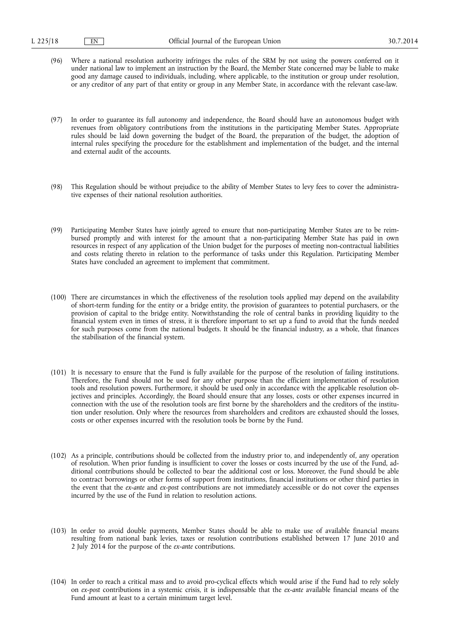- (96) Where a national resolution authority infringes the rules of the SRM by not using the powers conferred on it under national law to implement an instruction by the Board, the Member State concerned may be liable to make good any damage caused to individuals, including, where applicable, to the institution or group under resolution, or any creditor of any part of that entity or group in any Member State, in accordance with the relevant case-law.
- (97) In order to guarantee its full autonomy and independence, the Board should have an autonomous budget with revenues from obligatory contributions from the institutions in the participating Member States. Appropriate rules should be laid down governing the budget of the Board, the preparation of the budget, the adoption of internal rules specifying the procedure for the establishment and implementation of the budget, and the internal and external audit of the accounts.
- (98) This Regulation should be without prejudice to the ability of Member States to levy fees to cover the administrative expenses of their national resolution authorities.
- (99) Participating Member States have jointly agreed to ensure that non-participating Member States are to be reimbursed promptly and with interest for the amount that a non-participating Member State has paid in own resources in respect of any application of the Union budget for the purposes of meeting non-contractual liabilities and costs relating thereto in relation to the performance of tasks under this Regulation. Participating Member States have concluded an agreement to implement that commitment.
- (100) There are circumstances in which the effectiveness of the resolution tools applied may depend on the availability of short-term funding for the entity or a bridge entity, the provision of guarantees to potential purchasers, or the provision of capital to the bridge entity. Notwithstanding the role of central banks in providing liquidity to the financial system even in times of stress, it is therefore important to set up a fund to avoid that the funds needed for such purposes come from the national budgets. It should be the financial industry, as a whole, that finances the stabilisation of the financial system.
- (101) It is necessary to ensure that the Fund is fully available for the purpose of the resolution of failing institutions. Therefore, the Fund should not be used for any other purpose than the efficient implementation of resolution tools and resolution powers. Furthermore, it should be used only in accordance with the applicable resolution objectives and principles. Accordingly, the Board should ensure that any losses, costs or other expenses incurred in connection with the use of the resolution tools are first borne by the shareholders and the creditors of the institution under resolution. Only where the resources from shareholders and creditors are exhausted should the losses, costs or other expenses incurred with the resolution tools be borne by the Fund.
- (102) As a principle, contributions should be collected from the industry prior to, and independently of, any operation of resolution. When prior funding is insufficient to cover the losses or costs incurred by the use of the Fund, additional contributions should be collected to bear the additional cost or loss. Moreover, the Fund should be able to contract borrowings or other forms of support from institutions, financial institutions or other third parties in the event that the *ex-ante* and *ex-post* contributions are not immediately accessible or do not cover the expenses incurred by the use of the Fund in relation to resolution actions.
- (103) In order to avoid double payments, Member States should be able to make use of available financial means resulting from national bank levies, taxes or resolution contributions established between 17 June 2010 and 2 July 2014 for the purpose of the *ex-ante* contributions.
- (104) In order to reach a critical mass and to avoid pro-cyclical effects which would arise if the Fund had to rely solely on *ex-post* contributions in a systemic crisis, it is indispensable that the *ex-ante* available financial means of the Fund amount at least to a certain minimum target level.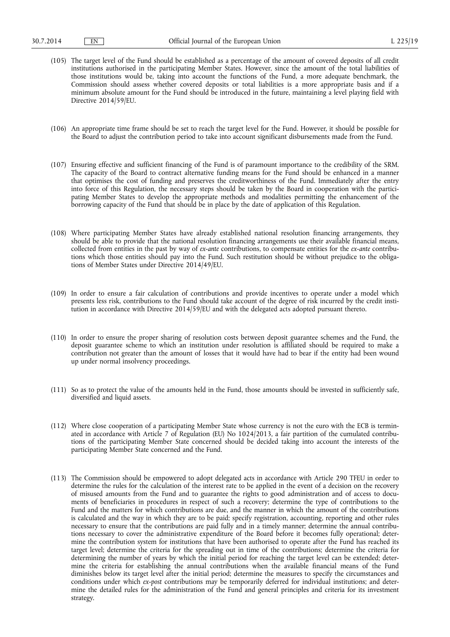- (105) The target level of the Fund should be established as a percentage of the amount of covered deposits of all credit institutions authorised in the participating Member States. However, since the amount of the total liabilities of those institutions would be, taking into account the functions of the Fund, a more adequate benchmark, the Commission should assess whether covered deposits or total liabilities is a more appropriate basis and if a minimum absolute amount for the Fund should be introduced in the future, maintaining a level playing field with Directive 2014/59/EU.
- (106) An appropriate time frame should be set to reach the target level for the Fund. However, it should be possible for the Board to adjust the contribution period to take into account significant disbursements made from the Fund.
- (107) Ensuring effective and sufficient financing of the Fund is of paramount importance to the credibility of the SRM. The capacity of the Board to contract alternative funding means for the Fund should be enhanced in a manner that optimises the cost of funding and preserves the creditworthiness of the Fund. Immediately after the entry into force of this Regulation, the necessary steps should be taken by the Board in cooperation with the participating Member States to develop the appropriate methods and modalities permitting the enhancement of the borrowing capacity of the Fund that should be in place by the date of application of this Regulation.
- (108) Where participating Member States have already established national resolution financing arrangements, they should be able to provide that the national resolution financing arrangements use their available financial means, collected from entities in the past by way of *ex-ante* contributions, to compensate entities for the *ex-ante* contributions which those entities should pay into the Fund. Such restitution should be without prejudice to the obligations of Member States under Directive 2014/49/EU.
- (109) In order to ensure a fair calculation of contributions and provide incentives to operate under a model which presents less risk, contributions to the Fund should take account of the degree of risk incurred by the credit institution in accordance with Directive 2014/59/EU and with the delegated acts adopted pursuant thereto.
- (110) In order to ensure the proper sharing of resolution costs between deposit guarantee schemes and the Fund, the deposit guarantee scheme to which an institution under resolution is affiliated should be required to make a contribution not greater than the amount of losses that it would have had to bear if the entity had been wound up under normal insolvency proceedings.
- (111) So as to protect the value of the amounts held in the Fund, those amounts should be invested in sufficiently safe, diversified and liquid assets.
- (112) Where close cooperation of a participating Member State whose currency is not the euro with the ECB is terminated in accordance with Article 7 of Regulation (EU) No 1024/2013, a fair partition of the cumulated contributions of the participating Member State concerned should be decided taking into account the interests of the participating Member State concerned and the Fund.
- (113) The Commission should be empowered to adopt delegated acts in accordance with Article 290 TFEU in order to determine the rules for the calculation of the interest rate to be applied in the event of a decision on the recovery of misused amounts from the Fund and to guarantee the rights to good administration and of access to documents of beneficiaries in procedures in respect of such a recovery; determine the type of contributions to the Fund and the matters for which contributions are due, and the manner in which the amount of the contributions is calculated and the way in which they are to be paid; specify registration, accounting, reporting and other rules necessary to ensure that the contributions are paid fully and in a timely manner; determine the annual contributions necessary to cover the administrative expenditure of the Board before it becomes fully operational; determine the contribution system for institutions that have been authorised to operate after the Fund has reached its target level; determine the criteria for the spreading out in time of the contributions; determine the criteria for determining the number of years by which the initial period for reaching the target level can be extended; determine the criteria for establishing the annual contributions when the available financial means of the Fund diminishes below its target level after the initial period; determine the measures to specify the circumstances and conditions under which *ex-post* contributions may be temporarily deferred for individual institutions; and determine the detailed rules for the administration of the Fund and general principles and criteria for its investment strategy.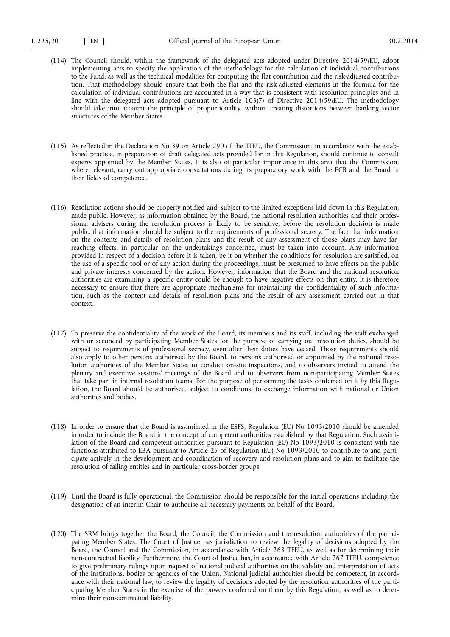- (114) The Council should, within the framework of the delegated acts adopted under Directive 2014/59/EU, adopt implementing acts to specify the application of the methodology for the calculation of individual contributions to the Fund, as well as the technical modalities for computing the flat contribution and the risk-adjusted contribution. That methodology should ensure that both the flat and the risk-adjusted elements in the formula for the calculation of individual contributions are accounted in a way that is consistent with resolution principles and in line with the delegated acts adopted pursuant to Article 103(7) of Directive 2014/59/EU. The methodology should take into account the principle of proportionality, without creating distortions between banking sector structures of the Member States.
- (115) As reflected in the Declaration No 39 on Article 290 of the TFEU, the Commission, in accordance with the established practice, in preparation of draft delegated acts provided for in this Regulation, should continue to consult experts appointed by the Member States. It is also of particular importance in this area that the Commission, where relevant, carry out appropriate consultations during its preparatory work with the ECB and the Board in their fields of competence.
- (116) Resolution actions should be properly notified and, subject to the limited exceptions laid down in this Regulation, made public. However, as information obtained by the Board, the national resolution authorities and their professional advisers during the resolution process is likely to be sensitive, before the resolution decision is made public, that information should be subject to the requirements of professional secrecy. The fact that information on the contents and details of resolution plans and the result of any assessment of those plans may have farreaching effects, in particular on the undertakings concerned, must be taken into account. Any information provided in respect of a decision before it is taken, be it on whether the conditions for resolution are satisfied, on the use of a specific tool or of any action during the proceedings, must be presumed to have effects on the public and private interests concerned by the action. However, information that the Board and the national resolution authorities are examining a specific entity could be enough to have negative effects on that entity. It is therefore necessary to ensure that there are appropriate mechanisms for maintaining the confidentiality of such information, such as the content and details of resolution plans and the result of any assessment carried out in that context.
- (117) To preserve the confidentiality of the work of the Board, its members and its staff, including the staff exchanged with or seconded by participating Member States for the purpose of carrying out resolution duties, should be subject to requirements of professional secrecy, even after their duties have ceased. Those requirements should also apply to other persons authorised by the Board, to persons authorised or appointed by the national resolution authorities of the Member States to conduct on-site inspections, and to observers invited to attend the plenary and executive sessions' meetings of the Board and to observers from non-participating Member States that take part in internal resolution teams. For the purpose of performing the tasks conferred on it by this Regulation, the Board should be authorised, subject to conditions, to exchange information with national or Union authorities and bodies.
- (118) In order to ensure that the Board is assimilated in the ESFS, Regulation (EU) No 1093/2010 should be amended in order to include the Board in the concept of competent authorities established by that Regulation. Such assimilation of the Board and competent authorities pursuant to Regulation (EU) No 1093/2010 is consistent with the functions attributed to EBA pursuant to Article 25 of Regulation (EU) No 1093/2010 to contribute to and participate actively in the development and coordination of recovery and resolution plans and to aim to facilitate the resolution of failing entities and in particular cross-border groups.
- (119) Until the Board is fully operational, the Commission should be responsible for the initial operations including the designation of an interim Chair to authorise all necessary payments on behalf of the Board.
- (120) The SRM brings together the Board, the Council, the Commission and the resolution authorities of the participating Member States. The Court of Justice has jurisdiction to review the legality of decisions adopted by the Board, the Council and the Commission, in accordance with Article 263 TFEU, as well as for determining their non-contractual liability. Furthermore, the Court of Justice has, in accordance with Article 267 TFEU, competence to give preliminary rulings upon request of national judicial authorities on the validity and interpretation of acts of the institutions, bodies or agencies of the Union. National judicial authorities should be competent, in accordance with their national law, to review the legality of decisions adopted by the resolution authorities of the participating Member States in the exercise of the powers conferred on them by this Regulation, as well as to determine their non-contractual liability.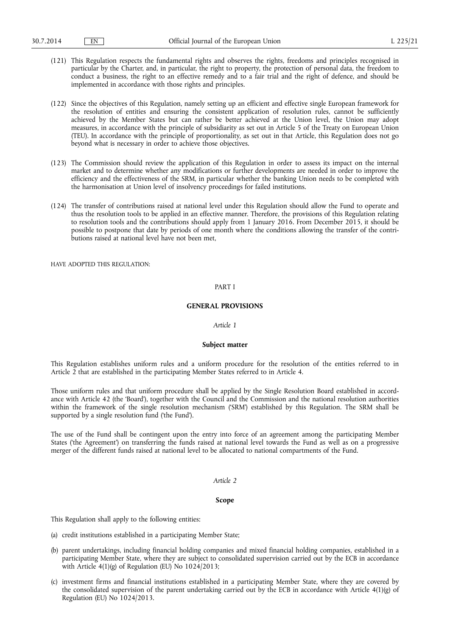- (121) This Regulation respects the fundamental rights and observes the rights, freedoms and principles recognised in particular by the Charter, and, in particular, the right to property, the protection of personal data, the freedom to conduct a business, the right to an effective remedy and to a fair trial and the right of defence, and should be implemented in accordance with those rights and principles.
- (122) Since the objectives of this Regulation, namely setting up an efficient and effective single European framework for the resolution of entities and ensuring the consistent application of resolution rules, cannot be sufficiently achieved by the Member States but can rather be better achieved at the Union level, the Union may adopt measures, in accordance with the principle of subsidiarity as set out in Article 5 of the Treaty on European Union (TEU). In accordance with the principle of proportionality, as set out in that Article, this Regulation does not go beyond what is necessary in order to achieve those objectives.
- (123) The Commission should review the application of this Regulation in order to assess its impact on the internal market and to determine whether any modifications or further developments are needed in order to improve the efficiency and the effectiveness of the SRM, in particular whether the banking Union needs to be completed with the harmonisation at Union level of insolvency proceedings for failed institutions.
- (124) The transfer of contributions raised at national level under this Regulation should allow the Fund to operate and thus the resolution tools to be applied in an effective manner. Therefore, the provisions of this Regulation relating to resolution tools and the contributions should apply from 1 January 2016. From December 2015, it should be possible to postpone that date by periods of one month where the conditions allowing the transfer of the contributions raised at national level have not been met,

HAVE ADOPTED THIS REGULATION.

# PART I

# **GENERAL PROVISIONS**

## *Article 1*

## **Subject matter**

This Regulation establishes uniform rules and a uniform procedure for the resolution of the entities referred to in Article 2 that are established in the participating Member States referred to in Article 4.

Those uniform rules and that uniform procedure shall be applied by the Single Resolution Board established in accordance with Article 42 (the 'Board'), together with the Council and the Commission and the national resolution authorities within the framework of the single resolution mechanism ('SRM') established by this Regulation. The SRM shall be supported by a single resolution fund ('the Fund').

The use of the Fund shall be contingent upon the entry into force of an agreement among the participating Member States ('the Agreement') on transferring the funds raised at national level towards the Fund as well as on a progressive merger of the different funds raised at national level to be allocated to national compartments of the Fund.

#### *Article 2*

#### **Scope**

This Regulation shall apply to the following entities:

- (a) credit institutions established in a participating Member State;
- (b) parent undertakings, including financial holding companies and mixed financial holding companies, established in a participating Member State, where they are subject to consolidated supervision carried out by the ECB in accordance with Article 4(1)(g) of Regulation (EU) No 1024/2013;
- (c) investment firms and financial institutions established in a participating Member State, where they are covered by the consolidated supervision of the parent undertaking carried out by the ECB in accordance with Article 4(1)(g) of Regulation (EU) No 1024/2013.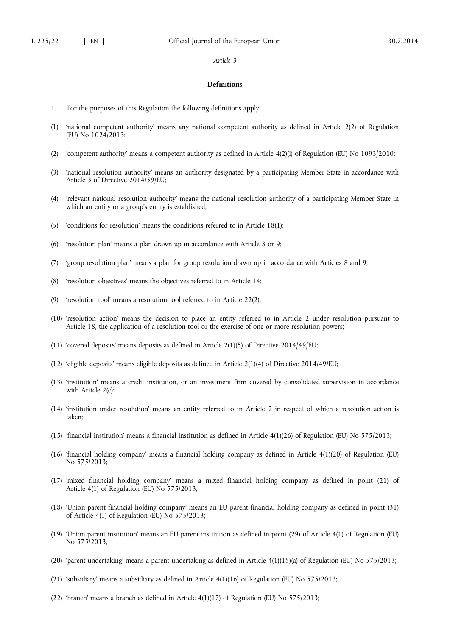#### *Article 3*

#### **Definitions**

- 1. For the purposes of this Regulation the following definitions apply:
- (1) 'national competent authority' means any national competent authority as defined in Article 2(2) of Regulation (EU) No 1024/2013;
- (2) 'competent authority' means a competent authority as defined in Article 4(2)(i) of Regulation (EU) No 1093/2010;
- (3) 'national resolution authority' means an authority designated by a participating Member State in accordance with Article 3 of Directive 2014/59/EU;
- (4) 'relevant national resolution authority' means the national resolution authority of a participating Member State in which an entity or a group's entity is established;
- (5) 'conditions for resolution' means the conditions referred to in Article 18(1);
- (6) 'resolution plan' means a plan drawn up in accordance with Article 8 or 9;
- (7) 'group resolution plan' means a plan for group resolution drawn up in accordance with Articles 8 and 9;
- (8) 'resolution objectives' means the objectives referred to in Article 14;
- (9) 'resolution tool' means a resolution tool referred to in Article 22(2);
- (10) 'resolution action' means the decision to place an entity referred to in Article 2 under resolution pursuant to Article 18, the application of a resolution tool or the exercise of one or more resolution powers;
- (11) 'covered deposits' means deposits as defined in Article 2(1)(5) of Directive 2014/49/EU;
- (12) 'eligible deposits' means eligible deposits as defined in Article 2(1)(4) of Directive 2014/49/EU;
- (13) 'institution' means a credit institution, or an investment firm covered by consolidated supervision in accordance with Article 2(c);
- (14) 'institution under resolution' means an entity referred to in Article 2 in respect of which a resolution action is taken;
- (15) 'financial institution' means a financial institution as defined in Article 4(1)(26) of Regulation (EU) No 575/2013;
- (16) 'financial holding company' means a financial holding company as defined in Article 4(1)(20) of Regulation (EU) No 575/2013;
- (17) 'mixed financial holding company' means a mixed financial holding company as defined in point (21) of Article 4(1) of Regulation (EU) No 575/2013;
- (18) 'Union parent financial holding company' means an EU parent financial holding company as defined in point (31) of Article 4(1) of Regulation (EU) No 575/2013;
- (19) 'Union parent institution' means an EU parent institution as defined in point (29) of Article 4(1) of Regulation (EU) No 575/2013;
- (20) 'parent undertaking' means a parent undertaking as defined in Article 4(1)(15)(a) of Regulation (EU) No 575/2013;
- (21) 'subsidiary' means a subsidiary as defined in Article  $4(1)(16)$  of Regulation (EU) No 575/2013;
- (22) 'branch' means a branch as defined in Article 4(1)(17) of Regulation (EU) No 575/2013;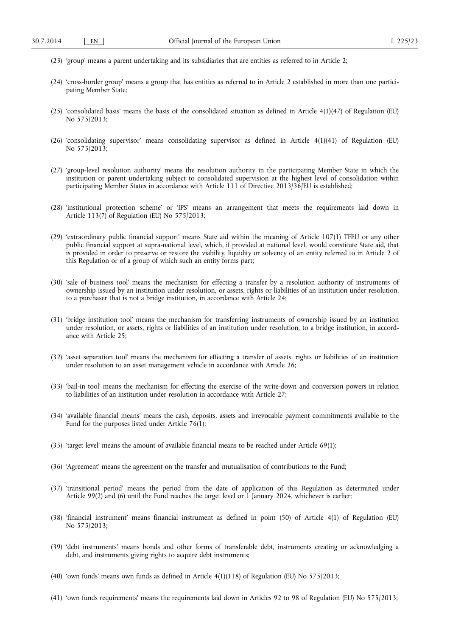- (23) 'group' means a parent undertaking and its subsidiaries that are entities as referred to in Article 2;
- (24) 'cross-border group' means a group that has entities as referred to in Article 2 established in more than one participating Member State;
- (25) 'consolidated basis' means the basis of the consolidated situation as defined in Article 4(1)(47) of Regulation (EU) No 575/2013;
- (26) 'consolidating supervisor' means consolidating supervisor as defined in Article 4(1)(41) of Regulation (EU) No 575/2013;
- (27) 'group-level resolution authority' means the resolution authority in the participating Member State in which the institution or parent undertaking subject to consolidated supervision at the highest level of consolidation within participating Member States in accordance with Article 111 of Directive 2013/36/EU is established;
- (28) 'institutional protection scheme' or 'IPS' means an arrangement that meets the requirements laid down in Article 113(7) of Regulation (EU) No 575/2013;
- (29) 'extraordinary public financial support' means State aid within the meaning of Article 107(1) TFEU or any other public financial support at supra-national level, which, if provided at national level, would constitute State aid, that is provided in order to preserve or restore the viability, liquidity or solvency of an entity referred to in Article 2 of this Regulation or of a group of which such an entity forms part;
- (30) 'sale of business tool' means the mechanism for effecting a transfer by a resolution authority of instruments of ownership issued by an institution under resolution, or assets, rights or liabilities of an institution under resolution, to a purchaser that is not a bridge institution, in accordance with Article 24;
- (31) 'bridge institution tool' means the mechanism for transferring instruments of ownership issued by an institution under resolution, or assets, rights or liabilities of an institution under resolution, to a bridge institution, in accordance with Article 25;
- (32) 'asset separation tool' means the mechanism for effecting a transfer of assets, rights or liabilities of an institution under resolution to an asset management vehicle in accordance with Article 26;
- (33) 'bail-in tool' means the mechanism for effecting the exercise of the write-down and conversion powers in relation to liabilities of an institution under resolution in accordance with Article 27;
- (34) 'available financial means' means the cash, deposits, assets and irrevocable payment commitments available to the Fund for the purposes listed under Article 76(1);
- (35) 'target level' means the amount of available financial means to be reached under Article 69(1);
- (36) 'Agreement' means the agreement on the transfer and mutualisation of contributions to the Fund;
- (37) 'transitional period' means the period from the date of application of this Regulation as determined under Article 99(2) and (6) until the Fund reaches the target level or 1 January 2024, whichever is earlier;
- (38) 'financial instrument' means financial instrument as defined in point (50) of Article 4(1) of Regulation (EU) No 575/2013;
- (39) 'debt instruments' means bonds and other forms of transferable debt, instruments creating or acknowledging a debt, and instruments giving rights to acquire debt instruments;
- (40) 'own funds' means own funds as defined in Article 4(1)(118) of Regulation (EU) No 575/2013;
- (41) 'own funds requirements' means the requirements laid down in Articles 92 to 98 of Regulation (EU) No 575/2013;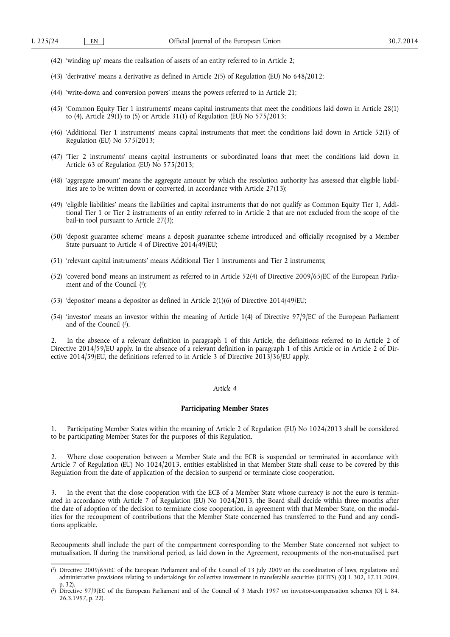- (42) 'winding up' means the realisation of assets of an entity referred to in Article 2;
- (43) 'derivative' means a derivative as defined in Article 2(5) of Regulation (EU) No 648/2012;
- (44) 'write-down and conversion powers' means the powers referred to in Article 21;
- (45) 'Common Equity Tier 1 instruments' means capital instruments that meet the conditions laid down in Article 28(1) to (4), Article 29(1) to (5) or Article 31(1) of Regulation (EU) No 575/2013;
- (46) 'Additional Tier 1 instruments' means capital instruments that meet the conditions laid down in Article 52(1) of Regulation (EU) No 575/2013;
- (47) 'Tier 2 instruments' means capital instruments or subordinated loans that meet the conditions laid down in Article 63 of Regulation (EU) No 575/2013;
- (48) 'aggregate amount' means the aggregate amount by which the resolution authority has assessed that eligible liabilities are to be written down or converted, in accordance with Article 27(13);
- (49) 'eligible liabilities' means the liabilities and capital instruments that do not qualify as Common Equity Tier 1, Additional Tier 1 or Tier 2 instruments of an entity referred to in Article 2 that are not excluded from the scope of the bail-in tool pursuant to Article 27(3);
- (50) 'deposit guarantee scheme' means a deposit guarantee scheme introduced and officially recognised by a Member State pursuant to Article 4 of Directive 2014/49/EU;
- (51) 'relevant capital instruments' means Additional Tier 1 instruments and Tier 2 instruments;
- (52) 'covered bond' means an instrument as referred to in Article 52(4) of Directive 2009/65/EC of the European Parliament and of the Council ( 1 );
- (53) 'depositor' means a depositor as defined in Article 2(1)(6) of Directive 2014/49/EU;
- (54) 'investor' means an investor within the meaning of Article 1(4) of Directive 97/9/EC of the European Parliament and of the Council ( 2 ).

2. In the absence of a relevant definition in paragraph 1 of this Article, the definitions referred to in Article 2 of Directive 2014/59/EU apply. In the absence of a relevant definition in paragraph 1 of this Article or in Article 2 of Directive 2014/59/EU, the definitions referred to in Article 3 of Directive 2013/36/EU apply.

## *Article 4*

# **Participating Member States**

1. Participating Member States within the meaning of Article 2 of Regulation (EU) No 1024/2013 shall be considered to be participating Member States for the purposes of this Regulation.

2. Where close cooperation between a Member State and the ECB is suspended or terminated in accordance with Article 7 of Regulation (EU) No 1024/2013, entities established in that Member State shall cease to be covered by this Regulation from the date of application of the decision to suspend or terminate close cooperation.

3. In the event that the close cooperation with the ECB of a Member State whose currency is not the euro is terminated in accordance with Article 7 of Regulation (EU) No 1024/2013, the Board shall decide within three months after the date of adoption of the decision to terminate close cooperation, in agreement with that Member State, on the modalities for the recoupment of contributions that the Member State concerned has transferred to the Fund and any conditions applicable.

Recoupments shall include the part of the compartment corresponding to the Member State concerned not subject to mutualisation. If during the transitional period, as laid down in the Agreement, recoupments of the non-mutualised part

<sup>(</sup> 1 ) Directive 2009/65/EC of the European Parliament and of the Council of 13 July 2009 on the coordination of laws, regulations and administrative provisions relating to undertakings for collective investment in transferable securities (UCITS) (OJ L 302, 17.11.2009, p. 32).

<sup>(</sup> 2 ) Directive 97/9/EC of the European Parliament and of the Council of 3 March 1997 on investor-compensation schemes (OJ L 84, 26.3.1997, p. 22).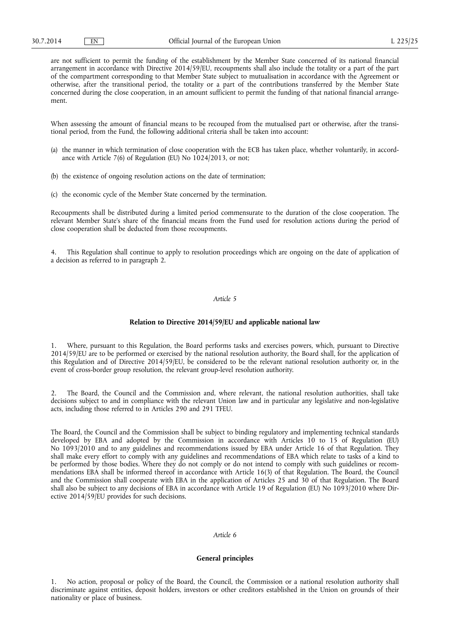are not sufficient to permit the funding of the establishment by the Member State concerned of its national financial arrangement in accordance with Directive 2014/59/EU, recoupments shall also include the totality or a part of the part of the compartment corresponding to that Member State subject to mutualisation in accordance with the Agreement or otherwise, after the transitional period, the totality or a part of the contributions transferred by the Member State concerned during the close cooperation, in an amount sufficient to permit the funding of that national financial arrangement.

When assessing the amount of financial means to be recouped from the mutualised part or otherwise, after the transitional period, from the Fund, the following additional criteria shall be taken into account:

- (a) the manner in which termination of close cooperation with the ECB has taken place, whether voluntarily, in accordance with Article 7(6) of Regulation (EU) No 1024/2013, or not;
- (b) the existence of ongoing resolution actions on the date of termination;
- (c) the economic cycle of the Member State concerned by the termination.

Recoupments shall be distributed during a limited period commensurate to the duration of the close cooperation. The relevant Member State's share of the financial means from the Fund used for resolution actions during the period of close cooperation shall be deducted from those recoupments.

4. This Regulation shall continue to apply to resolution proceedings which are ongoing on the date of application of a decision as referred to in paragraph 2.

#### *Article 5*

### **Relation to Directive 2014/59/EU and applicable national law**

1. Where, pursuant to this Regulation, the Board performs tasks and exercises powers, which, pursuant to Directive 2014/59/EU are to be performed or exercised by the national resolution authority, the Board shall, for the application of this Regulation and of Directive 2014/59/EU, be considered to be the relevant national resolution authority or, in the event of cross-border group resolution, the relevant group-level resolution authority.

2. The Board, the Council and the Commission and, where relevant, the national resolution authorities, shall take decisions subject to and in compliance with the relevant Union law and in particular any legislative and non-legislative acts, including those referred to in Articles 290 and 291 TFEU.

The Board, the Council and the Commission shall be subject to binding regulatory and implementing technical standards developed by EBA and adopted by the Commission in accordance with Articles 10 to 15 of Regulation (EU) No 1093/2010 and to any guidelines and recommendations issued by EBA under Article 16 of that Regulation. They shall make every effort to comply with any guidelines and recommendations of EBA which relate to tasks of a kind to be performed by those bodies. Where they do not comply or do not intend to comply with such guidelines or recommendations EBA shall be informed thereof in accordance with Article 16(3) of that Regulation. The Board, the Council and the Commission shall cooperate with EBA in the application of Articles 25 and 30 of that Regulation. The Board shall also be subject to any decisions of EBA in accordance with Article 19 of Regulation (EU) No 1093/2010 where Directive 2014/59/EU provides for such decisions.

# *Article 6*

#### **General principles**

1. No action, proposal or policy of the Board, the Council, the Commission or a national resolution authority shall discriminate against entities, deposit holders, investors or other creditors established in the Union on grounds of their nationality or place of business.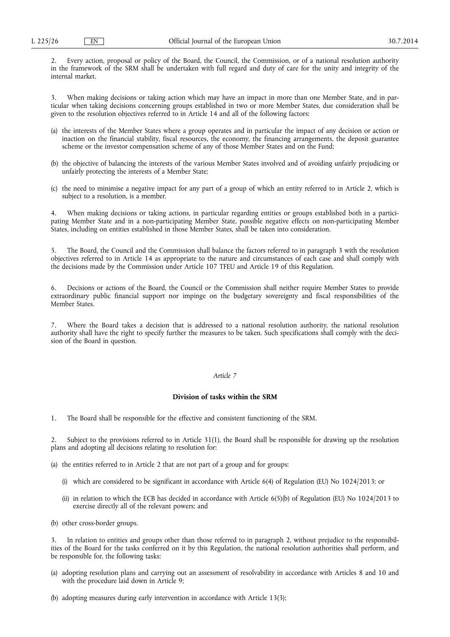2. Every action, proposal or policy of the Board, the Council, the Commission, or of a national resolution authority in the framework of the SRM shall be undertaken with full regard and duty of care for the unity and integrity of the internal market.

3. When making decisions or taking action which may have an impact in more than one Member State, and in particular when taking decisions concerning groups established in two or more Member States, due consideration shall be given to the resolution objectives referred to in Article 14 and all of the following factors:

- (a) the interests of the Member States where a group operates and in particular the impact of any decision or action or inaction on the financial stability, fiscal resources, the economy, the financing arrangements, the deposit guarantee scheme or the investor compensation scheme of any of those Member States and on the Fund;
- (b) the objective of balancing the interests of the various Member States involved and of avoiding unfairly prejudicing or unfairly protecting the interests of a Member State;
- (c) the need to minimise a negative impact for any part of a group of which an entity referred to in Article 2, which is subject to a resolution, is a member.

4. When making decisions or taking actions, in particular regarding entities or groups established both in a participating Member State and in a non-participating Member State, possible negative effects on non-participating Member States, including on entities established in those Member States, shall be taken into consideration.

5. The Board, the Council and the Commission shall balance the factors referred to in paragraph 3 with the resolution objectives referred to in Article 14 as appropriate to the nature and circumstances of each case and shall comply with the decisions made by the Commission under Article 107 TFEU and Article 19 of this Regulation.

6. Decisions or actions of the Board, the Council or the Commission shall neither require Member States to provide extraordinary public financial support nor impinge on the budgetary sovereignty and fiscal responsibilities of the Member States.

7. Where the Board takes a decision that is addressed to a national resolution authority, the national resolution authority shall have the right to specify further the measures to be taken. Such specifications shall comply with the decision of the Board in question.

# *Article 7*

# **Division of tasks within the SRM**

1. The Board shall be responsible for the effective and consistent functioning of the SRM.

2. Subject to the provisions referred to in Article 31(1), the Board shall be responsible for drawing up the resolution plans and adopting all decisions relating to resolution for:

(a) the entities referred to in Article 2 that are not part of a group and for groups:

- (i) which are considered to be significant in accordance with Article 6(4) of Regulation (EU) No 1024/2013; or
- (ii) in relation to which the ECB has decided in accordance with Article 6(5)(b) of Regulation (EU) No 1024/2013 to exercise directly all of the relevant powers; and
- (b) other cross-border groups.

3. In relation to entities and groups other than those referred to in paragraph 2, without prejudice to the responsibilities of the Board for the tasks conferred on it by this Regulation, the national resolution authorities shall perform, and be responsible for, the following tasks:

(a) adopting resolution plans and carrying out an assessment of resolvability in accordance with Articles 8 and 10 and with the procedure laid down in Article 9;

(b) adopting measures during early intervention in accordance with Article 13(3);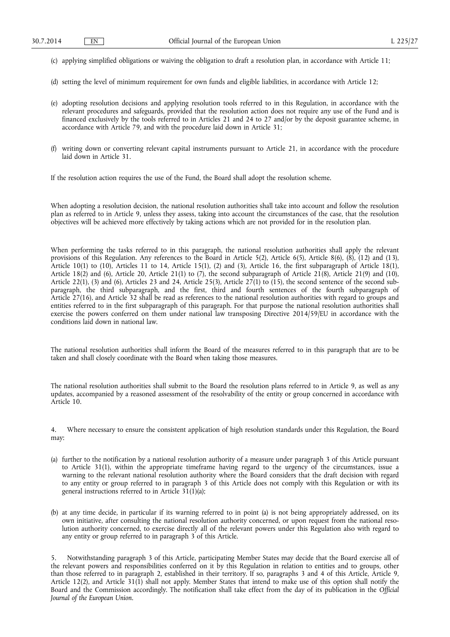- (c) applying simplified obligations or waiving the obligation to draft a resolution plan, in accordance with Article 11;
- (d) setting the level of minimum requirement for own funds and eligible liabilities, in accordance with Article 12;
- (e) adopting resolution decisions and applying resolution tools referred to in this Regulation, in accordance with the relevant procedures and safeguards, provided that the resolution action does not require any use of the Fund and is financed exclusively by the tools referred to in Articles 21 and 24 to 27 and/or by the deposit guarantee scheme, in accordance with Article 79, and with the procedure laid down in Article 31;
- (f) writing down or converting relevant capital instruments pursuant to Article 21, in accordance with the procedure laid down in Article 31.

If the resolution action requires the use of the Fund, the Board shall adopt the resolution scheme.

When adopting a resolution decision, the national resolution authorities shall take into account and follow the resolution plan as referred to in Article 9, unless they assess, taking into account the circumstances of the case, that the resolution objectives will be achieved more effectively by taking actions which are not provided for in the resolution plan.

When performing the tasks referred to in this paragraph, the national resolution authorities shall apply the relevant provisions of this Regulation. Any references to the Board in Article 5(2), Article 6(5), Article 8(6), (8), (12) and (13), Article 10(1) to (10), Articles 11 to 14, Article 15(1), (2) and (3), Article 16, the first subparagraph of Article 18(1), Article 18(2) and (6), Article 20, Article 21(1) to (7), the second subparagraph of Article 21(8), Article 21(9) and (10), Article 22(1), (3) and (6), Articles 23 and 24, Article 25(3), Article 27(1) to (15), the second sentence of the second subparagraph, the third subparagraph, and the first, third and fourth sentences of the fourth subparagraph of Article 27(16), and Article 32 shall be read as references to the national resolution authorities with regard to groups and entities referred to in the first subparagraph of this paragraph. For that purpose the national resolution authorities shall exercise the powers conferred on them under national law transposing Directive 2014/59/EU in accordance with the conditions laid down in national law.

The national resolution authorities shall inform the Board of the measures referred to in this paragraph that are to be taken and shall closely coordinate with the Board when taking those measures.

The national resolution authorities shall submit to the Board the resolution plans referred to in Article 9, as well as any updates, accompanied by a reasoned assessment of the resolvability of the entity or group concerned in accordance with Article 10.

4. Where necessary to ensure the consistent application of high resolution standards under this Regulation, the Board may:

- (a) further to the notification by a national resolution authority of a measure under paragraph 3 of this Article pursuant to Article 31(1), within the appropriate timeframe having regard to the urgency of the circumstances, issue a warning to the relevant national resolution authority where the Board considers that the draft decision with regard to any entity or group referred to in paragraph 3 of this Article does not comply with this Regulation or with its general instructions referred to in Article  $31(1)(a)$ ;
- (b) at any time decide, in particular if its warning referred to in point (a) is not being appropriately addressed, on its own initiative, after consulting the national resolution authority concerned, or upon request from the national resolution authority concerned, to exercise directly all of the relevant powers under this Regulation also with regard to any entity or group referred to in paragraph 3 of this Article.

5. Notwithstanding paragraph 3 of this Article, participating Member States may decide that the Board exercise all of the relevant powers and responsibilities conferred on it by this Regulation in relation to entities and to groups, other than those referred to in paragraph 2, established in their territory. If so, paragraphs 3 and 4 of this Article, Article 9, Article 12(2), and Article 31(1) shall not apply. Member States that intend to make use of this option shall notify the Board and the Commission accordingly. The notification shall take effect from the day of its publication in the *Official Journal of the European Union*.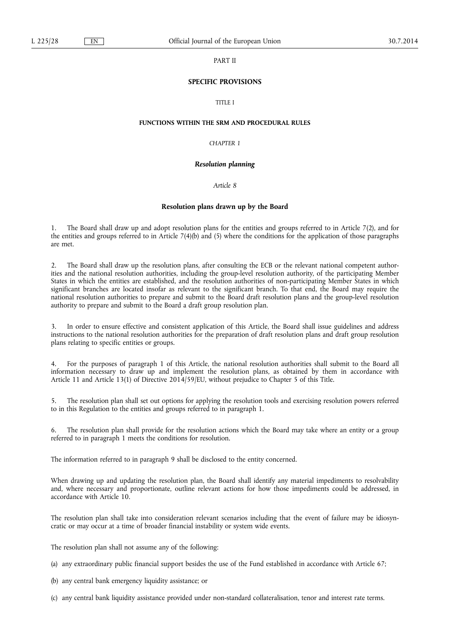## PART II

# **SPECIFIC PROVISIONS**

# TITLE I

### **FUNCTIONS WITHIN THE SRM AND PROCEDURAL RULES**

## *CHAPTER 1*

### *Resolution planning*

# *Article 8*

## **Resolution plans drawn up by the Board**

1. The Board shall draw up and adopt resolution plans for the entities and groups referred to in Article 7(2), and for the entities and groups referred to in Article 7(4)(b) and (5) where the conditions for the application of those paragraphs are met.

2. The Board shall draw up the resolution plans, after consulting the ECB or the relevant national competent authorities and the national resolution authorities, including the group-level resolution authority, of the participating Member States in which the entities are established, and the resolution authorities of non-participating Member States in which significant branches are located insofar as relevant to the significant branch. To that end, the Board may require the national resolution authorities to prepare and submit to the Board draft resolution plans and the group-level resolution authority to prepare and submit to the Board a draft group resolution plan.

3. In order to ensure effective and consistent application of this Article, the Board shall issue guidelines and address instructions to the national resolution authorities for the preparation of draft resolution plans and draft group resolution plans relating to specific entities or groups.

4. For the purposes of paragraph 1 of this Article, the national resolution authorities shall submit to the Board all information necessary to draw up and implement the resolution plans, as obtained by them in accordance with Article 11 and Article 13(1) of Directive 2014/59/EU, without prejudice to Chapter 5 of this Title.

5. The resolution plan shall set out options for applying the resolution tools and exercising resolution powers referred to in this Regulation to the entities and groups referred to in paragraph 1.

6. The resolution plan shall provide for the resolution actions which the Board may take where an entity or a group referred to in paragraph 1 meets the conditions for resolution.

The information referred to in paragraph 9 shall be disclosed to the entity concerned.

When drawing up and updating the resolution plan, the Board shall identify any material impediments to resolvability and, where necessary and proportionate, outline relevant actions for how those impediments could be addressed, in accordance with Article 10.

The resolution plan shall take into consideration relevant scenarios including that the event of failure may be idiosyncratic or may occur at a time of broader financial instability or system wide events.

The resolution plan shall not assume any of the following:

(a) any extraordinary public financial support besides the use of the Fund established in accordance with Article 67;

(b) any central bank emergency liquidity assistance; or

(c) any central bank liquidity assistance provided under non-standard collateralisation, tenor and interest rate terms.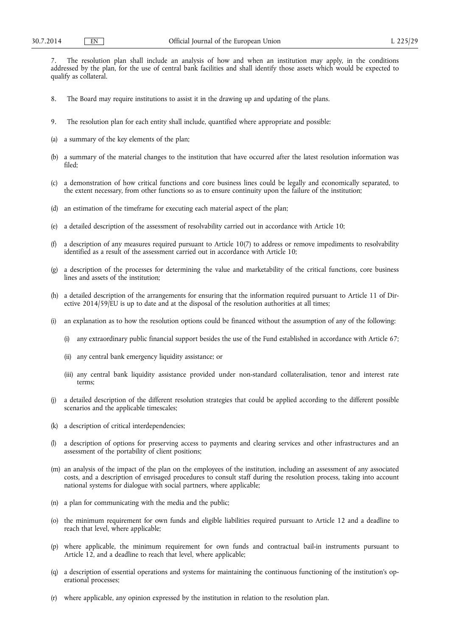7. The resolution plan shall include an analysis of how and when an institution may apply, in the conditions addressed by the plan, for the use of central bank facilities and shall identify those assets which would be expected to qualify as collateral.

- 8. The Board may require institutions to assist it in the drawing up and updating of the plans.
- 9. The resolution plan for each entity shall include, quantified where appropriate and possible:
- (a) a summary of the key elements of the plan;
- (b) a summary of the material changes to the institution that have occurred after the latest resolution information was filed;
- (c) a demonstration of how critical functions and core business lines could be legally and economically separated, to the extent necessary, from other functions so as to ensure continuity upon the failure of the institution;
- (d) an estimation of the timeframe for executing each material aspect of the plan;
- (e) a detailed description of the assessment of resolvability carried out in accordance with Article 10;
- (f) a description of any measures required pursuant to Article 10(7) to address or remove impediments to resolvability identified as a result of the assessment carried out in accordance with Article 10;
- (g) a description of the processes for determining the value and marketability of the critical functions, core business lines and assets of the institution;
- (h) a detailed description of the arrangements for ensuring that the information required pursuant to Article 11 of Directive 2014/59/EU is up to date and at the disposal of the resolution authorities at all times;
- (i) an explanation as to how the resolution options could be financed without the assumption of any of the following:
	- (i) any extraordinary public financial support besides the use of the Fund established in accordance with Article 67;
	- (ii) any central bank emergency liquidity assistance; or
	- (iii) any central bank liquidity assistance provided under non-standard collateralisation, tenor and interest rate terms;
- (j) a detailed description of the different resolution strategies that could be applied according to the different possible scenarios and the applicable timescales;
- (k) a description of critical interdependencies;
- (l) a description of options for preserving access to payments and clearing services and other infrastructures and an assessment of the portability of client positions;
- (m) an analysis of the impact of the plan on the employees of the institution, including an assessment of any associated costs, and a description of envisaged procedures to consult staff during the resolution process, taking into account national systems for dialogue with social partners, where applicable;
- (n) a plan for communicating with the media and the public;
- (o) the minimum requirement for own funds and eligible liabilities required pursuant to Article 12 and a deadline to reach that level, where applicable;
- (p) where applicable, the minimum requirement for own funds and contractual bail-in instruments pursuant to Article 12, and a deadline to reach that level, where applicable;
- (q) a description of essential operations and systems for maintaining the continuous functioning of the institution's operational processes;
- (r) where applicable, any opinion expressed by the institution in relation to the resolution plan.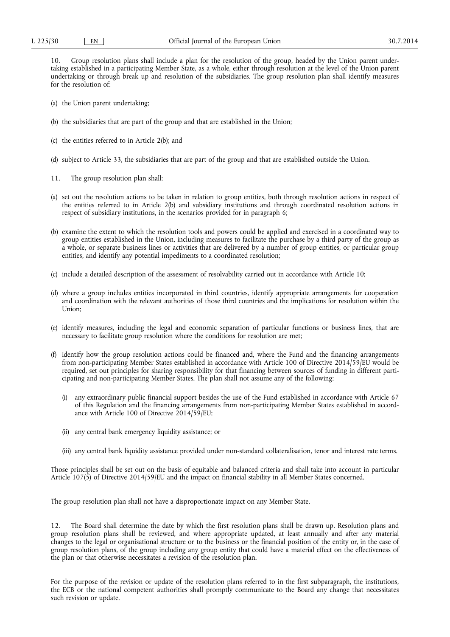10. Group resolution plans shall include a plan for the resolution of the group, headed by the Union parent undertaking established in a participating Member State, as a whole, either through resolution at the level of the Union parent undertaking or through break up and resolution of the subsidiaries. The group resolution plan shall identify measures for the resolution of:

- (a) the Union parent undertaking;
- (b) the subsidiaries that are part of the group and that are established in the Union;
- (c) the entities referred to in Article 2(b); and
- (d) subject to Article 33, the subsidiaries that are part of the group and that are established outside the Union.
- 11. The group resolution plan shall:
- (a) set out the resolution actions to be taken in relation to group entities, both through resolution actions in respect of the entities referred to in Article 2(b) and subsidiary institutions and through coordinated resolution actions in respect of subsidiary institutions, in the scenarios provided for in paragraph 6;
- (b) examine the extent to which the resolution tools and powers could be applied and exercised in a coordinated way to group entities established in the Union, including measures to facilitate the purchase by a third party of the group as a whole, or separate business lines or activities that are delivered by a number of group entities, or particular group entities, and identify any potential impediments to a coordinated resolution;
- (c) include a detailed description of the assessment of resolvability carried out in accordance with Article 10;
- (d) where a group includes entities incorporated in third countries, identify appropriate arrangements for cooperation and coordination with the relevant authorities of those third countries and the implications for resolution within the Union;
- (e) identify measures, including the legal and economic separation of particular functions or business lines, that are necessary to facilitate group resolution where the conditions for resolution are met;
- (f) identify how the group resolution actions could be financed and, where the Fund and the financing arrangements from non-participating Member States established in accordance with Article 100 of Directive 2014/59/EU would be required, set out principles for sharing responsibility for that financing between sources of funding in different participating and non-participating Member States. The plan shall not assume any of the following:
	- (i) any extraordinary public financial support besides the use of the Fund established in accordance with Article 67 of this Regulation and the financing arrangements from non-participating Member States established in accordance with Article 100 of Directive 2014/59/EU;
	- (ii) any central bank emergency liquidity assistance; or
	- (iii) any central bank liquidity assistance provided under non-standard collateralisation, tenor and interest rate terms.

Those principles shall be set out on the basis of equitable and balanced criteria and shall take into account in particular Article 107(5) of Directive 2014/59/EU and the impact on financial stability in all Member States concerned.

The group resolution plan shall not have a disproportionate impact on any Member State.

12. The Board shall determine the date by which the first resolution plans shall be drawn up. Resolution plans and group resolution plans shall be reviewed, and where appropriate updated, at least annually and after any material changes to the legal or organisational structure or to the business or the financial position of the entity or, in the case of group resolution plans, of the group including any group entity that could have a material effect on the effectiveness of the plan or that otherwise necessitates a revision of the resolution plan.

For the purpose of the revision or update of the resolution plans referred to in the first subparagraph, the institutions, the ECB or the national competent authorities shall promptly communicate to the Board any change that necessitates such revision or update.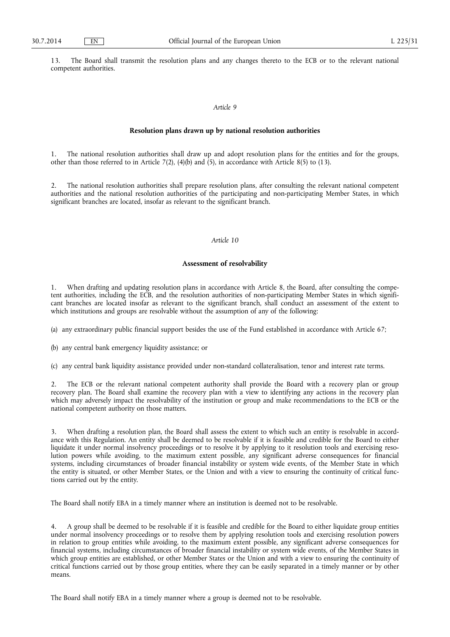13. The Board shall transmit the resolution plans and any changes thereto to the ECB or to the relevant national competent authorities.

# *Article 9*

## **Resolution plans drawn up by national resolution authorities**

1. The national resolution authorities shall draw up and adopt resolution plans for the entities and for the groups, other than those referred to in Article 7(2), (4)(b) and  $(5)$ , in accordance with Article 8(5) to (13).

The national resolution authorities shall prepare resolution plans, after consulting the relevant national competent authorities and the national resolution authorities of the participating and non-participating Member States, in which significant branches are located, insofar as relevant to the significant branch.

## *Article 10*

## **Assessment of resolvability**

1. When drafting and updating resolution plans in accordance with Article 8, the Board, after consulting the competent authorities, including the ECB, and the resolution authorities of non-participating Member States in which significant branches are located insofar as relevant to the significant branch, shall conduct an assessment of the extent to which institutions and groups are resolvable without the assumption of any of the following:

(a) any extraordinary public financial support besides the use of the Fund established in accordance with Article 67;

(b) any central bank emergency liquidity assistance; or

(c) any central bank liquidity assistance provided under non-standard collateralisation, tenor and interest rate terms.

The ECB or the relevant national competent authority shall provide the Board with a recovery plan or group recovery plan. The Board shall examine the recovery plan with a view to identifying any actions in the recovery plan which may adversely impact the resolvability of the institution or group and make recommendations to the ECB or the national competent authority on those matters.

3. When drafting a resolution plan, the Board shall assess the extent to which such an entity is resolvable in accordance with this Regulation. An entity shall be deemed to be resolvable if it is feasible and credible for the Board to either liquidate it under normal insolvency proceedings or to resolve it by applying to it resolution tools and exercising resolution powers while avoiding, to the maximum extent possible, any significant adverse consequences for financial systems, including circumstances of broader financial instability or system wide events, of the Member State in which the entity is situated, or other Member States, or the Union and with a view to ensuring the continuity of critical functions carried out by the entity.

The Board shall notify EBA in a timely manner where an institution is deemed not to be resolvable.

4. A group shall be deemed to be resolvable if it is feasible and credible for the Board to either liquidate group entities under normal insolvency proceedings or to resolve them by applying resolution tools and exercising resolution powers in relation to group entities while avoiding, to the maximum extent possible, any significant adverse consequences for financial systems, including circumstances of broader financial instability or system wide events, of the Member States in which group entities are established, or other Member States or the Union and with a view to ensuring the continuity of critical functions carried out by those group entities, where they can be easily separated in a timely manner or by other means.

The Board shall notify EBA in a timely manner where a group is deemed not to be resolvable.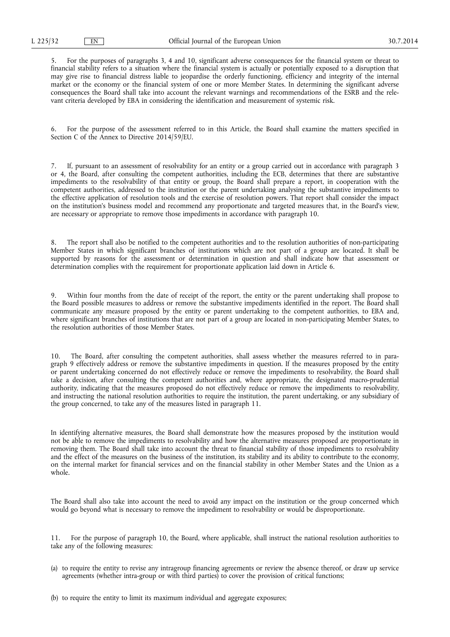5. For the purposes of paragraphs 3, 4 and 10, significant adverse consequences for the financial system or threat to financial stability refers to a situation where the financial system is actually or potentially exposed to a disruption that may give rise to financial distress liable to jeopardise the orderly functioning, efficiency and integrity of the internal market or the economy or the financial system of one or more Member States. In determining the significant adverse consequences the Board shall take into account the relevant warnings and recommendations of the ESRB and the relevant criteria developed by EBA in considering the identification and measurement of systemic risk.

6. For the purpose of the assessment referred to in this Article, the Board shall examine the matters specified in Section C of the Annex to Directive 2014/59/EU.

7. If, pursuant to an assessment of resolvability for an entity or a group carried out in accordance with paragraph 3 or 4, the Board, after consulting the competent authorities, including the ECB, determines that there are substantive impediments to the resolvability of that entity or group, the Board shall prepare a report, in cooperation with the competent authorities, addressed to the institution or the parent undertaking analysing the substantive impediments to the effective application of resolution tools and the exercise of resolution powers. That report shall consider the impact on the institution's business model and recommend any proportionate and targeted measures that, in the Board's view, are necessary or appropriate to remove those impediments in accordance with paragraph 10.

8. The report shall also be notified to the competent authorities and to the resolution authorities of non-participating Member States in which significant branches of institutions which are not part of a group are located. It shall be supported by reasons for the assessment or determination in question and shall indicate how that assessment or determination complies with the requirement for proportionate application laid down in Article 6.

9. Within four months from the date of receipt of the report, the entity or the parent undertaking shall propose to the Board possible measures to address or remove the substantive impediments identified in the report. The Board shall communicate any measure proposed by the entity or parent undertaking to the competent authorities, to EBA and, where significant branches of institutions that are not part of a group are located in non-participating Member States, to the resolution authorities of those Member States.

10. The Board, after consulting the competent authorities, shall assess whether the measures referred to in paragraph 9 effectively address or remove the substantive impediments in question. If the measures proposed by the entity or parent undertaking concerned do not effectively reduce or remove the impediments to resolvability, the Board shall take a decision, after consulting the competent authorities and, where appropriate, the designated macro-prudential authority, indicating that the measures proposed do not effectively reduce or remove the impediments to resolvability, and instructing the national resolution authorities to require the institution, the parent undertaking, or any subsidiary of the group concerned, to take any of the measures listed in paragraph 11.

In identifying alternative measures, the Board shall demonstrate how the measures proposed by the institution would not be able to remove the impediments to resolvability and how the alternative measures proposed are proportionate in removing them. The Board shall take into account the threat to financial stability of those impediments to resolvability and the effect of the measures on the business of the institution, its stability and its ability to contribute to the economy, on the internal market for financial services and on the financial stability in other Member States and the Union as a whole.

The Board shall also take into account the need to avoid any impact on the institution or the group concerned which would go beyond what is necessary to remove the impediment to resolvability or would be disproportionate.

11. For the purpose of paragraph 10, the Board, where applicable, shall instruct the national resolution authorities to take any of the following measures:

- (a) to require the entity to revise any intragroup financing agreements or review the absence thereof, or draw up service agreements (whether intra-group or with third parties) to cover the provision of critical functions;
- (b) to require the entity to limit its maximum individual and aggregate exposures;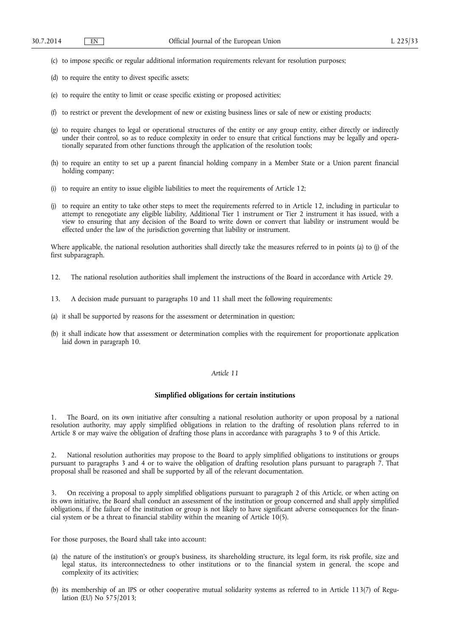- (c) to impose specific or regular additional information requirements relevant for resolution purposes;
- (d) to require the entity to divest specific assets;
- (e) to require the entity to limit or cease specific existing or proposed activities;
- (f) to restrict or prevent the development of new or existing business lines or sale of new or existing products;
- (g) to require changes to legal or operational structures of the entity or any group entity, either directly or indirectly under their control, so as to reduce complexity in order to ensure that critical functions may be legally and operationally separated from other functions through the application of the resolution tools;
- (h) to require an entity to set up a parent financial holding company in a Member State or a Union parent financial holding company;
- (i) to require an entity to issue eligible liabilities to meet the requirements of Article 12;
- (j) to require an entity to take other steps to meet the requirements referred to in Article 12, including in particular to attempt to renegotiate any eligible liability, Additional Tier 1 instrument or Tier 2 instrument it has issued, with a view to ensuring that any decision of the Board to write down or convert that liability or instrument would be effected under the law of the jurisdiction governing that liability or instrument.

Where applicable, the national resolution authorities shall directly take the measures referred to in points (a) to (j) of the first subparagraph.

- 12. The national resolution authorities shall implement the instructions of the Board in accordance with Article 29.
- 13. A decision made pursuant to paragraphs 10 and 11 shall meet the following requirements:
- (a) it shall be supported by reasons for the assessment or determination in question;
- (b) it shall indicate how that assessment or determination complies with the requirement for proportionate application laid down in paragraph 10.

### *Article 11*

# **Simplified obligations for certain institutions**

1. The Board, on its own initiative after consulting a national resolution authority or upon proposal by a national resolution authority, may apply simplified obligations in relation to the drafting of resolution plans referred to in Article 8 or may waive the obligation of drafting those plans in accordance with paragraphs 3 to 9 of this Article.

2. National resolution authorities may propose to the Board to apply simplified obligations to institutions or groups pursuant to paragraphs 3 and 4 or to waive the obligation of drafting resolution plans pursuant to paragraph 7. That proposal shall be reasoned and shall be supported by all of the relevant documentation.

3. On receiving a proposal to apply simplified obligations pursuant to paragraph 2 of this Article, or when acting on its own initiative, the Board shall conduct an assessment of the institution or group concerned and shall apply simplified obligations, if the failure of the institution or group is not likely to have significant adverse consequences for the financial system or be a threat to financial stability within the meaning of Article 10(5).

For those purposes, the Board shall take into account:

- (a) the nature of the institution's or group's business, its shareholding structure, its legal form, its risk profile, size and legal status, its interconnectedness to other institutions or to the financial system in general, the scope and complexity of its activities;
- (b) its membership of an IPS or other cooperative mutual solidarity systems as referred to in Article 113(7) of Regulation (EU) No 575/2013;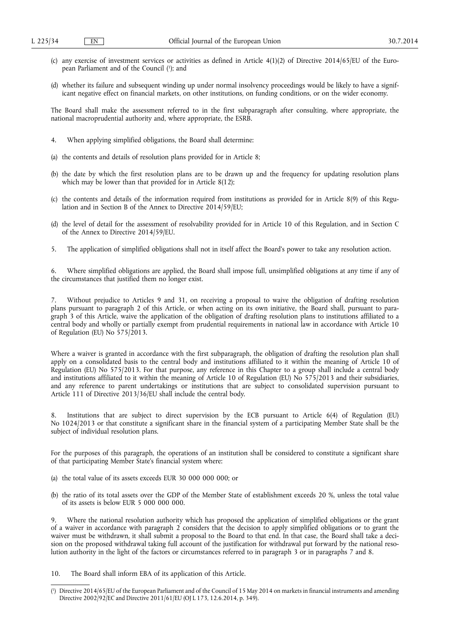- (c) any exercise of investment services or activities as defined in Article  $4(1)(2)$  of Directive 2014/65/EU of the European Parliament and of the Council ( 1 ); and
- (d) whether its failure and subsequent winding up under normal insolvency proceedings would be likely to have a significant negative effect on financial markets, on other institutions, on funding conditions, or on the wider economy.

The Board shall make the assessment referred to in the first subparagraph after consulting, where appropriate, the national macroprudential authority and, where appropriate, the ESRB.

- 4. When applying simplified obligations, the Board shall determine:
- (a) the contents and details of resolution plans provided for in Article 8;
- (b) the date by which the first resolution plans are to be drawn up and the frequency for updating resolution plans which may be lower than that provided for in Article 8(12);
- (c) the contents and details of the information required from institutions as provided for in Article 8(9) of this Regulation and in Section B of the Annex to Directive 2014/59/EU;
- (d) the level of detail for the assessment of resolvability provided for in Article 10 of this Regulation, and in Section C of the Annex to Directive 2014/59/EU.
- 5. The application of simplified obligations shall not in itself affect the Board's power to take any resolution action.

6. Where simplified obligations are applied, the Board shall impose full, unsimplified obligations at any time if any of the circumstances that justified them no longer exist.

7. Without prejudice to Articles 9 and 31, on receiving a proposal to waive the obligation of drafting resolution plans pursuant to paragraph 2 of this Article, or when acting on its own initiative, the Board shall, pursuant to paragraph 3 of this Article, waive the application of the obligation of drafting resolution plans to institutions affiliated to a central body and wholly or partially exempt from prudential requirements in national law in accordance with Article 10 of Regulation (EU) No 575/2013.

Where a waiver is granted in accordance with the first subparagraph, the obligation of drafting the resolution plan shall apply on a consolidated basis to the central body and institutions affiliated to it within the meaning of Article 10 of Regulation (EU) No 575/2013. For that purpose, any reference in this Chapter to a group shall include a central body and institutions affiliated to it within the meaning of Article 10 of Regulation (EU) No 575/2013 and their subsidiaries, and any reference to parent undertakings or institutions that are subject to consolidated supervision pursuant to Article 111 of Directive 2013/36/EU shall include the central body.

8. Institutions that are subject to direct supervision by the ECB pursuant to Article 6(4) of Regulation (EU) No 1024/2013 or that constitute a significant share in the financial system of a participating Member State shall be the subject of individual resolution plans.

For the purposes of this paragraph, the operations of an institution shall be considered to constitute a significant share of that participating Member State's financial system where:

- (a) the total value of its assets exceeds EUR 30 000 000 000; or
- (b) the ratio of its total assets over the GDP of the Member State of establishment exceeds 20 %, unless the total value of its assets is below EUR 5 000 000 000.

Where the national resolution authority which has proposed the application of simplified obligations or the grant of a waiver in accordance with paragraph 2 considers that the decision to apply simplified obligations or to grant the waiver must be withdrawn, it shall submit a proposal to the Board to that end. In that case, the Board shall take a decision on the proposed withdrawal taking full account of the justification for withdrawal put forward by the national resolution authority in the light of the factors or circumstances referred to in paragraph 3 or in paragraphs 7 and 8.

10. The Board shall inform EBA of its application of this Article.

<sup>(</sup> 1 ) Directive 2014/65/EU of the European Parliament and of the Council of 15 May 2014 on markets in financial instruments and amending Directive 2002/92/EC and Directive 2011/61/EU (OJ L 173, 12.6.2014, p. 349).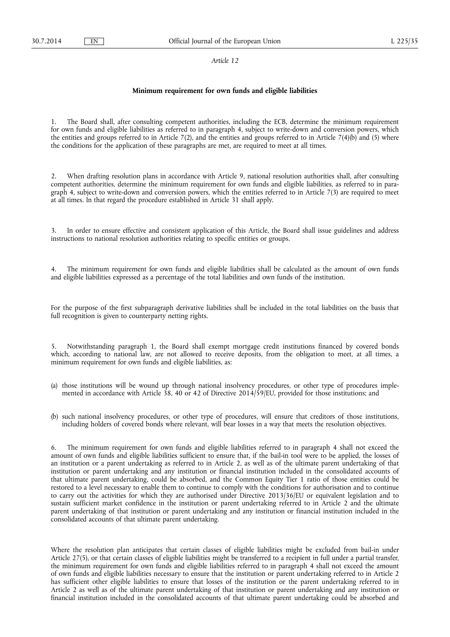#### *Article 12*

## **Minimum requirement for own funds and eligible liabilities**

The Board shall, after consulting competent authorities, including the ECB, determine the minimum requirement for own funds and eligible liabilities as referred to in paragraph 4, subject to write-down and conversion powers, which the entities and groups referred to in Article 7(2), and the entities and groups referred to in Article 7(4)(b) and (5) where the conditions for the application of these paragraphs are met, are required to meet at all times.

2. When drafting resolution plans in accordance with Article 9, national resolution authorities shall, after consulting competent authorities, determine the minimum requirement for own funds and eligible liabilities, as referred to in paragraph 4, subject to write-down and conversion powers, which the entities referred to in Article 7(3) are required to meet at all times. In that regard the procedure established in Article 31 shall apply.

3. In order to ensure effective and consistent application of this Article, the Board shall issue guidelines and address instructions to national resolution authorities relating to specific entities or groups.

The minimum requirement for own funds and eligible liabilities shall be calculated as the amount of own funds and eligible liabilities expressed as a percentage of the total liabilities and own funds of the institution.

For the purpose of the first subparagraph derivative liabilities shall be included in the total liabilities on the basis that full recognition is given to counterparty netting rights.

5. Notwithstanding paragraph 1, the Board shall exempt mortgage credit institutions financed by covered bonds which, according to national law, are not allowed to receive deposits, from the obligation to meet, at all times, a minimum requirement for own funds and eligible liabilities, as:

- (a) those institutions will be wound up through national insolvency procedures, or other type of procedures implemented in accordance with Article 38, 40 or 42 of Directive 2014/59/EU, provided for those institutions; and
- (b) such national insolvency procedures, or other type of procedures, will ensure that creditors of those institutions, including holders of covered bonds where relevant, will bear losses in a way that meets the resolution objectives.

6. The minimum requirement for own funds and eligible liabilities referred to in paragraph 4 shall not exceed the amount of own funds and eligible liabilities sufficient to ensure that, if the bail-in tool were to be applied, the losses of an institution or a parent undertaking as referred to in Article 2, as well as of the ultimate parent undertaking of that institution or parent undertaking and any institution or financial institution included in the consolidated accounts of that ultimate parent undertaking, could be absorbed, and the Common Equity Tier 1 ratio of those entities could be restored to a level necessary to enable them to continue to comply with the conditions for authorisation and to continue to carry out the activities for which they are authorised under Directive 2013/36/EU or equivalent legislation and to sustain sufficient market confidence in the institution or parent undertaking referred to in Article 2 and the ultimate parent undertaking of that institution or parent undertaking and any institution or financial institution included in the consolidated accounts of that ultimate parent undertaking.

Where the resolution plan anticipates that certain classes of eligible liabilities might be excluded from bail-in under Article 27(5), or that certain classes of eligible liabilities might be transferred to a recipient in full under a partial transfer, the minimum requirement for own funds and eligible liabilities referred to in paragraph 4 shall not exceed the amount of own funds and eligible liabilities necessary to ensure that the institution or parent undertaking referred to in Article 2 has sufficient other eligible liabilities to ensure that losses of the institution or the parent undertaking referred to in Article 2 as well as of the ultimate parent undertaking of that institution or parent undertaking and any institution or financial institution included in the consolidated accounts of that ultimate parent undertaking could be absorbed and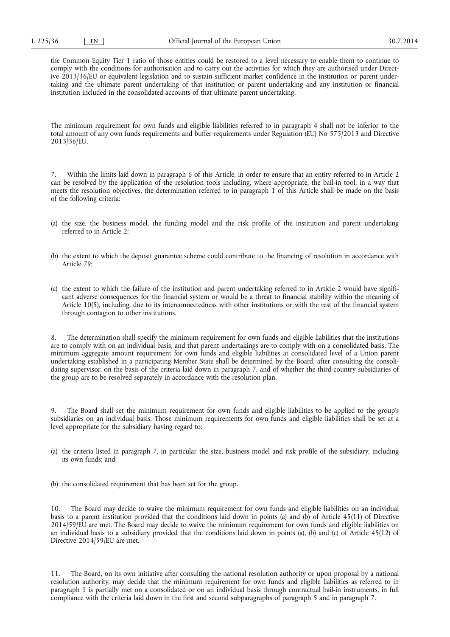the Common Equity Tier 1 ratio of those entities could be restored to a level necessary to enable them to continue to comply with the conditions for authorisation and to carry out the activities for which they are authorised under Directive 2013/36/EU or equivalent legislation and to sustain sufficient market confidence in the institution or parent undertaking and the ultimate parent undertaking of that institution or parent undertaking and any institution or financial institution included in the consolidated accounts of that ultimate parent undertaking.

The minimum requirement for own funds and eligible liabilities referred to in paragraph 4 shall not be inferior to the total amount of any own funds requirements and buffer requirements under Regulation (EU) No 575/2013 and Directive 2013/36/EU.

7. Within the limits laid down in paragraph 6 of this Article, in order to ensure that an entity referred to in Article 2 can be resolved by the application of the resolution tools including, where appropriate, the bail-in tool, in a way that meets the resolution objectives, the determination referred to in paragraph 1 of this Article shall be made on the basis of the following criteria:

- (a) the size, the business model, the funding model and the risk profile of the institution and parent undertaking referred to in Article 2;
- (b) the extent to which the deposit guarantee scheme could contribute to the financing of resolution in accordance with Article 79;
- (c) the extent to which the failure of the institution and parent undertaking referred to in Article 2 would have significant adverse consequences for the financial system or would be a threat to financial stability within the meaning of Article 10(5), including, due to its interconnectedness with other institutions or with the rest of the financial system through contagion to other institutions.

8. The determination shall specify the minimum requirement for own funds and eligible liabilities that the institutions are to comply with on an individual basis, and that parent undertakings are to comply with on a consolidated basis. The minimum aggregate amount requirement for own funds and eligible liabilities at consolidated level of a Union parent undertaking established in a participating Member State shall be determined by the Board, after consulting the consolidating supervisor, on the basis of the criteria laid down in paragraph 7, and of whether the third-country subsidiaries of the group are to be resolved separately in accordance with the resolution plan.

9. The Board shall set the minimum requirement for own funds and eligible liabilities to be applied to the group's subsidiaries on an individual basis. Those minimum requirements for own funds and eligible liabilities shall be set at a level appropriate for the subsidiary having regard to:

- (a) the criteria listed in paragraph 7, in particular the size, business model and risk profile of the subsidiary, including its own funds; and
- (b) the consolidated requirement that has been set for the group.

10. The Board may decide to waive the minimum requirement for own funds and eligible liabilities on an individual basis to a parent institution provided that the conditions laid down in points (a) and (b) of Article 45(11) of Directive 2014/59/EU are met. The Board may decide to waive the minimum requirement for own funds and eligible liabilities on an individual basis to a subsidiary provided that the conditions laid down in points (a), (b) and (c) of Article 45(12) of Directive 2014/59/EU are met.

11. The Board, on its own initiative after consulting the national resolution authority or upon proposal by a national resolution authority, may decide that the minimum requirement for own funds and eligible liabilities as referred to in paragraph 1 is partially met on a consolidated or on an individual basis through contractual bail-in instruments, in full compliance with the criteria laid down in the first and second subparagraphs of paragraph 5 and in paragraph 7.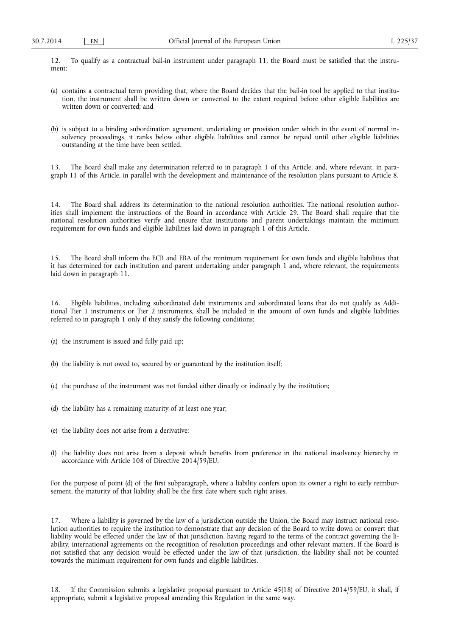12. To qualify as a contractual bail-in instrument under paragraph 11, the Board must be satisfied that the instrument:

- (a) contains a contractual term providing that, where the Board decides that the bail-in tool be applied to that institution, the instrument shall be written down or converted to the extent required before other eligible liabilities are written down or converted; and
- (b) is subject to a binding subordination agreement, undertaking or provision under which in the event of normal insolvency proceedings, it ranks below other eligible liabilities and cannot be repaid until other eligible liabilities outstanding at the time have been settled.

13. The Board shall make any determination referred to in paragraph 1 of this Article, and, where relevant, in paragraph 11 of this Article, in parallel with the development and maintenance of the resolution plans pursuant to Article 8.

14. The Board shall address its determination to the national resolution authorities. The national resolution authorities shall implement the instructions of the Board in accordance with Article 29. The Board shall require that the national resolution authorities verify and ensure that institutions and parent undertakings maintain the minimum requirement for own funds and eligible liabilities laid down in paragraph 1 of this Article.

15. The Board shall inform the ECB and EBA of the minimum requirement for own funds and eligible liabilities that it has determined for each institution and parent undertaking under paragraph 1 and, where relevant, the requirements laid down in paragraph 11.

16. Eligible liabilities, including subordinated debt instruments and subordinated loans that do not qualify as Additional Tier 1 instruments or Tier 2 instruments, shall be included in the amount of own funds and eligible liabilities referred to in paragraph 1 only if they satisfy the following conditions:

(a) the instrument is issued and fully paid up;

- (b) the liability is not owed to, secured by or guaranteed by the institution itself;
- (c) the purchase of the instrument was not funded either directly or indirectly by the institution;
- (d) the liability has a remaining maturity of at least one year;
- (e) the liability does not arise from a derivative;
- (f) the liability does not arise from a deposit which benefits from preference in the national insolvency hierarchy in accordance with Article 108 of Directive 2014/59/EU.

For the purpose of point (d) of the first subparagraph, where a liability confers upon its owner a right to early reimbursement, the maturity of that liability shall be the first date where such right arises.

17. Where a liability is governed by the law of a jurisdiction outside the Union, the Board may instruct national resolution authorities to require the institution to demonstrate that any decision of the Board to write down or convert that liability would be effected under the law of that jurisdiction, having regard to the terms of the contract governing the liability, international agreements on the recognition of resolution proceedings and other relevant matters. If the Board is not satisfied that any decision would be effected under the law of that jurisdiction, the liability shall not be counted towards the minimum requirement for own funds and eligible liabilities.

If the Commission submits a legislative proposal pursuant to Article  $45(18)$  of Directive 2014/59/EU, it shall, if appropriate, submit a legislative proposal amending this Regulation in the same way.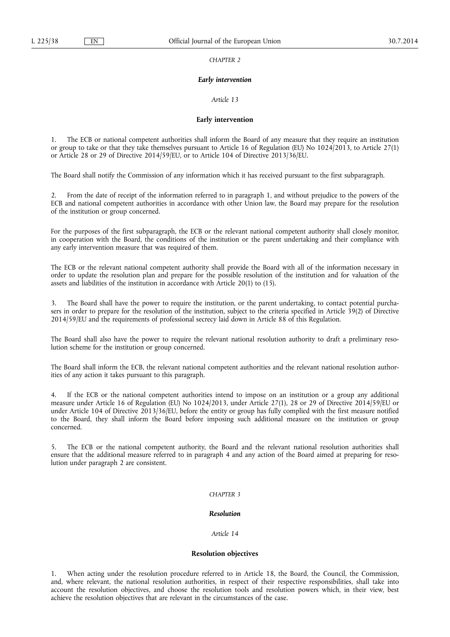*CHAPTER 2* 

#### *Early intervention*

*Article 13* 

#### **Early intervention**

1. The ECB or national competent authorities shall inform the Board of any measure that they require an institution or group to take or that they take themselves pursuant to Article 16 of Regulation (EU) No 1024/2013, to Article 27(1) or Article 28 or 29 of Directive 2014/59/EU, or to Article 104 of Directive 2013/36/EU.

The Board shall notify the Commission of any information which it has received pursuant to the first subparagraph.

2. From the date of receipt of the information referred to in paragraph 1, and without prejudice to the powers of the ECB and national competent authorities in accordance with other Union law, the Board may prepare for the resolution of the institution or group concerned.

For the purposes of the first subparagraph, the ECB or the relevant national competent authority shall closely monitor, in cooperation with the Board, the conditions of the institution or the parent undertaking and their compliance with any early intervention measure that was required of them.

The ECB or the relevant national competent authority shall provide the Board with all of the information necessary in order to update the resolution plan and prepare for the possible resolution of the institution and for valuation of the assets and liabilities of the institution in accordance with Article 20(1) to (15).

The Board shall have the power to require the institution, or the parent undertaking, to contact potential purchasers in order to prepare for the resolution of the institution, subject to the criteria specified in Article 39(2) of Directive 2014/59/EU and the requirements of professional secrecy laid down in Article 88 of this Regulation.

The Board shall also have the power to require the relevant national resolution authority to draft a preliminary resolution scheme for the institution or group concerned.

The Board shall inform the ECB, the relevant national competent authorities and the relevant national resolution authorities of any action it takes pursuant to this paragraph.

4. If the ECB or the national competent authorities intend to impose on an institution or a group any additional measure under Article 16 of Regulation (EU) No 1024/2013, under Article 27(1), 28 or 29 of Directive 2014/59/EU or under Article 104 of Directive 2013/36/EU, before the entity or group has fully complied with the first measure notified to the Board, they shall inform the Board before imposing such additional measure on the institution or group concerned.

5. The ECB or the national competent authority, the Board and the relevant national resolution authorities shall ensure that the additional measure referred to in paragraph 4 and any action of the Board aimed at preparing for resolution under paragraph 2 are consistent.

### *CHAPTER 3*

### *Resolution*

### *Article 14*

#### **Resolution objectives**

1. When acting under the resolution procedure referred to in Article 18, the Board, the Council, the Commission, and, where relevant, the national resolution authorities, in respect of their respective responsibilities, shall take into account the resolution objectives, and choose the resolution tools and resolution powers which, in their view, best achieve the resolution objectives that are relevant in the circumstances of the case.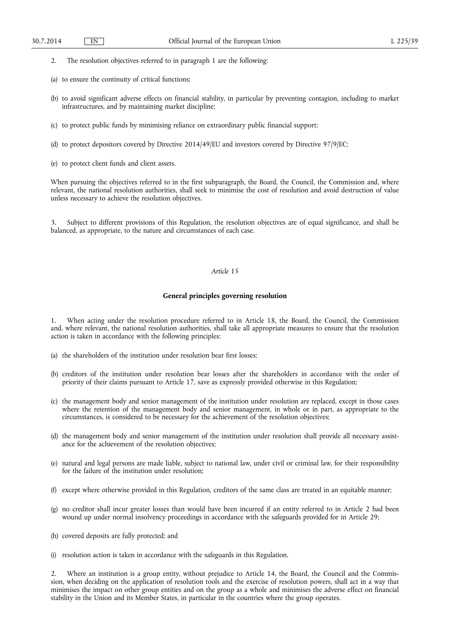2. The resolution objectives referred to in paragraph 1 are the following:

- (a) to ensure the continuity of critical functions;
- (b) to avoid significant adverse effects on financial stability, in particular by preventing contagion, including to market infrastructures, and by maintaining market discipline;
- (c) to protect public funds by minimising reliance on extraordinary public financial support;
- (d) to protect depositors covered by Directive 2014/49/EU and investors covered by Directive 97/9/EC;
- (e) to protect client funds and client assets.

When pursuing the objectives referred to in the first subparagraph, the Board, the Council, the Commission and, where relevant, the national resolution authorities, shall seek to minimise the cost of resolution and avoid destruction of value unless necessary to achieve the resolution objectives.

3. Subject to different provisions of this Regulation, the resolution objectives are of equal significance, and shall be balanced, as appropriate, to the nature and circumstances of each case.

### *Article 15*

### **General principles governing resolution**

When acting under the resolution procedure referred to in Article 18, the Board, the Council, the Commission and, where relevant, the national resolution authorities, shall take all appropriate measures to ensure that the resolution action is taken in accordance with the following principles:

- (a) the shareholders of the institution under resolution bear first losses;
- (b) creditors of the institution under resolution bear losses after the shareholders in accordance with the order of priority of their claims pursuant to Article 17, save as expressly provided otherwise in this Regulation;
- (c) the management body and senior management of the institution under resolution are replaced, except in those cases where the retention of the management body and senior management, in whole or in part, as appropriate to the circumstances, is considered to be necessary for the achievement of the resolution objectives;
- (d) the management body and senior management of the institution under resolution shall provide all necessary assistance for the achievement of the resolution objectives;
- (e) natural and legal persons are made liable, subject to national law, under civil or criminal law, for their responsibility for the failure of the institution under resolution;
- (f) except where otherwise provided in this Regulation, creditors of the same class are treated in an equitable manner;
- (g) no creditor shall incur greater losses than would have been incurred if an entity referred to in Article 2 had been wound up under normal insolvency proceedings in accordance with the safeguards provided for in Article 29;
- (h) covered deposits are fully protected; and
- (i) resolution action is taken in accordance with the safeguards in this Regulation.

2. Where an institution is a group entity, without prejudice to Article 14, the Board, the Council and the Commission, when deciding on the application of resolution tools and the exercise of resolution powers, shall act in a way that minimises the impact on other group entities and on the group as a whole and minimises the adverse effect on financial stability in the Union and its Member States, in particular in the countries where the group operates.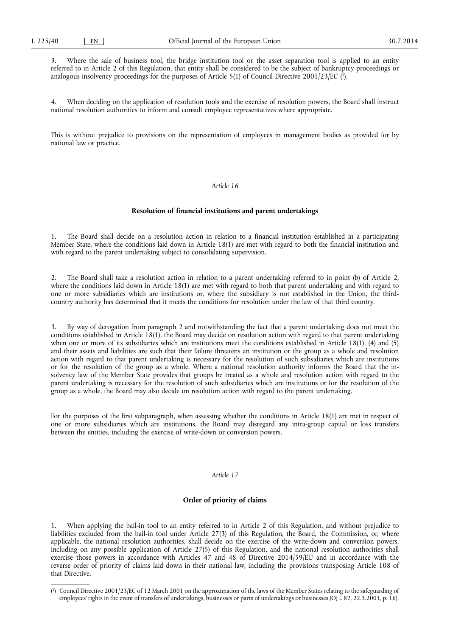3. Where the sale of business tool, the bridge institution tool or the asset separation tool is applied to an entity referred to in Article 2 of this Regulation, that entity shall be considered to be the subject of bankruptcy proceedings or analogous insolvency proceedings for the purposes of Article 5(1) of Council Directive 2001/23/EC (<sup>1</sup>).

4. When deciding on the application of resolution tools and the exercise of resolution powers, the Board shall instruct national resolution authorities to inform and consult employee representatives where appropriate.

This is without prejudice to provisions on the representation of employees in management bodies as provided for by national law or practice.

## *Article 16*

### **Resolution of financial institutions and parent undertakings**

1. The Board shall decide on a resolution action in relation to a financial institution established in a participating Member State, where the conditions laid down in Article 18(1) are met with regard to both the financial institution and with regard to the parent undertaking subject to consolidating supervision.

2. The Board shall take a resolution action in relation to a parent undertaking referred to in point (b) of Article 2, where the conditions laid down in Article 18(1) are met with regard to both that parent undertaking and with regard to one or more subsidiaries which are institutions or, where the subsidiary is not established in the Union, the thirdcountry authority has determined that it meets the conditions for resolution under the law of that third country.

3. By way of derogation from paragraph 2 and notwithstanding the fact that a parent undertaking does not meet the conditions established in Article 18(1), the Board may decide on resolution action with regard to that parent undertaking when one or more of its subsidiaries which are institutions meet the conditions established in Article 18(1), (4) and (5) and their assets and liabilities are such that their failure threatens an institution or the group as a whole and resolution action with regard to that parent undertaking is necessary for the resolution of such subsidiaries which are institutions or for the resolution of the group as a whole. Where a national resolution authority informs the Board that the insolvency law of the Member State provides that groups be treated as a whole and resolution action with regard to the parent undertaking is necessary for the resolution of such subsidiaries which are institutions or for the resolution of the group as a whole, the Board may also decide on resolution action with regard to the parent undertaking.

For the purposes of the first subparagraph, when assessing whether the conditions in Article 18(1) are met in respect of one or more subsidiaries which are institutions, the Board may disregard any intra-group capital or loss transfers between the entities, including the exercise of write-down or conversion powers.

### *Article 17*

## **Order of priority of claims**

1. When applying the bail-in tool to an entity referred to in Article 2 of this Regulation, and without prejudice to liabilities excluded from the bail-in tool under Article 27(3) of this Regulation, the Board, the Commission, or, where applicable, the national resolution authorities, shall decide on the exercise of the write-down and conversion powers, including on any possible application of Article 27(5) of this Regulation, and the national resolution authorities shall exercise those powers in accordance with Articles 47 and 48 of Directive 2014/59/EU and in accordance with the reverse order of priority of claims laid down in their national law, including the provisions transposing Article 108 of that Directive.

<sup>(</sup> 1 ) Council Directive 2001/23/EC of 12 March 2001 on the approximation of the laws of the Member States relating to the safeguarding of employees' rights in the event of transfers of undertakings, businesses or parts of undertakings or businesses (OJ L 82, 22.3.2001, p. 16).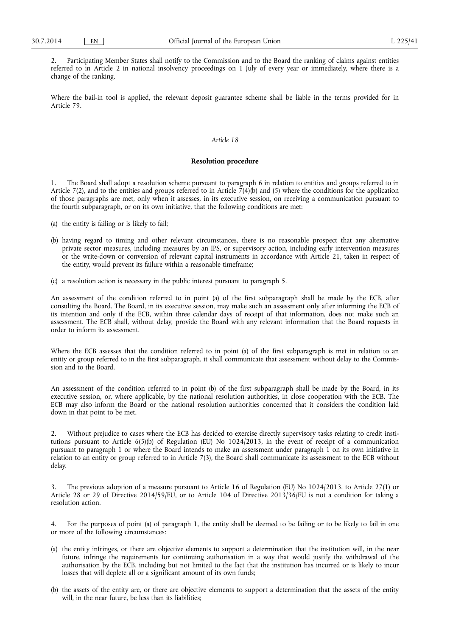2. Participating Member States shall notify to the Commission and to the Board the ranking of claims against entities referred to in Article 2 in national insolvency proceedings on 1 July of every year or immediately, where there is a change of the ranking.

Where the bail-in tool is applied, the relevant deposit guarantee scheme shall be liable in the terms provided for in Article 79.

#### *Article 18*

#### **Resolution procedure**

1. The Board shall adopt a resolution scheme pursuant to paragraph 6 in relation to entities and groups referred to in Article 7(2), and to the entities and groups referred to in Article 7(4)(b) and (5) where the conditions for the application of those paragraphs are met, only when it assesses, in its executive session, on receiving a communication pursuant to the fourth subparagraph, or on its own initiative, that the following conditions are met:

- (a) the entity is failing or is likely to fail;
- (b) having regard to timing and other relevant circumstances, there is no reasonable prospect that any alternative private sector measures, including measures by an IPS, or supervisory action, including early intervention measures or the write-down or conversion of relevant capital instruments in accordance with Article 21, taken in respect of the entity, would prevent its failure within a reasonable timeframe;
- (c) a resolution action is necessary in the public interest pursuant to paragraph 5.

An assessment of the condition referred to in point (a) of the first subparagraph shall be made by the ECB, after consulting the Board. The Board, in its executive session, may make such an assessment only after informing the ECB of its intention and only if the ECB, within three calendar days of receipt of that information, does not make such an assessment. The ECB shall, without delay, provide the Board with any relevant information that the Board requests in order to inform its assessment.

Where the ECB assesses that the condition referred to in point (a) of the first subparagraph is met in relation to an entity or group referred to in the first subparagraph, it shall communicate that assessment without delay to the Commission and to the Board.

An assessment of the condition referred to in point (b) of the first subparagraph shall be made by the Board, in its executive session, or, where applicable, by the national resolution authorities, in close cooperation with the ECB. The ECB may also inform the Board or the national resolution authorities concerned that it considers the condition laid down in that point to be met.

2. Without prejudice to cases where the ECB has decided to exercise directly supervisory tasks relating to credit institutions pursuant to Article 6(5)(b) of Regulation (EU) No 1024/2013, in the event of receipt of a communication pursuant to paragraph 1 or where the Board intends to make an assessment under paragraph  $\hat{1}$  on its own initiative in relation to an entity or group referred to in Article 7(3), the Board shall communicate its assessment to the ECB without delay.

3. The previous adoption of a measure pursuant to Article 16 of Regulation (EU) No 1024/2013, to Article 27(1) or Article 28 or 29 of Directive 2014/59/EU, or to Article 104 of Directive 2013/36/EU is not a condition for taking a resolution action.

4. For the purposes of point (a) of paragraph 1, the entity shall be deemed to be failing or to be likely to fail in one or more of the following circumstances:

- (a) the entity infringes, or there are objective elements to support a determination that the institution will, in the near future, infringe the requirements for continuing authorisation in a way that would justify the withdrawal of the authorisation by the ECB, including but not limited to the fact that the institution has incurred or is likely to incur losses that will deplete all or a significant amount of its own funds;
- (b) the assets of the entity are, or there are objective elements to support a determination that the assets of the entity will, in the near future, be less than its liabilities;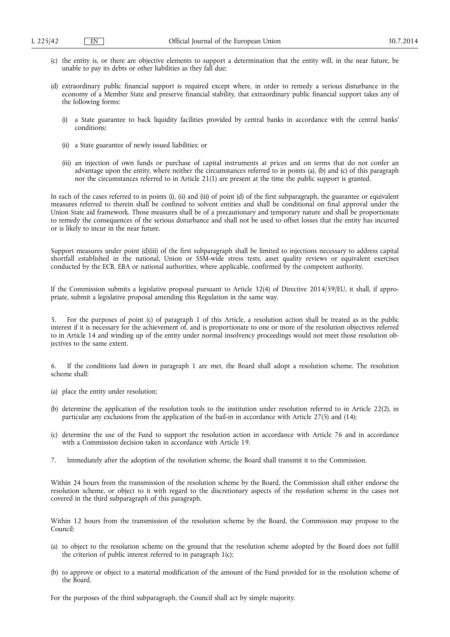- (c) the entity is, or there are objective elements to support a determination that the entity will, in the near future, be unable to pay its debts or other liabilities as they fall due;
- (d) extraordinary public financial support is required except where, in order to remedy a serious disturbance in the economy of a Member State and preserve financial stability, that extraordinary public financial support takes any of the following forms:
	- (i) a State guarantee to back liquidity facilities provided by central banks in accordance with the central banks' conditions;
	- (ii) a State guarantee of newly issued liabilities; or
	- (iii) an injection of own funds or purchase of capital instruments at prices and on terms that do not confer an advantage upon the entity, where neither the circumstances referred to in points (a), (b) and (c) of this paragraph nor the circumstances referred to in Article 21(1) are present at the time the public support is granted.

In each of the cases referred to in points (i), (ii) and (iii) of point (d) of the first subparagraph, the guarantee or equivalent measures referred to therein shall be confined to solvent entities and shall be conditional on final approval under the Union State aid framework. Those measures shall be of a precautionary and temporary nature and shall be proportionate to remedy the consequences of the serious disturbance and shall not be used to offset losses that the entity has incurred or is likely to incur in the near future.

Support measures under point (d)(iii) of the first subparagraph shall be limited to injections necessary to address capital shortfall established in the national, Union or SSM-wide stress tests, asset quality reviews or equivalent exercises conducted by the ECB, EBA or national authorities, where applicable, confirmed by the competent authority.

If the Commission submits a legislative proposal pursuant to Article 32(4) of Directive 2014/59/EU, it shall, if appropriate, submit a legislative proposal amending this Regulation in the same way.

5. For the purposes of point (c) of paragraph 1 of this Article, a resolution action shall be treated as in the public interest if it is necessary for the achievement of, and is proportionate to one or more of the resolution objectives referred to in Article 14 and winding up of the entity under normal insolvency proceedings would not meet those resolution objectives to the same extent.

6. If the conditions laid down in paragraph 1 are met, the Board shall adopt a resolution scheme. The resolution scheme shall:

- (a) place the entity under resolution;
- (b) determine the application of the resolution tools to the institution under resolution referred to in Article 22(2), in particular any exclusions from the application of the bail-in in accordance with Article 27(5) and (14);
- (c) determine the use of the Fund to support the resolution action in accordance with Article 76 and in accordance with a Commission decision taken in accordance with Article 19.
- 7. Immediately after the adoption of the resolution scheme, the Board shall transmit it to the Commission.

Within 24 hours from the transmission of the resolution scheme by the Board, the Commission shall either endorse the resolution scheme, or object to it with regard to the discretionary aspects of the resolution scheme in the cases not covered in the third subparagraph of this paragraph.

Within 12 hours from the transmission of the resolution scheme by the Board, the Commission may propose to the Council:

- (a) to object to the resolution scheme on the ground that the resolution scheme adopted by the Board does not fulfil the criterion of public interest referred to in paragraph 1(c);
- (b) to approve or object to a material modification of the amount of the Fund provided for in the resolution scheme of the Board.

For the purposes of the third subparagraph, the Council shall act by simple majority.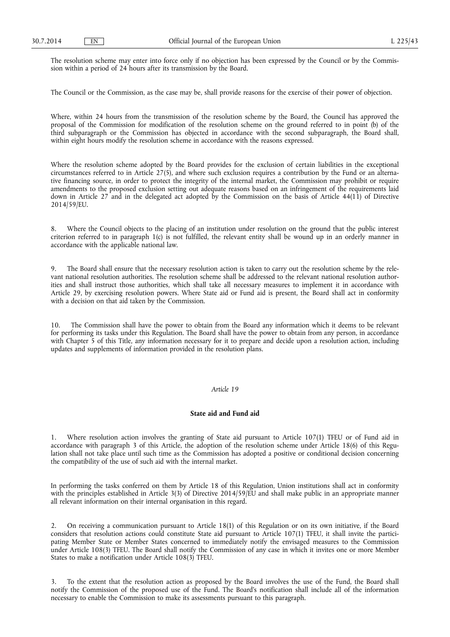The resolution scheme may enter into force only if no objection has been expressed by the Council or by the Commission within a period of 24 hours after its transmission by the Board.

The Council or the Commission, as the case may be, shall provide reasons for the exercise of their power of objection.

Where, within 24 hours from the transmission of the resolution scheme by the Board, the Council has approved the proposal of the Commission for modification of the resolution scheme on the ground referred to in point (b) of the third subparagraph or the Commission has objected in accordance with the second subparagraph, the Board shall, within eight hours modify the resolution scheme in accordance with the reasons expressed.

Where the resolution scheme adopted by the Board provides for the exclusion of certain liabilities in the exceptional circumstances referred to in Article 27(5), and where such exclusion requires a contribution by the Fund or an alternative financing source, in order to protect the integrity of the internal market, the Commission may prohibit or require amendments to the proposed exclusion setting out adequate reasons based on an infringement of the requirements laid down in Article 27 and in the delegated act adopted by the Commission on the basis of Article 44(11) of Directive 2014/59/EU.

Where the Council objects to the placing of an institution under resolution on the ground that the public interest criterion referred to in paragraph 1(c) is not fulfilled, the relevant entity shall be wound up in an orderly manner in accordance with the applicable national law.

9. The Board shall ensure that the necessary resolution action is taken to carry out the resolution scheme by the relevant national resolution authorities. The resolution scheme shall be addressed to the relevant national resolution authorities and shall instruct those authorities, which shall take all necessary measures to implement it in accordance with Article 29, by exercising resolution powers. Where State aid or Fund aid is present, the Board shall act in conformity with a decision on that aid taken by the Commission.

10. The Commission shall have the power to obtain from the Board any information which it deems to be relevant for performing its tasks under this Regulation. The Board shall have the power to obtain from any person, in accordance with Chapter 5 of this Title, any information necessary for it to prepare and decide upon a resolution action, including updates and supplements of information provided in the resolution plans.

### *Article 19*

#### **State aid and Fund aid**

1. Where resolution action involves the granting of State aid pursuant to Article 107(1) TFEU or of Fund aid in accordance with paragraph 3 of this Article, the adoption of the resolution scheme under Article 18(6) of this Regulation shall not take place until such time as the Commission has adopted a positive or conditional decision concerning the compatibility of the use of such aid with the internal market.

In performing the tasks conferred on them by Article 18 of this Regulation, Union institutions shall act in conformity with the principles established in Article 3(3) of Directive 2014/59/EU and shall make public in an appropriate manner all relevant information on their internal organisation in this regard.

2. On receiving a communication pursuant to Article 18(1) of this Regulation or on its own initiative, if the Board considers that resolution actions could constitute State aid pursuant to Article 107(1) TFEU, it shall invite the participating Member State or Member States concerned to immediately notify the envisaged measures to the Commission under Article 108(3) TFEU. The Board shall notify the Commission of any case in which it invites one or more Member States to make a notification under Article 108(3) TFEU.

3. To the extent that the resolution action as proposed by the Board involves the use of the Fund, the Board shall notify the Commission of the proposed use of the Fund. The Board's notification shall include all of the information necessary to enable the Commission to make its assessments pursuant to this paragraph.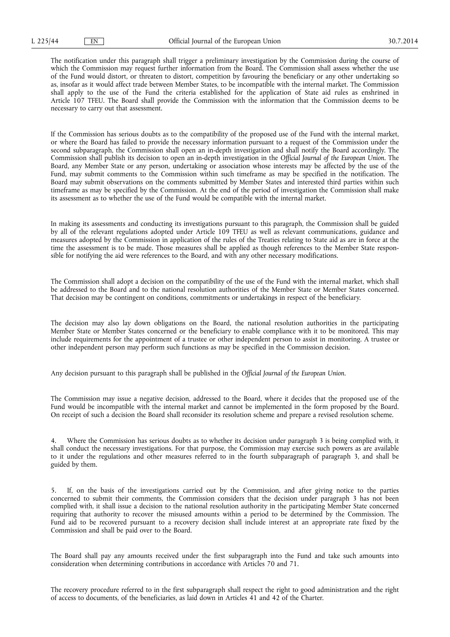The notification under this paragraph shall trigger a preliminary investigation by the Commission during the course of which the Commission may request further information from the Board. The Commission shall assess whether the use of the Fund would distort, or threaten to distort, competition by favouring the beneficiary or any other undertaking so as, insofar as it would affect trade between Member States, to be incompatible with the internal market. The Commission shall apply to the use of the Fund the criteria established for the application of State aid rules as enshrined in Article 107 TFEU. The Board shall provide the Commission with the information that the Commission deems to be necessary to carry out that assessment.

If the Commission has serious doubts as to the compatibility of the proposed use of the Fund with the internal market, or where the Board has failed to provide the necessary information pursuant to a request of the Commission under the second subparagraph, the Commission shall open an in-depth investigation and shall notify the Board accordingly. The Commission shall publish its decision to open an in-depth investigation in the *Official Journal of the European Union*. The Board, any Member State or any person, undertaking or association whose interests may be affected by the use of the Fund, may submit comments to the Commission within such timeframe as may be specified in the notification. The Board may submit observations on the comments submitted by Member States and interested third parties within such timeframe as may be specified by the Commission. At the end of the period of investigation the Commission shall make its assessment as to whether the use of the Fund would be compatible with the internal market.

In making its assessments and conducting its investigations pursuant to this paragraph, the Commission shall be guided by all of the relevant regulations adopted under Article 109 TFEU as well as relevant communications, guidance and measures adopted by the Commission in application of the rules of the Treaties relating to State aid as are in force at the time the assessment is to be made. Those measures shall be applied as though references to the Member State responsible for notifying the aid were references to the Board, and with any other necessary modifications.

The Commission shall adopt a decision on the compatibility of the use of the Fund with the internal market, which shall be addressed to the Board and to the national resolution authorities of the Member State or Member States concerned. That decision may be contingent on conditions, commitments or undertakings in respect of the beneficiary.

The decision may also lay down obligations on the Board, the national resolution authorities in the participating Member State or Member States concerned or the beneficiary to enable compliance with it to be monitored. This may include requirements for the appointment of a trustee or other independent person to assist in monitoring. A trustee or other independent person may perform such functions as may be specified in the Commission decision.

Any decision pursuant to this paragraph shall be published in the *Official Journal of the European Union*.

The Commission may issue a negative decision, addressed to the Board, where it decides that the proposed use of the Fund would be incompatible with the internal market and cannot be implemented in the form proposed by the Board. On receipt of such a decision the Board shall reconsider its resolution scheme and prepare a revised resolution scheme.

Where the Commission has serious doubts as to whether its decision under paragraph 3 is being complied with, it shall conduct the necessary investigations. For that purpose, the Commission may exercise such powers as are available to it under the regulations and other measures referred to in the fourth subparagraph of paragraph 3, and shall be guided by them.

5. If, on the basis of the investigations carried out by the Commission, and after giving notice to the parties concerned to submit their comments, the Commission considers that the decision under paragraph 3 has not been complied with, it shall issue a decision to the national resolution authority in the participating Member State concerned requiring that authority to recover the misused amounts within a period to be determined by the Commission. The Fund aid to be recovered pursuant to a recovery decision shall include interest at an appropriate rate fixed by the Commission and shall be paid over to the Board.

The Board shall pay any amounts received under the first subparagraph into the Fund and take such amounts into consideration when determining contributions in accordance with Articles 70 and 71.

The recovery procedure referred to in the first subparagraph shall respect the right to good administration and the right of access to documents, of the beneficiaries, as laid down in Articles 41 and 42 of the Charter.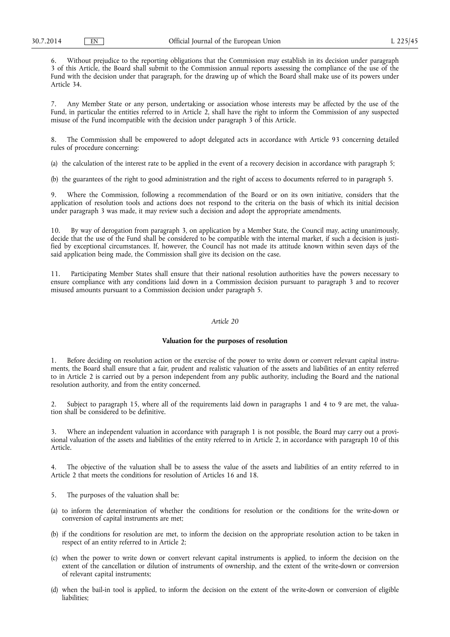6. Without prejudice to the reporting obligations that the Commission may establish in its decision under paragraph 3 of this Article, the Board shall submit to the Commission annual reports assessing the compliance of the use of the Fund with the decision under that paragraph, for the drawing up of which the Board shall make use of its powers under Article 34.

7. Any Member State or any person, undertaking or association whose interests may be affected by the use of the Fund, in particular the entities referred to in Article 2, shall have the right to inform the Commission of any suspected misuse of the Fund incompatible with the decision under paragraph 3 of this Article.

The Commission shall be empowered to adopt delegated acts in accordance with Article 93 concerning detailed rules of procedure concerning:

(a) the calculation of the interest rate to be applied in the event of a recovery decision in accordance with paragraph 5;

(b) the guarantees of the right to good administration and the right of access to documents referred to in paragraph 5.

Where the Commission, following a recommendation of the Board or on its own initiative, considers that the application of resolution tools and actions does not respond to the criteria on the basis of which its initial decision under paragraph 3 was made, it may review such a decision and adopt the appropriate amendments.

10. By way of derogation from paragraph 3, on application by a Member State, the Council may, acting unanimously, decide that the use of the Fund shall be considered to be compatible with the internal market, if such a decision is justified by exceptional circumstances. If, however, the Council has not made its attitude known within seven days of the said application being made, the Commission shall give its decision on the case.

11. Participating Member States shall ensure that their national resolution authorities have the powers necessary to ensure compliance with any conditions laid down in a Commission decision pursuant to paragraph 3 and to recover misused amounts pursuant to a Commission decision under paragraph 5.

## *Article 20*

#### **Valuation for the purposes of resolution**

1. Before deciding on resolution action or the exercise of the power to write down or convert relevant capital instruments, the Board shall ensure that a fair, prudent and realistic valuation of the assets and liabilities of an entity referred to in Article 2 is carried out by a person independent from any public authority, including the Board and the national resolution authority, and from the entity concerned.

2. Subject to paragraph 15, where all of the requirements laid down in paragraphs 1 and 4 to 9 are met, the valuation shall be considered to be definitive.

3. Where an independent valuation in accordance with paragraph 1 is not possible, the Board may carry out a provisional valuation of the assets and liabilities of the entity referred to in Article 2, in accordance with paragraph 10 of this Article.

4. The objective of the valuation shall be to assess the value of the assets and liabilities of an entity referred to in Article 2 that meets the conditions for resolution of Articles 16 and 18.

- 5. The purposes of the valuation shall be:
- (a) to inform the determination of whether the conditions for resolution or the conditions for the write-down or conversion of capital instruments are met;
- (b) if the conditions for resolution are met, to inform the decision on the appropriate resolution action to be taken in respect of an entity referred to in Article 2;
- (c) when the power to write down or convert relevant capital instruments is applied, to inform the decision on the extent of the cancellation or dilution of instruments of ownership, and the extent of the write-down or conversion of relevant capital instruments;
- (d) when the bail-in tool is applied, to inform the decision on the extent of the write-down or conversion of eligible liabilities;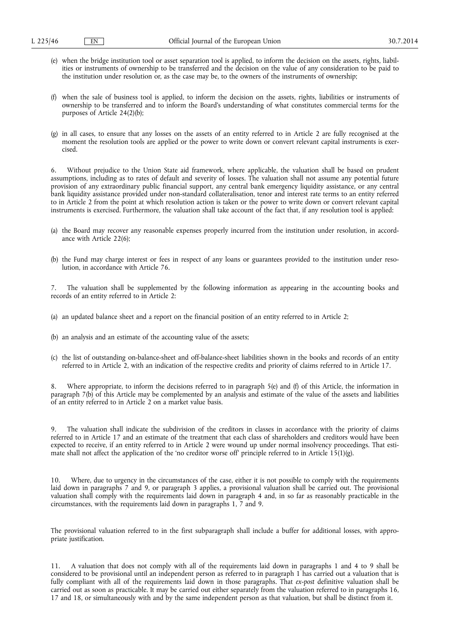- (e) when the bridge institution tool or asset separation tool is applied, to inform the decision on the assets, rights, liabilities or instruments of ownership to be transferred and the decision on the value of any consideration to be paid to the institution under resolution or, as the case may be, to the owners of the instruments of ownership;
- (f) when the sale of business tool is applied, to inform the decision on the assets, rights, liabilities or instruments of ownership to be transferred and to inform the Board's understanding of what constitutes commercial terms for the purposes of Article 24(2)(b);
- (g) in all cases, to ensure that any losses on the assets of an entity referred to in Article 2 are fully recognised at the moment the resolution tools are applied or the power to write down or convert relevant capital instruments is exercised.

6. Without prejudice to the Union State aid framework, where applicable, the valuation shall be based on prudent assumptions, including as to rates of default and severity of losses. The valuation shall not assume any potential future provision of any extraordinary public financial support, any central bank emergency liquidity assistance, or any central bank liquidity assistance provided under non-standard collateralisation, tenor and interest rate terms to an entity referred to in Article 2 from the point at which resolution action is taken or the power to write down or convert relevant capital instruments is exercised. Furthermore, the valuation shall take account of the fact that, if any resolution tool is applied:

- (a) the Board may recover any reasonable expenses properly incurred from the institution under resolution, in accordance with Article 22(6);
- (b) the Fund may charge interest or fees in respect of any loans or guarantees provided to the institution under resolution, in accordance with Article 76.

The valuation shall be supplemented by the following information as appearing in the accounting books and records of an entity referred to in Article 2:

- (a) an updated balance sheet and a report on the financial position of an entity referred to in Article 2;
- (b) an analysis and an estimate of the accounting value of the assets;
- (c) the list of outstanding on-balance-sheet and off-balance-sheet liabilities shown in the books and records of an entity referred to in Article 2, with an indication of the respective credits and priority of claims referred to in Article 17.

Where appropriate, to inform the decisions referred to in paragraph 5(e) and (f) of this Article, the information in paragraph 7(b) of this Article may be complemented by an analysis and estimate of the value of the assets and liabilities of an entity referred to in Article 2 on a market value basis.

9. The valuation shall indicate the subdivision of the creditors in classes in accordance with the priority of claims referred to in Article 17 and an estimate of the treatment that each class of shareholders and creditors would have been expected to receive, if an entity referred to in Article 2 were wound up under normal insolvency proceedings. That estimate shall not affect the application of the 'no creditor worse off' principle referred to in Article  $1\overline{5}(1)(g)$ .

10. Where, due to urgency in the circumstances of the case, either it is not possible to comply with the requirements laid down in paragraphs 7 and 9, or paragraph 3 applies, a provisional valuation shall be carried out. The provisional valuation shall comply with the requirements laid down in paragraph 4 and, in so far as reasonably practicable in the circumstances, with the requirements laid down in paragraphs 1, 7 and 9.

The provisional valuation referred to in the first subparagraph shall include a buffer for additional losses, with appropriate justification.

11. A valuation that does not comply with all of the requirements laid down in paragraphs 1 and 4 to 9 shall be considered to be provisional until an independent person as referred to in paragraph 1 has carried out a valuation that is fully compliant with all of the requirements laid down in those paragraphs. That *ex-post* definitive valuation shall be carried out as soon as practicable. It may be carried out either separately from the valuation referred to in paragraphs 16, 17 and 18, or simultaneously with and by the same independent person as that valuation, but shall be distinct from it.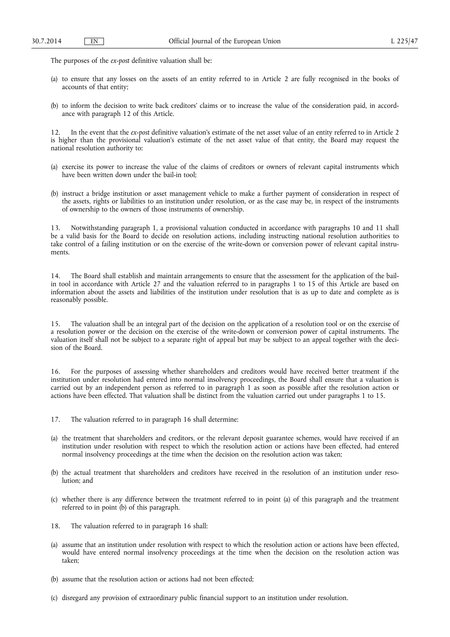The purposes of the *ex-post* definitive valuation shall be:

- (a) to ensure that any losses on the assets of an entity referred to in Article 2 are fully recognised in the books of accounts of that entity;
- (b) to inform the decision to write back creditors' claims or to increase the value of the consideration paid, in accordance with paragraph 12 of this Article.

12. In the event that the *ex-post* definitive valuation's estimate of the net asset value of an entity referred to in Article 2 is higher than the provisional valuation's estimate of the net asset value of that entity, the Board may request the national resolution authority to:

- (a) exercise its power to increase the value of the claims of creditors or owners of relevant capital instruments which have been written down under the bail-in tool;
- (b) instruct a bridge institution or asset management vehicle to make a further payment of consideration in respect of the assets, rights or liabilities to an institution under resolution, or as the case may be, in respect of the instruments of ownership to the owners of those instruments of ownership.

13. Notwithstanding paragraph 1, a provisional valuation conducted in accordance with paragraphs 10 and 11 shall be a valid basis for the Board to decide on resolution actions, including instructing national resolution authorities to take control of a failing institution or on the exercise of the write-down or conversion power of relevant capital instruments.

14. The Board shall establish and maintain arrangements to ensure that the assessment for the application of the bailin tool in accordance with Article 27 and the valuation referred to in paragraphs 1 to 15 of this Article are based on information about the assets and liabilities of the institution under resolution that is as up to date and complete as is reasonably possible.

15. The valuation shall be an integral part of the decision on the application of a resolution tool or on the exercise of a resolution power or the decision on the exercise of the write-down or conversion power of capital instruments. The valuation itself shall not be subject to a separate right of appeal but may be subject to an appeal together with the decision of the Board.

16. For the purposes of assessing whether shareholders and creditors would have received better treatment if the institution under resolution had entered into normal insolvency proceedings, the Board shall ensure that a valuation is carried out by an independent person as referred to in paragraph 1 as soon as possible after the resolution action or actions have been effected. That valuation shall be distinct from the valuation carried out under paragraphs 1 to 15.

- 17. The valuation referred to in paragraph 16 shall determine:
- (a) the treatment that shareholders and creditors, or the relevant deposit guarantee schemes, would have received if an institution under resolution with respect to which the resolution action or actions have been effected, had entered normal insolvency proceedings at the time when the decision on the resolution action was taken;
- (b) the actual treatment that shareholders and creditors have received in the resolution of an institution under resolution; and
- (c) whether there is any difference between the treatment referred to in point (a) of this paragraph and the treatment referred to in point (b) of this paragraph.
- 18. The valuation referred to in paragraph 16 shall:
- (a) assume that an institution under resolution with respect to which the resolution action or actions have been effected, would have entered normal insolvency proceedings at the time when the decision on the resolution action was taken;
- (b) assume that the resolution action or actions had not been effected;
- (c) disregard any provision of extraordinary public financial support to an institution under resolution.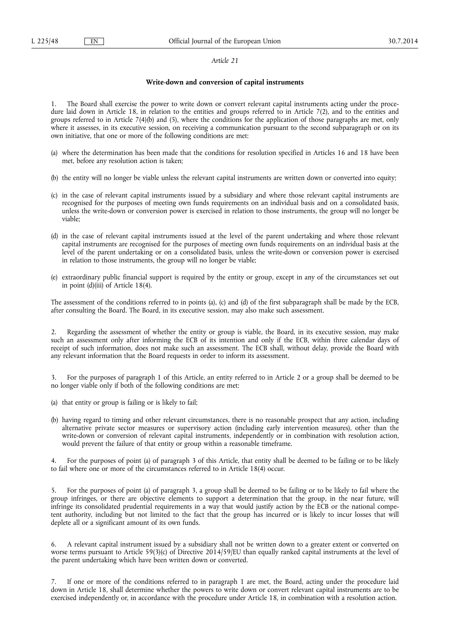#### *Article 21*

#### **Write-down and conversion of capital instruments**

The Board shall exercise the power to write down or convert relevant capital instruments acting under the procedure laid down in Article 18, in relation to the entities and groups referred to in Article 7(2), and to the entities and groups referred to in Article 7(4)(b) and (5), where the conditions for the application of those paragraphs are met, only where it assesses, in its executive session, on receiving a communication pursuant to the second subparagraph or on its own initiative, that one or more of the following conditions are met:

- (a) where the determination has been made that the conditions for resolution specified in Articles 16 and 18 have been met, before any resolution action is taken;
- (b) the entity will no longer be viable unless the relevant capital instruments are written down or converted into equity;
- (c) in the case of relevant capital instruments issued by a subsidiary and where those relevant capital instruments are recognised for the purposes of meeting own funds requirements on an individual basis and on a consolidated basis, unless the write-down or conversion power is exercised in relation to those instruments, the group will no longer be viable;
- (d) in the case of relevant capital instruments issued at the level of the parent undertaking and where those relevant capital instruments are recognised for the purposes of meeting own funds requirements on an individual basis at the level of the parent undertaking or on a consolidated basis, unless the write-down or conversion power is exercised in relation to those instruments, the group will no longer be viable;
- (e) extraordinary public financial support is required by the entity or group, except in any of the circumstances set out in point  $(d)(iii)$  of Article 18(4).

The assessment of the conditions referred to in points (a), (c) and (d) of the first subparagraph shall be made by the ECB, after consulting the Board. The Board, in its executive session, may also make such assessment.

2. Regarding the assessment of whether the entity or group is viable, the Board, in its executive session, may make such an assessment only after informing the ECB of its intention and only if the ECB, within three calendar days of receipt of such information, does not make such an assessment. The ECB shall, without delay, provide the Board with any relevant information that the Board requests in order to inform its assessment.

3. For the purposes of paragraph 1 of this Article, an entity referred to in Article 2 or a group shall be deemed to be no longer viable only if both of the following conditions are met:

- (a) that entity or group is failing or is likely to fail;
- (b) having regard to timing and other relevant circumstances, there is no reasonable prospect that any action, including alternative private sector measures or supervisory action (including early intervention measures), other than the write-down or conversion of relevant capital instruments, independently or in combination with resolution action, would prevent the failure of that entity or group within a reasonable timeframe.

4. For the purposes of point (a) of paragraph 3 of this Article, that entity shall be deemed to be failing or to be likely to fail where one or more of the circumstances referred to in Article 18(4) occur.

5. For the purposes of point (a) of paragraph 3, a group shall be deemed to be failing or to be likely to fail where the group infringes, or there are objective elements to support a determination that the group, in the near future, will infringe its consolidated prudential requirements in a way that would justify action by the ECB or the national competent authority, including but not limited to the fact that the group has incurred or is likely to incur losses that will deplete all or a significant amount of its own funds.

6. A relevant capital instrument issued by a subsidiary shall not be written down to a greater extent or converted on worse terms pursuant to Article 59(3)(c) of Directive 2014/59/EU than equally ranked capital instruments at the level of the parent undertaking which have been written down or converted.

7. If one or more of the conditions referred to in paragraph 1 are met, the Board, acting under the procedure laid down in Article 18, shall determine whether the powers to write down or convert relevant capital instruments are to be exercised independently or, in accordance with the procedure under Article 18, in combination with a resolution action.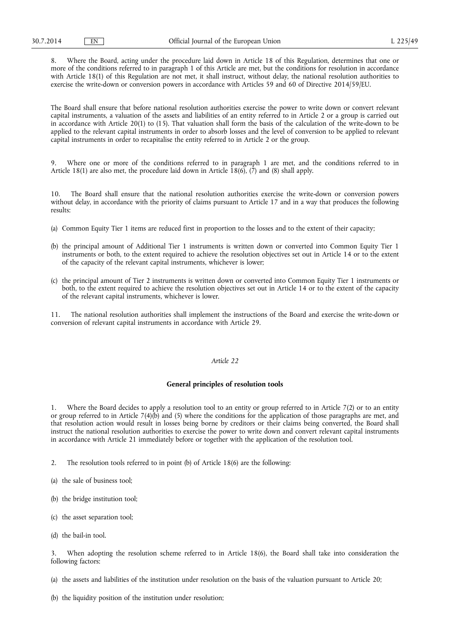8. Where the Board, acting under the procedure laid down in Article 18 of this Regulation, determines that one or more of the conditions referred to in paragraph 1 of this Article are met, but the conditions for resolution in accordance with Article 18(1) of this Regulation are not met, it shall instruct, without delay, the national resolution authorities to exercise the write-down or conversion powers in accordance with Articles 59 and 60 of Directive 2014/59/EU.

The Board shall ensure that before national resolution authorities exercise the power to write down or convert relevant capital instruments, a valuation of the assets and liabilities of an entity referred to in Article 2 or a group is carried out in accordance with Article 20(1) to (15). That valuation shall form the basis of the calculation of the write-down to be applied to the relevant capital instruments in order to absorb losses and the level of conversion to be applied to relevant capital instruments in order to recapitalise the entity referred to in Article 2 or the group.

9. Where one or more of the conditions referred to in paragraph 1 are met, and the conditions referred to in Article 18(1) are also met, the procedure laid down in Article 18(6),  $(\dot{7})$  and (8) shall apply.

10. The Board shall ensure that the national resolution authorities exercise the write-down or conversion powers without delay, in accordance with the priority of claims pursuant to Article 17 and in a way that produces the following results:

- (a) Common Equity Tier 1 items are reduced first in proportion to the losses and to the extent of their capacity;
- (b) the principal amount of Additional Tier 1 instruments is written down or converted into Common Equity Tier 1 instruments or both, to the extent required to achieve the resolution objectives set out in Article 14 or to the extent of the capacity of the relevant capital instruments, whichever is lower;
- (c) the principal amount of Tier 2 instruments is written down or converted into Common Equity Tier 1 instruments or both, to the extent required to achieve the resolution objectives set out in Article 14 or to the extent of the capacity of the relevant capital instruments, whichever is lower.

11. The national resolution authorities shall implement the instructions of the Board and exercise the write-down or conversion of relevant capital instruments in accordance with Article 29.

#### *Article 22*

## **General principles of resolution tools**

1. Where the Board decides to apply a resolution tool to an entity or group referred to in Article 7(2) or to an entity or group referred to in Article 7(4)(b) and (5) where the conditions for the application of those paragraphs are met, and that resolution action would result in losses being borne by creditors or their claims being converted, the Board shall instruct the national resolution authorities to exercise the power to write down and convert relevant capital instruments in accordance with Article 21 immediately before or together with the application of the resolution tool.

- 2. The resolution tools referred to in point (b) of Article 18(6) are the following:
- (a) the sale of business tool;
- (b) the bridge institution tool;
- (c) the asset separation tool;
- (d) the bail-in tool.

When adopting the resolution scheme referred to in Article 18(6), the Board shall take into consideration the following factors:

(a) the assets and liabilities of the institution under resolution on the basis of the valuation pursuant to Article 20;

(b) the liquidity position of the institution under resolution;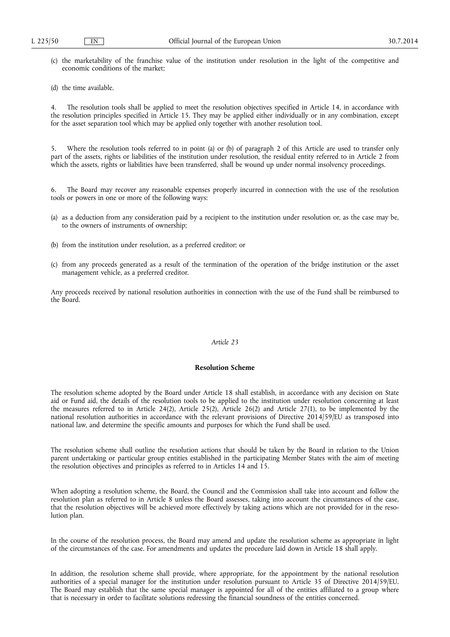- (c) the marketability of the franchise value of the institution under resolution in the light of the competitive and economic conditions of the market;
- (d) the time available.

4. The resolution tools shall be applied to meet the resolution objectives specified in Article 14, in accordance with the resolution principles specified in Article 15. They may be applied either individually or in any combination, except for the asset separation tool which may be applied only together with another resolution tool.

5. Where the resolution tools referred to in point (a) or (b) of paragraph 2 of this Article are used to transfer only part of the assets, rights or liabilities of the institution under resolution, the residual entity referred to in Article 2 from which the assets, rights or liabilities have been transferred, shall be wound up under normal insolvency proceedings.

6. The Board may recover any reasonable expenses properly incurred in connection with the use of the resolution tools or powers in one or more of the following ways:

- (a) as a deduction from any consideration paid by a recipient to the institution under resolution or, as the case may be, to the owners of instruments of ownership;
- (b) from the institution under resolution, as a preferred creditor; or
- (c) from any proceeds generated as a result of the termination of the operation of the bridge institution or the asset management vehicle, as a preferred creditor.

Any proceeds received by national resolution authorities in connection with the use of the Fund shall be reimbursed to the Board.

## *Article 23*

## **Resolution Scheme**

The resolution scheme adopted by the Board under Article 18 shall establish, in accordance with any decision on State aid or Fund aid, the details of the resolution tools to be applied to the institution under resolution concerning at least the measures referred to in Article 24(2), Article 25(2), Article 26(2) and Article 27(1), to be implemented by the national resolution authorities in accordance with the relevant provisions of Directive 2014/59/EU as transposed into national law, and determine the specific amounts and purposes for which the Fund shall be used.

The resolution scheme shall outline the resolution actions that should be taken by the Board in relation to the Union parent undertaking or particular group entities established in the participating Member States with the aim of meeting the resolution objectives and principles as referred to in Articles 14 and 15.

When adopting a resolution scheme, the Board, the Council and the Commission shall take into account and follow the resolution plan as referred to in Article 8 unless the Board assesses, taking into account the circumstances of the case, that the resolution objectives will be achieved more effectively by taking actions which are not provided for in the resolution plan.

In the course of the resolution process, the Board may amend and update the resolution scheme as appropriate in light of the circumstances of the case. For amendments and updates the procedure laid down in Article 18 shall apply.

In addition, the resolution scheme shall provide, where appropriate, for the appointment by the national resolution authorities of a special manager for the institution under resolution pursuant to Article 35 of Directive 2014/59/EU. The Board may establish that the same special manager is appointed for all of the entities affiliated to a group where that is necessary in order to facilitate solutions redressing the financial soundness of the entities concerned.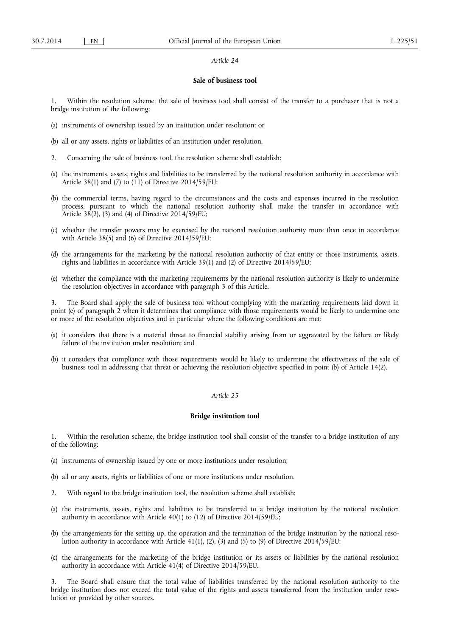#### *Article 24*

#### **Sale of business tool**

1. Within the resolution scheme, the sale of business tool shall consist of the transfer to a purchaser that is not a bridge institution of the following:

- (a) instruments of ownership issued by an institution under resolution; or
- (b) all or any assets, rights or liabilities of an institution under resolution.
- 2. Concerning the sale of business tool, the resolution scheme shall establish:
- (a) the instruments, assets, rights and liabilities to be transferred by the national resolution authority in accordance with Article 38(1) and (7) to (11) of Directive 2014/59/EU;
- (b) the commercial terms, having regard to the circumstances and the costs and expenses incurred in the resolution process, pursuant to which the national resolution authority shall make the transfer in accordance with Article 38(2), (3) and (4) of Directive 2014/59/EU;
- (c) whether the transfer powers may be exercised by the national resolution authority more than once in accordance with Article 38(5) and (6) of Directive 2014/59/EU;
- (d) the arrangements for the marketing by the national resolution authority of that entity or those instruments, assets, rights and liabilities in accordance with Article 39(1) and (2) of Directive 2014/59/EU;
- (e) whether the compliance with the marketing requirements by the national resolution authority is likely to undermine the resolution objectives in accordance with paragraph 3 of this Article.

3. The Board shall apply the sale of business tool without complying with the marketing requirements laid down in point (e) of paragraph 2 when it determines that compliance with those requirements would be likely to undermine one or more of the resolution objectives and in particular where the following conditions are met:

- (a) it considers that there is a material threat to financial stability arising from or aggravated by the failure or likely failure of the institution under resolution; and
- (b) it considers that compliance with those requirements would be likely to undermine the effectiveness of the sale of business tool in addressing that threat or achieving the resolution objective specified in point (b) of Article 14(2).

### *Article 25*

#### **Bridge institution tool**

1. Within the resolution scheme, the bridge institution tool shall consist of the transfer to a bridge institution of any of the following:

- (a) instruments of ownership issued by one or more institutions under resolution;
- (b) all or any assets, rights or liabilities of one or more institutions under resolution.
- 2. With regard to the bridge institution tool, the resolution scheme shall establish:
- (a) the instruments, assets, rights and liabilities to be transferred to a bridge institution by the national resolution authority in accordance with Article 40(1) to (12) of Directive 2014/59/EU;
- (b) the arrangements for the setting up, the operation and the termination of the bridge institution by the national resolution authority in accordance with Article 41(1), (2), (3) and (5) to (9) of Directive 2014/59/EU;
- (c) the arrangements for the marketing of the bridge institution or its assets or liabilities by the national resolution authority in accordance with Article 41(4) of Directive 2014/59/EU.

3. The Board shall ensure that the total value of liabilities transferred by the national resolution authority to the bridge institution does not exceed the total value of the rights and assets transferred from the institution under resolution or provided by other sources.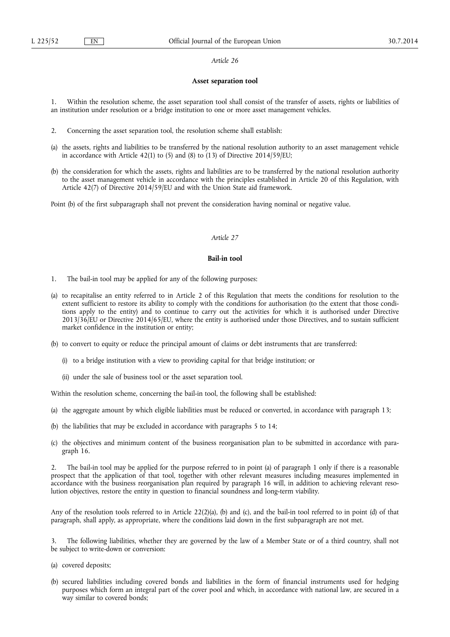#### *Article 26*

## **Asset separation tool**

1. Within the resolution scheme, the asset separation tool shall consist of the transfer of assets, rights or liabilities of an institution under resolution or a bridge institution to one or more asset management vehicles.

- 2. Concerning the asset separation tool, the resolution scheme shall establish:
- (a) the assets, rights and liabilities to be transferred by the national resolution authority to an asset management vehicle in accordance with Article 42(1) to (5) and (8) to (13) of Directive 2014/59/EU;
- (b) the consideration for which the assets, rights and liabilities are to be transferred by the national resolution authority to the asset management vehicle in accordance with the principles established in Article 20 of this Regulation, with Article 42(7) of Directive 2014/59/EU and with the Union State aid framework.

Point (b) of the first subparagraph shall not prevent the consideration having nominal or negative value.

#### *Article 27*

### **Bail-in tool**

- 1. The bail-in tool may be applied for any of the following purposes:
- (a) to recapitalise an entity referred to in Article 2 of this Regulation that meets the conditions for resolution to the extent sufficient to restore its ability to comply with the conditions for authorisation (to the extent that those conditions apply to the entity) and to continue to carry out the activities for which it is authorised under Directive 2013/36/EU or Directive 2014/65/EU, where the entity is authorised under those Directives, and to sustain sufficient market confidence in the institution or entity;
- (b) to convert to equity or reduce the principal amount of claims or debt instruments that are transferred:
	- (i) to a bridge institution with a view to providing capital for that bridge institution; or
	- (ii) under the sale of business tool or the asset separation tool.

Within the resolution scheme, concerning the bail-in tool, the following shall be established:

- (a) the aggregate amount by which eligible liabilities must be reduced or converted, in accordance with paragraph 13;
- (b) the liabilities that may be excluded in accordance with paragraphs 5 to 14;
- (c) the objectives and minimum content of the business reorganisation plan to be submitted in accordance with paragraph 16.

2. The bail-in tool may be applied for the purpose referred to in point (a) of paragraph 1 only if there is a reasonable prospect that the application of that tool, together with other relevant measures including measures implemented in accordance with the business reorganisation plan required by paragraph 16 will, in addition to achieving relevant resolution objectives, restore the entity in question to financial soundness and long-term viability.

Any of the resolution tools referred to in Article 22(2)(a), (b) and (c), and the bail-in tool referred to in point (d) of that paragraph, shall apply, as appropriate, where the conditions laid down in the first subparagraph are not met.

3. The following liabilities, whether they are governed by the law of a Member State or of a third country, shall not be subject to write-down or conversion:

- (a) covered deposits;
- (b) secured liabilities including covered bonds and liabilities in the form of financial instruments used for hedging purposes which form an integral part of the cover pool and which, in accordance with national law, are secured in a way similar to covered bonds;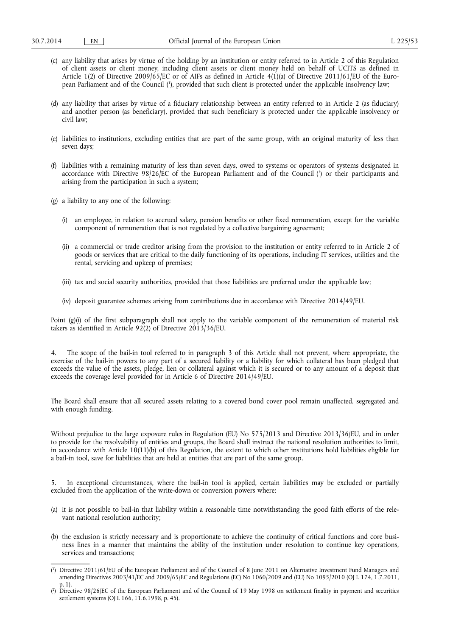- (c) any liability that arises by virtue of the holding by an institution or entity referred to in Article 2 of this Regulation of client assets or client money, including client assets or client money held on behalf of UCITS as defined in Article 1(2) of Directive 2009/65/EC or of AIFs as defined in Article 4(1)(a) of Directive 2011/61/EU of the European Parliament and of the Council ( 1 ), provided that such client is protected under the applicable insolvency law;
- (d) any liability that arises by virtue of a fiduciary relationship between an entity referred to in Article 2 (as fiduciary) and another person (as beneficiary), provided that such beneficiary is protected under the applicable insolvency or civil law;
- (e) liabilities to institutions, excluding entities that are part of the same group, with an original maturity of less than seven days;
- (f) liabilities with a remaining maturity of less than seven days, owed to systems or operators of systems designated in accordance with Directive 98/26/EC of the European Parliament and of the Council ( 2 ) or their participants and arising from the participation in such a system;
- (g) a liability to any one of the following:
	- (i) an employee, in relation to accrued salary, pension benefits or other fixed remuneration, except for the variable component of remuneration that is not regulated by a collective bargaining agreement;
	- (ii) a commercial or trade creditor arising from the provision to the institution or entity referred to in Article 2 of goods or services that are critical to the daily functioning of its operations, including IT services, utilities and the rental, servicing and upkeep of premises;
	- (iii) tax and social security authorities, provided that those liabilities are preferred under the applicable law;
	- (iv) deposit guarantee schemes arising from contributions due in accordance with Directive 2014/49/EU.

Point (g)(i) of the first subparagraph shall not apply to the variable component of the remuneration of material risk takers as identified in Article 92(2) of Directive 2013/36/EU.

4. The scope of the bail-in tool referred to in paragraph 3 of this Article shall not prevent, where appropriate, the exercise of the bail-in powers to any part of a secured liability or a liability for which collateral has been pledged that exceeds the value of the assets, pledge, lien or collateral against which it is secured or to any amount of a deposit that exceeds the coverage level provided for in Article 6 of Directive 2014/49/EU.

The Board shall ensure that all secured assets relating to a covered bond cover pool remain unaffected, segregated and with enough funding.

Without prejudice to the large exposure rules in Regulation (EU) No 575/2013 and Directive 2013/36/EU, and in order to provide for the resolvability of entities and groups, the Board shall instruct the national resolution authorities to limit, in accordance with Article  $10(11)$ (b) of this Regulation, the extent to which other institutions hold liabilities eligible for a bail-in tool, save for liabilities that are held at entities that are part of the same group.

5. In exceptional circumstances, where the bail-in tool is applied, certain liabilities may be excluded or partially excluded from the application of the write-down or conversion powers where:

- (a) it is not possible to bail-in that liability within a reasonable time notwithstanding the good faith efforts of the relevant national resolution authority;
- (b) the exclusion is strictly necessary and is proportionate to achieve the continuity of critical functions and core business lines in a manner that maintains the ability of the institution under resolution to continue key operations, services and transactions;

<sup>(</sup> 1 ) Directive 2011/61/EU of the European Parliament and of the Council of 8 June 2011 on Alternative Investment Fund Managers and amending Directives 2003/41/EC and 2009/65/EC and Regulations (EC) No 1060/2009 and (EU) No 1095/2010 (OJ L 174, 1.7.2011, p. 1).

<sup>(</sup> 2 ) Directive 98/26/EC of the European Parliament and of the Council of 19 May 1998 on settlement finality in payment and securities settlement systems (OJ L 166, 11.6.1998, p. 45).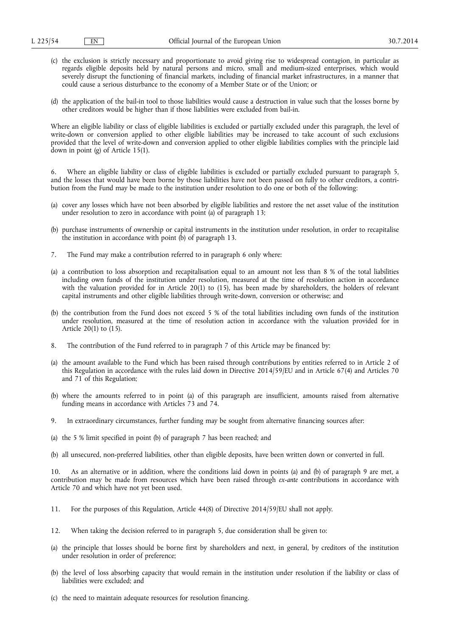- (c) the exclusion is strictly necessary and proportionate to avoid giving rise to widespread contagion, in particular as regards eligible deposits held by natural persons and micro, small and medium-sized enterprises, which would severely disrupt the functioning of financial markets, including of financial market infrastructures, in a manner that could cause a serious disturbance to the economy of a Member State or of the Union; or
- (d) the application of the bail-in tool to those liabilities would cause a destruction in value such that the losses borne by other creditors would be higher than if those liabilities were excluded from bail-in.

Where an eligible liability or class of eligible liabilities is excluded or partially excluded under this paragraph, the level of write-down or conversion applied to other eligible liabilities may be increased to take account of such exclusions provided that the level of write-down and conversion applied to other eligible liabilities complies with the principle laid down in point (g) of Article 15(1).

Where an eligible liability or class of eligible liabilities is excluded or partially excluded pursuant to paragraph 5, and the losses that would have been borne by those liabilities have not been passed on fully to other creditors, a contribution from the Fund may be made to the institution under resolution to do one or both of the following:

- (a) cover any losses which have not been absorbed by eligible liabilities and restore the net asset value of the institution under resolution to zero in accordance with point (a) of paragraph 13;
- (b) purchase instruments of ownership or capital instruments in the institution under resolution, in order to recapitalise the institution in accordance with point  $(b)$  of paragraph 13.
- 7. The Fund may make a contribution referred to in paragraph 6 only where:
- (a) a contribution to loss absorption and recapitalisation equal to an amount not less than 8 % of the total liabilities including own funds of the institution under resolution, measured at the time of resolution action in accordance with the valuation provided for in Article 20(1) to (15), has been made by shareholders, the holders of relevant capital instruments and other eligible liabilities through write-down, conversion or otherwise; and
- (b) the contribution from the Fund does not exceed 5 % of the total liabilities including own funds of the institution under resolution, measured at the time of resolution action in accordance with the valuation provided for in Article 20(1) to (15).
- 8. The contribution of the Fund referred to in paragraph 7 of this Article may be financed by:
- (a) the amount available to the Fund which has been raised through contributions by entities referred to in Article 2 of this Regulation in accordance with the rules laid down in Directive 2014/59/EU and in Article 67(4) and Articles 70 and 71 of this Regulation;
- (b) where the amounts referred to in point (a) of this paragraph are insufficient, amounts raised from alternative funding means in accordance with Articles 73 and 74.
- 9. In extraordinary circumstances, further funding may be sought from alternative financing sources after:
- (a) the 5 % limit specified in point (b) of paragraph 7 has been reached; and
- (b) all unsecured, non-preferred liabilities, other than eligible deposits, have been written down or converted in full.

10. As an alternative or in addition, where the conditions laid down in points (a) and (b) of paragraph 9 are met, a contribution may be made from resources which have been raised through *ex-ante* contributions in accordance with Article 70 and which have not yet been used.

- 11. For the purposes of this Regulation, Article 44(8) of Directive 2014/59/EU shall not apply.
- 12. When taking the decision referred to in paragraph 5, due consideration shall be given to:
- (a) the principle that losses should be borne first by shareholders and next, in general, by creditors of the institution under resolution in order of preference;
- (b) the level of loss absorbing capacity that would remain in the institution under resolution if the liability or class of liabilities were excluded; and
- (c) the need to maintain adequate resources for resolution financing.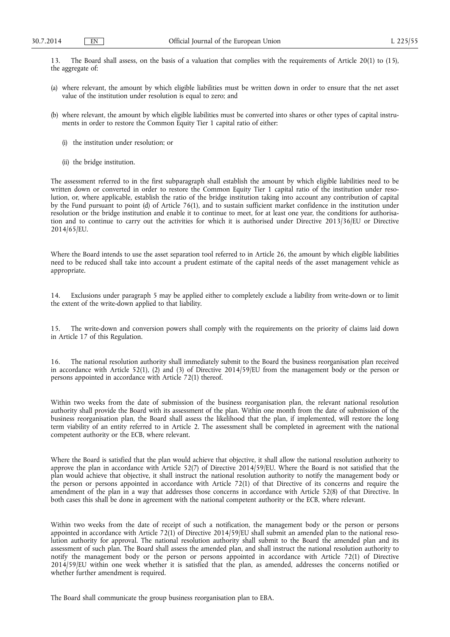13. The Board shall assess, on the basis of a valuation that complies with the requirements of Article 20(1) to (15), the aggregate of:

- (a) where relevant, the amount by which eligible liabilities must be written down in order to ensure that the net asset value of the institution under resolution is equal to zero; and
- (b) where relevant, the amount by which eligible liabilities must be converted into shares or other types of capital instruments in order to restore the Common Equity Tier 1 capital ratio of either:
	- (i) the institution under resolution; or
	- (ii) the bridge institution.

The assessment referred to in the first subparagraph shall establish the amount by which eligible liabilities need to be written down or converted in order to restore the Common Equity Tier 1 capital ratio of the institution under resolution, or, where applicable, establish the ratio of the bridge institution taking into account any contribution of capital by the Fund pursuant to point (d) of Article 76(1), and to sustain sufficient market confidence in the institution under resolution or the bridge institution and enable it to continue to meet, for at least one year, the conditions for authorisation and to continue to carry out the activities for which it is authorised under Directive 2013/36/EU or Directive 2014/65/EU.

Where the Board intends to use the asset separation tool referred to in Article 26, the amount by which eligible liabilities need to be reduced shall take into account a prudent estimate of the capital needs of the asset management vehicle as appropriate.

14. Exclusions under paragraph 5 may be applied either to completely exclude a liability from write-down or to limit the extent of the write-down applied to that liability.

15. The write-down and conversion powers shall comply with the requirements on the priority of claims laid down in Article 17 of this Regulation.

16. The national resolution authority shall immediately submit to the Board the business reorganisation plan received in accordance with Article 52(1), (2) and (3) of Directive 2014/59/EU from the management body or the person or persons appointed in accordance with Article 72(1) thereof.

Within two weeks from the date of submission of the business reorganisation plan, the relevant national resolution authority shall provide the Board with its assessment of the plan. Within one month from the date of submission of the business reorganisation plan, the Board shall assess the likelihood that the plan, if implemented, will restore the long term viability of an entity referred to in Article 2. The assessment shall be completed in agreement with the national competent authority or the ECB, where relevant.

Where the Board is satisfied that the plan would achieve that objective, it shall allow the national resolution authority to approve the plan in accordance with Article 52(7) of Directive 2014/59/EU. Where the Board is not satisfied that the plan would achieve that objective, it shall instruct the national resolution authority to notify the management body or the person or persons appointed in accordance with Article 72(1) of that Directive of its concerns and require the amendment of the plan in a way that addresses those concerns in accordance with Article 52(8) of that Directive. In both cases this shall be done in agreement with the national competent authority or the ECB, where relevant.

Within two weeks from the date of receipt of such a notification, the management body or the person or persons appointed in accordance with Article 72(1) of Directive 2014/59/EU shall submit an amended plan to the national resolution authority for approval. The national resolution authority shall submit to the Board the amended plan and its assessment of such plan. The Board shall assess the amended plan, and shall instruct the national resolution authority to notify the management body or the person or persons appointed in accordance with Article 72(1) of Directive 2014/59/EU within one week whether it is satisfied that the plan, as amended, addresses the concerns notified or whether further amendment is required.

The Board shall communicate the group business reorganisation plan to EBA.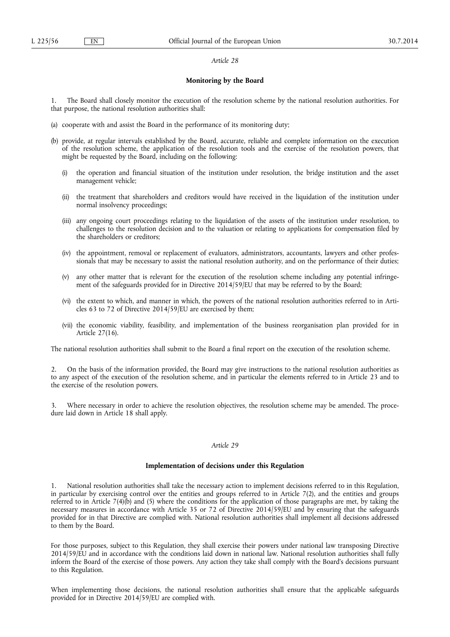#### *Article 28*

### **Monitoring by the Board**

1. The Board shall closely monitor the execution of the resolution scheme by the national resolution authorities. For that purpose, the national resolution authorities shall:

- (a) cooperate with and assist the Board in the performance of its monitoring duty;
- (b) provide, at regular intervals established by the Board, accurate, reliable and complete information on the execution of the resolution scheme, the application of the resolution tools and the exercise of the resolution powers, that might be requested by the Board, including on the following:
	- (i) the operation and financial situation of the institution under resolution, the bridge institution and the asset management vehicle;
	- (ii) the treatment that shareholders and creditors would have received in the liquidation of the institution under normal insolvency proceedings;
	- (iii) any ongoing court proceedings relating to the liquidation of the assets of the institution under resolution, to challenges to the resolution decision and to the valuation or relating to applications for compensation filed by the shareholders or creditors;
	- (iv) the appointment, removal or replacement of evaluators, administrators, accountants, lawyers and other professionals that may be necessary to assist the national resolution authority, and on the performance of their duties;
	- (v) any other matter that is relevant for the execution of the resolution scheme including any potential infringement of the safeguards provided for in Directive 2014/59/EU that may be referred to by the Board;
	- (vi) the extent to which, and manner in which, the powers of the national resolution authorities referred to in Articles 63 to 72 of Directive 2014/59/EU are exercised by them;
	- (vii) the economic viability, feasibility, and implementation of the business reorganisation plan provided for in Article 27(16).

The national resolution authorities shall submit to the Board a final report on the execution of the resolution scheme.

2. On the basis of the information provided, the Board may give instructions to the national resolution authorities as to any aspect of the execution of the resolution scheme, and in particular the elements referred to in Article 23 and to the exercise of the resolution powers.

Where necessary in order to achieve the resolution objectives, the resolution scheme may be amended. The procedure laid down in Article 18 shall apply.

### *Article 29*

### **Implementation of decisions under this Regulation**

1. National resolution authorities shall take the necessary action to implement decisions referred to in this Regulation, in particular by exercising control over the entities and groups referred to in Article  $7(2)$ , and the entities and groups referred to in Article 7(4)(b) and (5) where the conditions for the application of those paragraphs are met, by taking the necessary measures in accordance with Article 35 or 72 of Directive 2014/59/EU and by ensuring that the safeguards provided for in that Directive are complied with. National resolution authorities shall implement all decisions addressed to them by the Board.

For those purposes, subject to this Regulation, they shall exercise their powers under national law transposing Directive 2014/59/EU and in accordance with the conditions laid down in national law. National resolution authorities shall fully inform the Board of the exercise of those powers. Any action they take shall comply with the Board's decisions pursuant to this Regulation.

When implementing those decisions, the national resolution authorities shall ensure that the applicable safeguards provided for in Directive 2014/59/EU are complied with.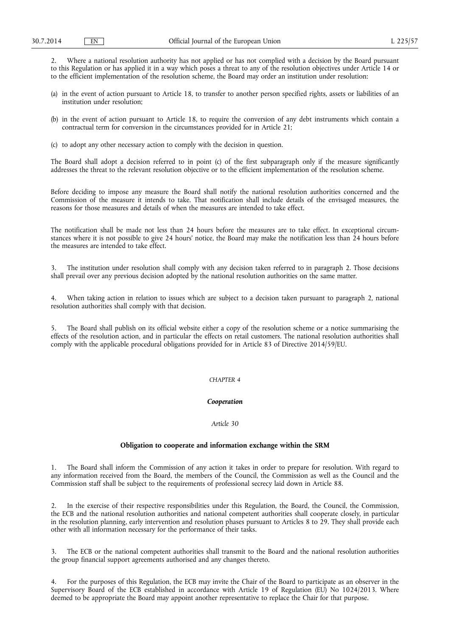2. Where a national resolution authority has not applied or has not complied with a decision by the Board pursuant to this Regulation or has applied it in a way which poses a threat to any of the resolution objectives under Article 14 or to the efficient implementation of the resolution scheme, the Board may order an institution under resolution:

- (a) in the event of action pursuant to Article 18, to transfer to another person specified rights, assets or liabilities of an institution under resolution;
- (b) in the event of action pursuant to Article 18, to require the conversion of any debt instruments which contain a contractual term for conversion in the circumstances provided for in Article 21;
- (c) to adopt any other necessary action to comply with the decision in question.

The Board shall adopt a decision referred to in point (c) of the first subparagraph only if the measure significantly addresses the threat to the relevant resolution objective or to the efficient implementation of the resolution scheme.

Before deciding to impose any measure the Board shall notify the national resolution authorities concerned and the Commission of the measure it intends to take. That notification shall include details of the envisaged measures, the reasons for those measures and details of when the measures are intended to take effect.

The notification shall be made not less than 24 hours before the measures are to take effect. In exceptional circumstances where it is not possible to give 24 hours' notice, the Board may make the notification less than 24 hours before the measures are intended to take effect.

3. The institution under resolution shall comply with any decision taken referred to in paragraph 2. Those decisions shall prevail over any previous decision adopted by the national resolution authorities on the same matter.

4. When taking action in relation to issues which are subject to a decision taken pursuant to paragraph 2, national resolution authorities shall comply with that decision.

5. The Board shall publish on its official website either a copy of the resolution scheme or a notice summarising the effects of the resolution action, and in particular the effects on retail customers. The national resolution authorities shall comply with the applicable procedural obligations provided for in Article 83 of Directive 2014/59/EU.

#### *CHAPTER 4*

### *Cooperation*

### *Article 30*

### **Obligation to cooperate and information exchange within the SRM**

1. The Board shall inform the Commission of any action it takes in order to prepare for resolution. With regard to any information received from the Board, the members of the Council, the Commission as well as the Council and the Commission staff shall be subject to the requirements of professional secrecy laid down in Article 88.

2. In the exercise of their respective responsibilities under this Regulation, the Board, the Council, the Commission, the ECB and the national resolution authorities and national competent authorities shall cooperate closely, in particular in the resolution planning, early intervention and resolution phases pursuant to Articles 8 to 29. They shall provide each other with all information necessary for the performance of their tasks.

3. The ECB or the national competent authorities shall transmit to the Board and the national resolution authorities the group financial support agreements authorised and any changes thereto.

4. For the purposes of this Regulation, the ECB may invite the Chair of the Board to participate as an observer in the Supervisory Board of the ECB established in accordance with Article 19 of Regulation (EU) No 1024/2013. Where deemed to be appropriate the Board may appoint another representative to replace the Chair for that purpose.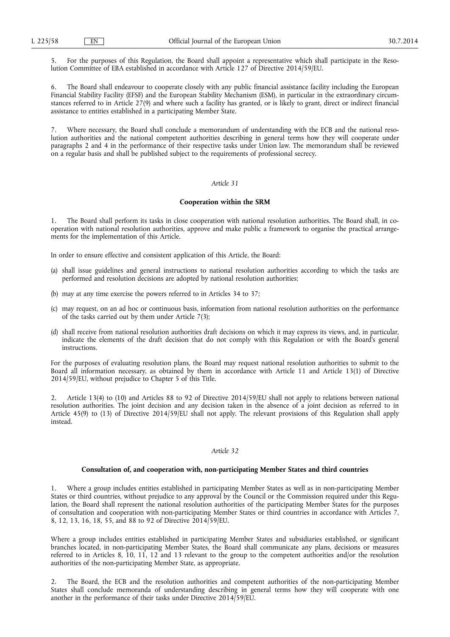5. For the purposes of this Regulation, the Board shall appoint a representative which shall participate in the Resolution Committee of EBA established in accordance with Article 127 of Directive 2014/59/EU.

6. The Board shall endeavour to cooperate closely with any public financial assistance facility including the European Financial Stability Facility (EFSF) and the European Stability Mechanism (ESM), in particular in the extraordinary circumstances referred to in Article 27(9) and where such a facility has granted, or is likely to grant, direct or indirect financial assistance to entities established in a participating Member State.

7. Where necessary, the Board shall conclude a memorandum of understanding with the ECB and the national resolution authorities and the national competent authorities describing in general terms how they will cooperate under paragraphs 2 and 4 in the performance of their respective tasks under Union law. The memorandum shall be reviewed on a regular basis and shall be published subject to the requirements of professional secrecy.

### *Article 31*

#### **Cooperation within the SRM**

The Board shall perform its tasks in close cooperation with national resolution authorities. The Board shall, in cooperation with national resolution authorities, approve and make public a framework to organise the practical arrangements for the implementation of this Article.

In order to ensure effective and consistent application of this Article, the Board:

- (a) shall issue guidelines and general instructions to national resolution authorities according to which the tasks are performed and resolution decisions are adopted by national resolution authorities;
- (b) may at any time exercise the powers referred to in Articles 34 to 37;
- (c) may request, on an ad hoc or continuous basis, information from national resolution authorities on the performance of the tasks carried out by them under Article 7(3);
- (d) shall receive from national resolution authorities draft decisions on which it may express its views, and, in particular, indicate the elements of the draft decision that do not comply with this Regulation or with the Board's general instructions.

For the purposes of evaluating resolution plans, the Board may request national resolution authorities to submit to the Board all information necessary, as obtained by them in accordance with Article 11 and Article 13(1) of Directive 2014/59/EU, without prejudice to Chapter 5 of this Title.

2. Article 13(4) to (10) and Articles 88 to 92 of Directive 2014/59/EU shall not apply to relations between national resolution authorities. The joint decision and any decision taken in the absence of a joint decision as referred to in Article 45(9) to (13) of Directive 2014/59/EU shall not apply. The relevant provisions of this Regulation shall apply instead.

# *Article 32*

### **Consultation of, and cooperation with, non-participating Member States and third countries**

1. Where a group includes entities established in participating Member States as well as in non-participating Member States or third countries, without prejudice to any approval by the Council or the Commission required under this Regulation, the Board shall represent the national resolution authorities of the participating Member States for the purposes of consultation and cooperation with non-participating Member States or third countries in accordance with Articles 7, 8, 12, 13, 16, 18, 55, and 88 to 92 of Directive 2014/59/EU.

Where a group includes entities established in participating Member States and subsidiaries established, or significant branches located, in non-participating Member States, the Board shall communicate any plans, decisions or measures referred to in Articles 8, 10, 11, 12 and 13 relevant to the group to the competent authorities and/or the resolution authorities of the non-participating Member State, as appropriate.

2. The Board, the ECB and the resolution authorities and competent authorities of the non-participating Member States shall conclude memoranda of understanding describing in general terms how they will cooperate with one another in the performance of their tasks under Directive 2014/59/EU.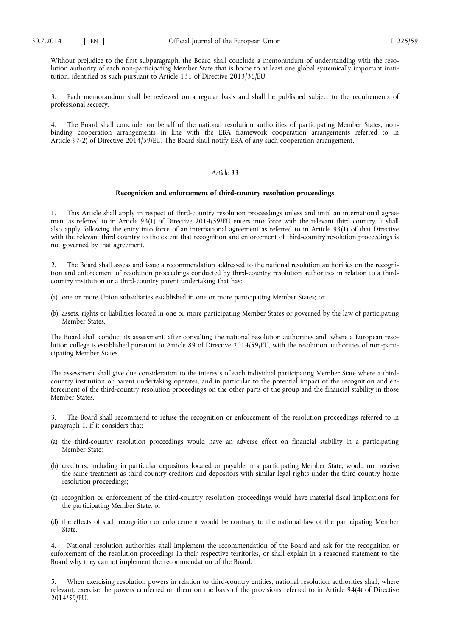Without prejudice to the first subparagraph, the Board shall conclude a memorandum of understanding with the resolution authority of each non-participating Member State that is home to at least one global systemically important institution, identified as such pursuant to Article 131 of Directive 2013/36/EU.

Each memorandum shall be reviewed on a regular basis and shall be published subject to the requirements of professional secrecy.

4. The Board shall conclude, on behalf of the national resolution authorities of participating Member States, nonbinding cooperation arrangements in line with the EBA framework cooperation arrangements referred to in Article 97(2) of Directive 2014/59/EU. The Board shall notify EBA of any such cooperation arrangement.

## *Article 33*

#### **Recognition and enforcement of third-country resolution proceedings**

1. This Article shall apply in respect of third-country resolution proceedings unless and until an international agreement as referred to in Article 93(1) of Directive 2014/59/EU enters into force with the relevant third country. It shall also apply following the entry into force of an international agreement as referred to in Article 93(1) of that Directive with the relevant third country to the extent that recognition and enforcement of third-country resolution proceedings is not governed by that agreement.

2. The Board shall assess and issue a recommendation addressed to the national resolution authorities on the recognition and enforcement of resolution proceedings conducted by third-country resolution authorities in relation to a thirdcountry institution or a third-country parent undertaking that has:

- (a) one or more Union subsidiaries established in one or more participating Member States; or
- (b) assets, rights or liabilities located in one or more participating Member States or governed by the law of participating Member States.

The Board shall conduct its assessment, after consulting the national resolution authorities and, where a European resolution college is established pursuant to Article 89 of Directive 2014/59/EU, with the resolution authorities of non-participating Member States.

The assessment shall give due consideration to the interests of each individual participating Member State where a thirdcountry institution or parent undertaking operates, and in particular to the potential impact of the recognition and enforcement of the third-country resolution proceedings on the other parts of the group and the financial stability in those Member States.

3. The Board shall recommend to refuse the recognition or enforcement of the resolution proceedings referred to in paragraph 1, if it considers that:

- (a) the third-country resolution proceedings would have an adverse effect on financial stability in a participating Member State;
- (b) creditors, including in particular depositors located or payable in a participating Member State, would not receive the same treatment as third-country creditors and depositors with similar legal rights under the third-country home resolution proceedings;
- (c) recognition or enforcement of the third-country resolution proceedings would have material fiscal implications for the participating Member State; or
- (d) the effects of such recognition or enforcement would be contrary to the national law of the participating Member State.

National resolution authorities shall implement the recommendation of the Board and ask for the recognition or enforcement of the resolution proceedings in their respective territories, or shall explain in a reasoned statement to the Board why they cannot implement the recommendation of the Board.

5. When exercising resolution powers in relation to third-country entities, national resolution authorities shall, where relevant, exercise the powers conferred on them on the basis of the provisions referred to in Article 94(4) of Directive 2014/59/EU.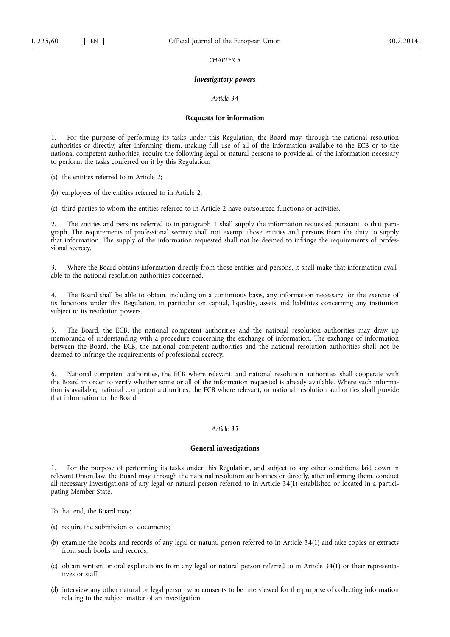*CHAPTER 5* 

#### *Investigatory powers*

### *Article 34*

#### **Requests for information**

1. For the purpose of performing its tasks under this Regulation, the Board may, through the national resolution authorities or directly, after informing them, making full use of all of the information available to the ECB or to the national competent authorities, require the following legal or natural persons to provide all of the information necessary to perform the tasks conferred on it by this Regulation:

(a) the entities referred to in Article 2;

(b) employees of the entities referred to in Article 2;

(c) third parties to whom the entities referred to in Article 2 have outsourced functions or activities.

2. The entities and persons referred to in paragraph 1 shall supply the information requested pursuant to that paragraph. The requirements of professional secrecy shall not exempt those entities and persons from the duty to supply that information. The supply of the information requested shall not be deemed to infringe the requirements of professional secrecy.

3. Where the Board obtains information directly from those entities and persons, it shall make that information available to the national resolution authorities concerned.

4. The Board shall be able to obtain, including on a continuous basis, any information necessary for the exercise of its functions under this Regulation, in particular on capital, liquidity, assets and liabilities concerning any institution subject to its resolution powers.

5. The Board, the ECB, the national competent authorities and the national resolution authorities may draw up memoranda of understanding with a procedure concerning the exchange of information. The exchange of information between the Board, the ECB, the national competent authorities and the national resolution authorities shall not be deemed to infringe the requirements of professional secrecy.

6. National competent authorities, the ECB where relevant, and national resolution authorities shall cooperate with the Board in order to verify whether some or all of the information requested is already available. Where such information is available, national competent authorities, the ECB where relevant, or national resolution authorities shall provide that information to the Board.

#### *Article 35*

### **General investigations**

1. For the purpose of performing its tasks under this Regulation, and subject to any other conditions laid down in relevant Union law, the Board may, through the national resolution authorities or directly, after informing them, conduct all necessary investigations of any legal or natural person referred to in Article 34(1) established or located in a participating Member State.

To that end, the Board may:

- (a) require the submission of documents;
- (b) examine the books and records of any legal or natural person referred to in Article 34(1) and take copies or extracts from such books and records;
- (c) obtain written or oral explanations from any legal or natural person referred to in Article 34(1) or their representatives or staff;
- (d) interview any other natural or legal person who consents to be interviewed for the purpose of collecting information relating to the subject matter of an investigation.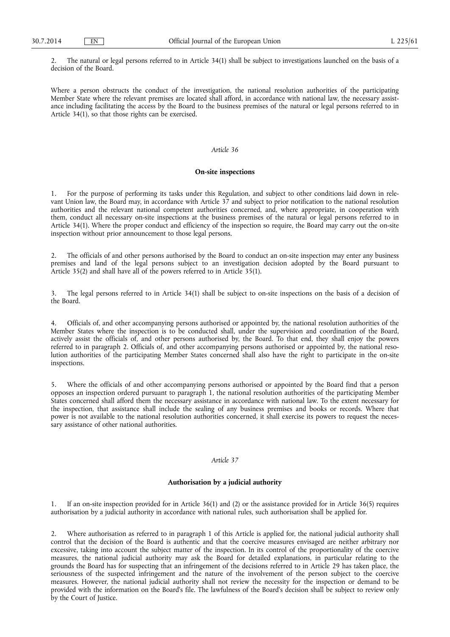2. The natural or legal persons referred to in Article 34(1) shall be subject to investigations launched on the basis of a decision of the Board.

Where a person obstructs the conduct of the investigation, the national resolution authorities of the participating Member State where the relevant premises are located shall afford, in accordance with national law, the necessary assistance including facilitating the access by the Board to the business premises of the natural or legal persons referred to in Article 34(1), so that those rights can be exercised.

#### *Article 36*

#### **On-site inspections**

1. For the purpose of performing its tasks under this Regulation, and subject to other conditions laid down in relevant Union law, the Board may, in accordance with Article 37 and subject to prior notification to the national resolution authorities and the relevant national competent authorities concerned, and, where appropriate, in cooperation with them, conduct all necessary on-site inspections at the business premises of the natural or legal persons referred to in Article 34(1). Where the proper conduct and efficiency of the inspection so require, the Board may carry out the on-site inspection without prior announcement to those legal persons.

2. The officials of and other persons authorised by the Board to conduct an on-site inspection may enter any business premises and land of the legal persons subject to an investigation decision adopted by the Board pursuant to Article 35(2) and shall have all of the powers referred to in Article 35(1).

3. The legal persons referred to in Article 34(1) shall be subject to on-site inspections on the basis of a decision of the Board.

4. Officials of, and other accompanying persons authorised or appointed by, the national resolution authorities of the Member States where the inspection is to be conducted shall, under the supervision and coordination of the Board, actively assist the officials of, and other persons authorised by, the Board. To that end, they shall enjoy the powers referred to in paragraph 2. Officials of, and other accompanying persons authorised or appointed by, the national resolution authorities of the participating Member States concerned shall also have the right to participate in the on-site inspections.

5. Where the officials of and other accompanying persons authorised or appointed by the Board find that a person opposes an inspection ordered pursuant to paragraph 1, the national resolution authorities of the participating Member States concerned shall afford them the necessary assistance in accordance with national law. To the extent necessary for the inspection, that assistance shall include the sealing of any business premises and books or records. Where that power is not available to the national resolution authorities concerned, it shall exercise its powers to request the necessary assistance of other national authorities.

### *Article 37*

### **Authorisation by a judicial authority**

1. If an on-site inspection provided for in Article 36(1) and (2) or the assistance provided for in Article 36(5) requires authorisation by a judicial authority in accordance with national rules, such authorisation shall be applied for.

2. Where authorisation as referred to in paragraph 1 of this Article is applied for, the national judicial authority shall control that the decision of the Board is authentic and that the coercive measures envisaged are neither arbitrary nor excessive, taking into account the subject matter of the inspection. In its control of the proportionality of the coercive measures, the national judicial authority may ask the Board for detailed explanations, in particular relating to the grounds the Board has for suspecting that an infringement of the decisions referred to in Article 29 has taken place, the seriousness of the suspected infringement and the nature of the involvement of the person subject to the coercive measures. However, the national judicial authority shall not review the necessity for the inspection or demand to be provided with the information on the Board's file. The lawfulness of the Board's decision shall be subject to review only by the Court of Justice.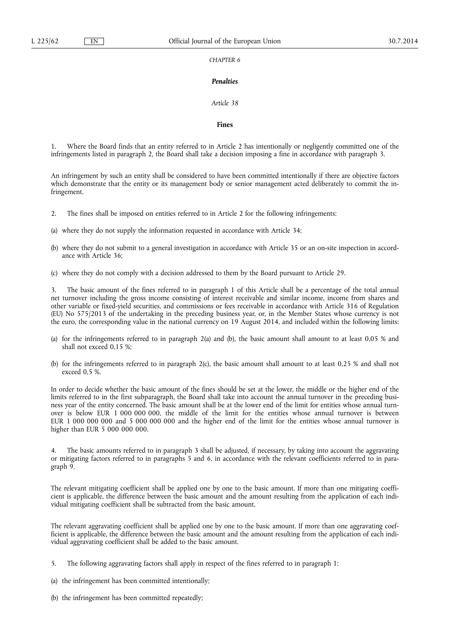## *CHAPTER 6*

### *Penalties*

### *Article 38*

#### **Fines**

Where the Board finds that an entity referred to in Article 2 has intentionally or negligently committed one of the infringements listed in paragraph 2, the Board shall take a decision imposing a fine in accordance with paragraph 3.

An infringement by such an entity shall be considered to have been committed intentionally if there are objective factors which demonstrate that the entity or its management body or senior management acted deliberately to commit the infringement.

2. The fines shall be imposed on entities referred to in Article 2 for the following infringements:

(a) where they do not supply the information requested in accordance with Article 34;

- (b) where they do not submit to a general investigation in accordance with Article 35 or an on-site inspection in accordance with Article 36;
- (c) where they do not comply with a decision addressed to them by the Board pursuant to Article 29.

3. The basic amount of the fines referred to in paragraph 1 of this Article shall be a percentage of the total annual net turnover including the gross income consisting of interest receivable and similar income, income from shares and other variable or fixed-yield securities, and commissions or fees receivable in accordance with Article 316 of Regulation (EU) No 575/2013 of the undertaking in the preceding business year, or, in the Member States whose currency is not the euro, the corresponding value in the national currency on 19 August 2014, and included within the following limits:

- (a) for the infringements referred to in paragraph 2(a) and (b), the basic amount shall amount to at least 0,05 % and shall not exceed 0,15 %;
- (b) for the infringements referred to in paragraph 2(c), the basic amount shall amount to at least 0,25 % and shall not exceed 0,5 %.

In order to decide whether the basic amount of the fines should be set at the lower, the middle or the higher end of the limits referred to in the first subparagraph, the Board shall take into account the annual turnover in the preceding business year of the entity concerned. The basic amount shall be at the lower end of the limit for entities whose annual turnover is below EUR 1 000 000 000, the middle of the limit for the entities whose annual turnover is between EUR 1 000 000 000 and 5 000 000 000 and the higher end of the limit for the entities whose annual turnover is higher than EUR 5 000 000 000.

4. The basic amounts referred to in paragraph 3 shall be adjusted, if necessary, by taking into account the aggravating or mitigating factors referred to in paragraphs 5 and 6, in accordance with the relevant coefficients referred to in paragraph 9.

The relevant mitigating coefficient shall be applied one by one to the basic amount. If more than one mitigating coefficient is applicable, the difference between the basic amount and the amount resulting from the application of each individual mitigating coefficient shall be subtracted from the basic amount.

The relevant aggravating coefficient shall be applied one by one to the basic amount. If more than one aggravating coefficient is applicable, the difference between the basic amount and the amount resulting from the application of each individual aggravating coefficient shall be added to the basic amount.

- 5. The following aggravating factors shall apply in respect of the fines referred to in paragraph 1:
- (a) the infringement has been committed intentionally;
- (b) the infringement has been committed repeatedly;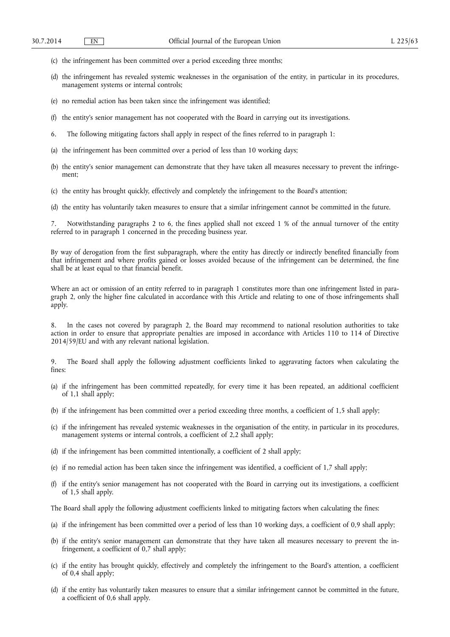- (c) the infringement has been committed over a period exceeding three months;
- (d) the infringement has revealed systemic weaknesses in the organisation of the entity, in particular in its procedures, management systems or internal controls;
- (e) no remedial action has been taken since the infringement was identified;
- (f) the entity's senior management has not cooperated with the Board in carrying out its investigations.
- 6. The following mitigating factors shall apply in respect of the fines referred to in paragraph 1:
- (a) the infringement has been committed over a period of less than 10 working days;
- (b) the entity's senior management can demonstrate that they have taken all measures necessary to prevent the infringement;
- (c) the entity has brought quickly, effectively and completely the infringement to the Board's attention;
- (d) the entity has voluntarily taken measures to ensure that a similar infringement cannot be committed in the future.

7. Notwithstanding paragraphs 2 to 6, the fines applied shall not exceed 1 % of the annual turnover of the entity referred to in paragraph 1 concerned in the preceding business year.

By way of derogation from the first subparagraph, where the entity has directly or indirectly benefited financially from that infringement and where profits gained or losses avoided because of the infringement can be determined, the fine shall be at least equal to that financial benefit.

Where an act or omission of an entity referred to in paragraph 1 constitutes more than one infringement listed in paragraph 2, only the higher fine calculated in accordance with this Article and relating to one of those infringements shall apply.

8. In the cases not covered by paragraph 2, the Board may recommend to national resolution authorities to take action in order to ensure that appropriate penalties are imposed in accordance with Articles 110 to 114 of Directive 2014/59/EU and with any relevant national legislation.

9. The Board shall apply the following adjustment coefficients linked to aggravating factors when calculating the fines:

- (a) if the infringement has been committed repeatedly, for every time it has been repeated, an additional coefficient of 1,1 shall apply;
- (b) if the infringement has been committed over a period exceeding three months, a coefficient of 1,5 shall apply;
- (c) if the infringement has revealed systemic weaknesses in the organisation of the entity, in particular in its procedures, management systems or internal controls, a coefficient of 2,2 shall apply;
- (d) if the infringement has been committed intentionally, a coefficient of 2 shall apply;
- (e) if no remedial action has been taken since the infringement was identified, a coefficient of 1,7 shall apply;
- (f) if the entity's senior management has not cooperated with the Board in carrying out its investigations, a coefficient of 1,5 shall apply.

The Board shall apply the following adjustment coefficients linked to mitigating factors when calculating the fines:

- (a) if the infringement has been committed over a period of less than 10 working days, a coefficient of 0,9 shall apply;
- (b) if the entity's senior management can demonstrate that they have taken all measures necessary to prevent the infringement, a coefficient of  $0,7$  shall apply;
- (c) if the entity has brought quickly, effectively and completely the infringement to the Board's attention, a coefficient of 0,4 shall apply;
- (d) if the entity has voluntarily taken measures to ensure that a similar infringement cannot be committed in the future, a coefficient of 0,6 shall apply.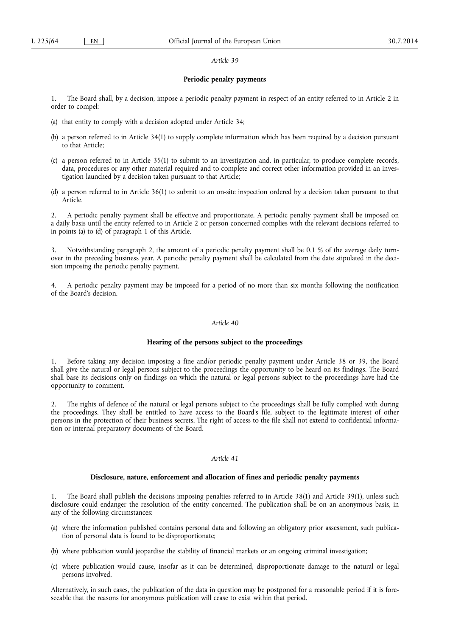#### *Article 39*

### **Periodic penalty payments**

1. The Board shall, by a decision, impose a periodic penalty payment in respect of an entity referred to in Article 2 in order to compel:

- (a) that entity to comply with a decision adopted under Article 34;
- (b) a person referred to in Article 34(1) to supply complete information which has been required by a decision pursuant to that Article;
- (c) a person referred to in Article 35(1) to submit to an investigation and, in particular, to produce complete records, data, procedures or any other material required and to complete and correct other information provided in an investigation launched by a decision taken pursuant to that Article;
- (d) a person referred to in Article 36(1) to submit to an on-site inspection ordered by a decision taken pursuant to that Article.

2. A periodic penalty payment shall be effective and proportionate. A periodic penalty payment shall be imposed on a daily basis until the entity referred to in Article 2 or person concerned complies with the relevant decisions referred to in points (a) to (d) of paragraph 1 of this Article.

Notwithstanding paragraph 2, the amount of a periodic penalty payment shall be 0,1 % of the average daily turnover in the preceding business year. A periodic penalty payment shall be calculated from the date stipulated in the decision imposing the periodic penalty payment.

4. A periodic penalty payment may be imposed for a period of no more than six months following the notification of the Board's decision.

### *Article 40*

# **Hearing of the persons subject to the proceedings**

1. Before taking any decision imposing a fine and/or periodic penalty payment under Article 38 or 39, the Board shall give the natural or legal persons subject to the proceedings the opportunity to be heard on its findings. The Board shall base its decisions only on findings on which the natural or legal persons subject to the proceedings have had the opportunity to comment.

2. The rights of defence of the natural or legal persons subject to the proceedings shall be fully complied with during the proceedings. They shall be entitled to have access to the Board's file, subject to the legitimate interest of other persons in the protection of their business secrets. The right of access to the file shall not extend to confidential information or internal preparatory documents of the Board.

## *Article 41*

#### **Disclosure, nature, enforcement and allocation of fines and periodic penalty payments**

1. The Board shall publish the decisions imposing penalties referred to in Article 38(1) and Article 39(1), unless such disclosure could endanger the resolution of the entity concerned. The publication shall be on an anonymous basis, in any of the following circumstances:

- (a) where the information published contains personal data and following an obligatory prior assessment, such publication of personal data is found to be disproportionate;
- (b) where publication would jeopardise the stability of financial markets or an ongoing criminal investigation;
- (c) where publication would cause, insofar as it can be determined, disproportionate damage to the natural or legal persons involved.

Alternatively, in such cases, the publication of the data in question may be postponed for a reasonable period if it is foreseeable that the reasons for anonymous publication will cease to exist within that period.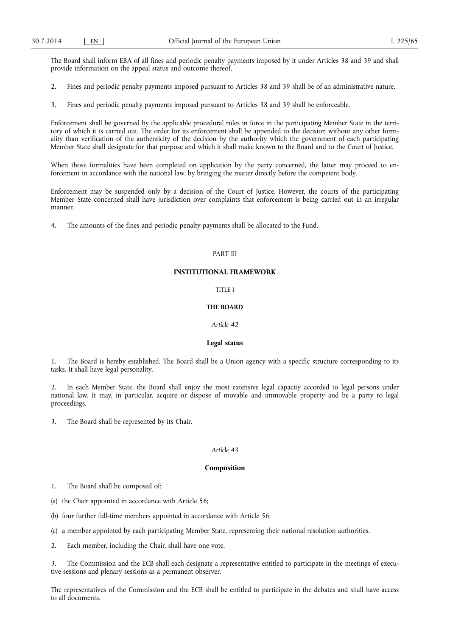The Board shall inform EBA of all fines and periodic penalty payments imposed by it under Articles 38 and 39 and shall provide information on the appeal status and outcome thereof.

- 2. Fines and periodic penalty payments imposed pursuant to Articles 38 and 39 shall be of an administrative nature.
- 3. Fines and periodic penalty payments imposed pursuant to Articles 38 and 39 shall be enforceable.

Enforcement shall be governed by the applicable procedural rules in force in the participating Member State in the territory of which it is carried out. The order for its enforcement shall be appended to the decision without any other formality than verification of the authenticity of the decision by the authority which the government of each participating Member State shall designate for that purpose and which it shall make known to the Board and to the Court of Justice.

When those formalities have been completed on application by the party concerned, the latter may proceed to enforcement in accordance with the national law, by bringing the matter directly before the competent body.

Enforcement may be suspended only by a decision of the Court of Justice. However, the courts of the participating Member State concerned shall have jurisdiction over complaints that enforcement is being carried out in an irregular manner.

4. The amounts of the fines and periodic penalty payments shall be allocated to the Fund.

## PART III

## **INSTITUTIONAL FRAMEWORK**

### TITLE I

## **THE BOARD**

### *Article 42*

### **Legal status**

1. The Board is hereby established. The Board shall be a Union agency with a specific structure corresponding to its tasks. It shall have legal personality.

2. In each Member State, the Board shall enjoy the most extensive legal capacity accorded to legal persons under national law. It may, in particular, acquire or dispose of movable and immovable property and be a party to legal proceedings.

3. The Board shall be represented by its Chair.

### *Article 43*

### **Composition**

1. The Board shall be composed of:

- (a) the Chair appointed in accordance with Article 56;
- (b) four further full-time members appointed in accordance with Article 56;
- (c) a member appointed by each participating Member State, representing their national resolution authorities.
- 2. Each member, including the Chair, shall have one vote.

3. The Commission and the ECB shall each designate a representative entitled to participate in the meetings of executive sessions and plenary sessions as a permanent observer.

The representatives of the Commission and the ECB shall be entitled to participate in the debates and shall have access to all documents.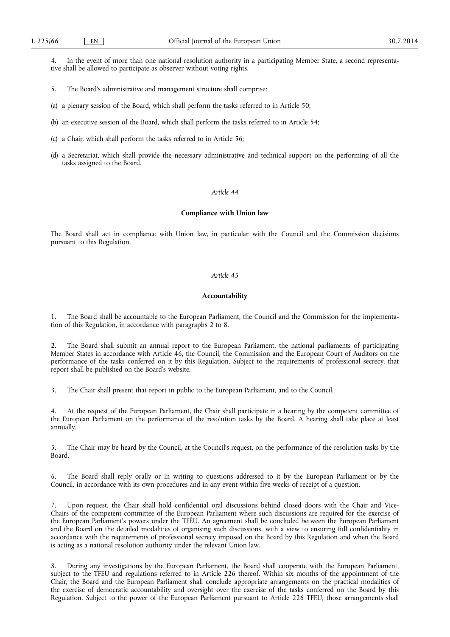4. In the event of more than one national resolution authority in a participating Member State, a second representative shall be allowed to participate as observer without voting rights.

- 5. The Board's administrative and management structure shall comprise:
- (a) a plenary session of the Board, which shall perform the tasks referred to in Article 50;
- (b) an executive session of the Board, which shall perform the tasks referred to in Article 54;
- (c) a Chair, which shall perform the tasks referred to in Article 56;
- (d) a Secretariat, which shall provide the necessary administrative and technical support on the performing of all the tasks assigned to the Board.

#### *Article 44*

### **Compliance with Union law**

The Board shall act in compliance with Union law, in particular with the Council and the Commission decisions pursuant to this Regulation.

#### *Article 45*

## **Accountability**

1. The Board shall be accountable to the European Parliament, the Council and the Commission for the implementation of this Regulation, in accordance with paragraphs 2 to 8.

2. The Board shall submit an annual report to the European Parliament, the national parliaments of participating Member States in accordance with Article 46, the Council, the Commission and the European Court of Auditors on the performance of the tasks conferred on it by this Regulation. Subject to the requirements of professional secrecy, that report shall be published on the Board's website.

3. The Chair shall present that report in public to the European Parliament, and to the Council.

4. At the request of the European Parliament, the Chair shall participate in a hearing by the competent committee of the European Parliament on the performance of the resolution tasks by the Board. A hearing shall take place at least annually.

5. The Chair may be heard by the Council, at the Council's request, on the performance of the resolution tasks by the Board.

6. The Board shall reply orally or in writing to questions addressed to it by the European Parliament or by the Council, in accordance with its own procedures and in any event within five weeks of receipt of a question.

Upon request, the Chair shall hold confidential oral discussions behind closed doors with the Chair and Vice-Chairs of the competent committee of the European Parliament where such discussions are required for the exercise of the European Parliament's powers under the TFEU. An agreement shall be concluded between the European Parliament and the Board on the detailed modalities of organising such discussions, with a view to ensuring full confidentiality in accordance with the requirements of professional secrecy imposed on the Board by this Regulation and when the Board is acting as a national resolution authority under the relevant Union law.

8. During any investigations by the European Parliament, the Board shall cooperate with the European Parliament, subject to the TFEU and regulations referred to in Article 226 thereof. Within six months of the appointment of the Chair, the Board and the European Parliament shall conclude appropriate arrangements on the practical modalities of the exercise of democratic accountability and oversight over the exercise of the tasks conferred on the Board by this Regulation. Subject to the power of the European Parliament pursuant to Article 226 TFEU, those arrangements shall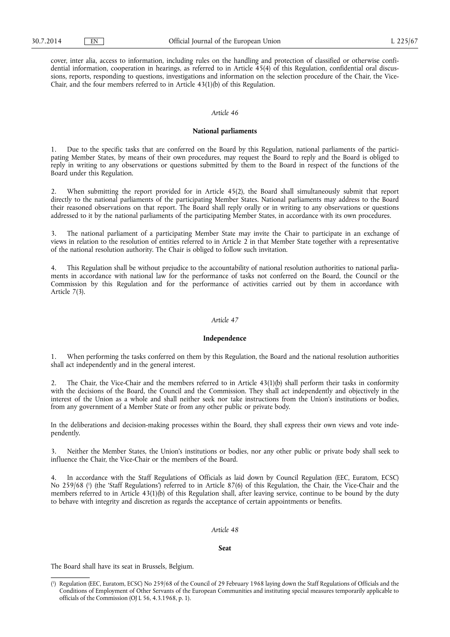cover, inter alia, access to information, including rules on the handling and protection of classified or otherwise confidential information, cooperation in hearings, as referred to in Article 45(4) of this Regulation, confidential oral discussions, reports, responding to questions, investigations and information on the selection procedure of the Chair, the Vice-Chair, and the four members referred to in Article 43(1)(b) of this Regulation.

## *Article 46*

### **National parliaments**

1. Due to the specific tasks that are conferred on the Board by this Regulation, national parliaments of the participating Member States, by means of their own procedures, may request the Board to reply and the Board is obliged to reply in writing to any observations or questions submitted by them to the Board in respect of the functions of the Board under this Regulation.

2. When submitting the report provided for in Article 45(2), the Board shall simultaneously submit that report directly to the national parliaments of the participating Member States. National parliaments may address to the Board their reasoned observations on that report. The Board shall reply orally or in writing to any observations or questions addressed to it by the national parliaments of the participating Member States, in accordance with its own procedures.

3. The national parliament of a participating Member State may invite the Chair to participate in an exchange of views in relation to the resolution of entities referred to in Article 2 in that Member State together with a representative of the national resolution authority. The Chair is obliged to follow such invitation.

4. This Regulation shall be without prejudice to the accountability of national resolution authorities to national parliaments in accordance with national law for the performance of tasks not conferred on the Board, the Council or the Commission by this Regulation and for the performance of activities carried out by them in accordance with Article 7(3).

#### *Article 47*

### **Independence**

1. When performing the tasks conferred on them by this Regulation, the Board and the national resolution authorities shall act independently and in the general interest.

2. The Chair, the Vice-Chair and the members referred to in Article 43(1)(b) shall perform their tasks in conformity with the decisions of the Board, the Council and the Commission. They shall act independently and objectively in the interest of the Union as a whole and shall neither seek nor take instructions from the Union's institutions or bodies, from any government of a Member State or from any other public or private body.

In the deliberations and decision-making processes within the Board, they shall express their own views and vote independently.

3. Neither the Member States, the Union's institutions or bodies, nor any other public or private body shall seek to influence the Chair, the Vice-Chair or the members of the Board.

4. In accordance with the Staff Regulations of Officials as laid down by Council Regulation (EEC, Euratom, ECSC) No 259/68 ( 1 ) (the 'Staff Regulations') referred to in Article 87(6) of this Regulation, the Chair, the Vice-Chair and the members referred to in Article 43(1)(b) of this Regulation shall, after leaving service, continue to be bound by the duty to behave with integrity and discretion as regards the acceptance of certain appointments or benefits.

#### *Article 48*

#### **Seat**

The Board shall have its seat in Brussels, Belgium.

<sup>(</sup> 1 ) Regulation (EEC, Euratom, ECSC) No 259/68 of the Council of 29 February 1968 laying down the Staff Regulations of Officials and the Conditions of Employment of Other Servants of the European Communities and instituting special measures temporarily applicable to officials of the Commission (OJ L 56, 4.3.1968, p. 1).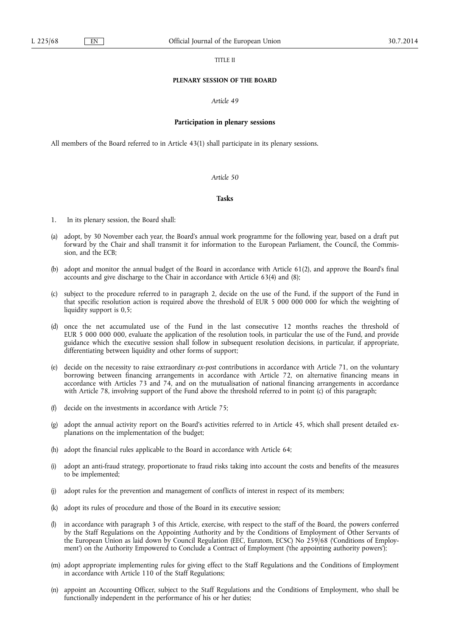#### TITLE II

#### **PLENARY SESSION OF THE BOARD**

### *Article 49*

#### **Participation in plenary sessions**

All members of the Board referred to in Article 43(1) shall participate in its plenary sessions.

## *Article 50*

#### **Tasks**

- 1. In its plenary session, the Board shall:
- (a) adopt, by 30 November each year, the Board's annual work programme for the following year, based on a draft put forward by the Chair and shall transmit it for information to the European Parliament, the Council, the Commission, and the ECB;
- (b) adopt and monitor the annual budget of the Board in accordance with Article 61(2), and approve the Board's final accounts and give discharge to the Chair in accordance with Article 63(4) and (8);
- (c) subject to the procedure referred to in paragraph 2, decide on the use of the Fund, if the support of the Fund in that specific resolution action is required above the threshold of EUR 5 000 000 000 for which the weighting of liquidity support is 0,5;
- (d) once the net accumulated use of the Fund in the last consecutive 12 months reaches the threshold of EUR 5 000 000 000, evaluate the application of the resolution tools, in particular the use of the Fund, and provide guidance which the executive session shall follow in subsequent resolution decisions, in particular, if appropriate, differentiating between liquidity and other forms of support;
- (e) decide on the necessity to raise extraordinary *ex-post* contributions in accordance with Article 71, on the voluntary borrowing between financing arrangements in accordance with Article 72, on alternative financing means in accordance with Articles 73 and 74, and on the mutualisation of national financing arrangements in accordance with Article 78, involving support of the Fund above the threshold referred to in point (c) of this paragraph;
- (f) decide on the investments in accordance with Article 75;
- (g) adopt the annual activity report on the Board's activities referred to in Article 45, which shall present detailed explanations on the implementation of the budget;
- (h) adopt the financial rules applicable to the Board in accordance with Article 64;
- (i) adopt an anti-fraud strategy, proportionate to fraud risks taking into account the costs and benefits of the measures to be implemented;
- (j) adopt rules for the prevention and management of conflicts of interest in respect of its members;
- (k) adopt its rules of procedure and those of the Board in its executive session;
- (l) in accordance with paragraph 3 of this Article, exercise, with respect to the staff of the Board, the powers conferred by the Staff Regulations on the Appointing Authority and by the Conditions of Employment of Other Servants of the European Union as laid down by Council Regulation (EEC, Euratom, ECSC) No 259/68 ('Conditions of Employment') on the Authority Empowered to Conclude a Contract of Employment ('the appointing authority powers');
- (m) adopt appropriate implementing rules for giving effect to the Staff Regulations and the Conditions of Employment in accordance with Article 110 of the Staff Regulations;
- (n) appoint an Accounting Officer, subject to the Staff Regulations and the Conditions of Employment, who shall be functionally independent in the performance of his or her duties;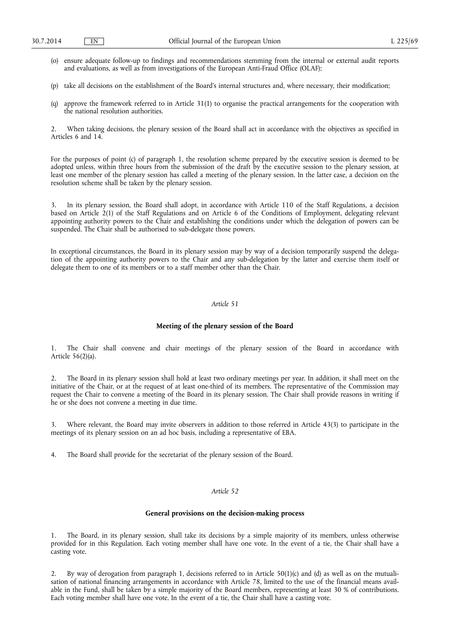- (o) ensure adequate follow-up to findings and recommendations stemming from the internal or external audit reports and evaluations, as well as from investigations of the European Anti-Fraud Office (OLAF);
- (p) take all decisions on the establishment of the Board's internal structures and, where necessary, their modification;
- (q) approve the framework referred to in Article 31(1) to organise the practical arrangements for the cooperation with the national resolution authorities.

2. When taking decisions, the plenary session of the Board shall act in accordance with the objectives as specified in Articles 6 and 14.

For the purposes of point (c) of paragraph 1, the resolution scheme prepared by the executive session is deemed to be adopted unless, within three hours from the submission of the draft by the executive session to the plenary session, at least one member of the plenary session has called a meeting of the plenary session. In the latter case, a decision on the resolution scheme shall be taken by the plenary session.

3. In its plenary session, the Board shall adopt, in accordance with Article 110 of the Staff Regulations, a decision based on Article 2(1) of the Staff Regulations and on Article 6 of the Conditions of Employment, delegating relevant appointing authority powers to the Chair and establishing the conditions under which the delegation of powers can be suspended. The Chair shall be authorised to sub-delegate those powers.

In exceptional circumstances, the Board in its plenary session may by way of a decision temporarily suspend the delegation of the appointing authority powers to the Chair and any sub-delegation by the latter and exercise them itself or delegate them to one of its members or to a staff member other than the Chair.

## *Article 51*

# **Meeting of the plenary session of the Board**

1. The Chair shall convene and chair meetings of the plenary session of the Board in accordance with Article 56(2)(a).

2. The Board in its plenary session shall hold at least two ordinary meetings per year. In addition, it shall meet on the initiative of the Chair, or at the request of at least one-third of its members. The representative of the Commission may request the Chair to convene a meeting of the Board in its plenary session. The Chair shall provide reasons in writing if he or she does not convene a meeting in due time.

3. Where relevant, the Board may invite observers in addition to those referred in Article 43(3) to participate in the meetings of its plenary session on an ad hoc basis, including a representative of EBA.

4. The Board shall provide for the secretariat of the plenary session of the Board.

### *Article 52*

#### **General provisions on the decision-making process**

1. The Board, in its plenary session, shall take its decisions by a simple majority of its members, unless otherwise provided for in this Regulation. Each voting member shall have one vote. In the event of a tie, the Chair shall have a casting vote.

2. By way of derogation from paragraph 1, decisions referred to in Article  $50(1)(c)$  and (d) as well as on the mutualisation of national financing arrangements in accordance with Article 78, limited to the use of the financial means available in the Fund, shall be taken by a simple majority of the Board members, representing at least 30 % of contributions. Each voting member shall have one vote. In the event of a tie, the Chair shall have a casting vote.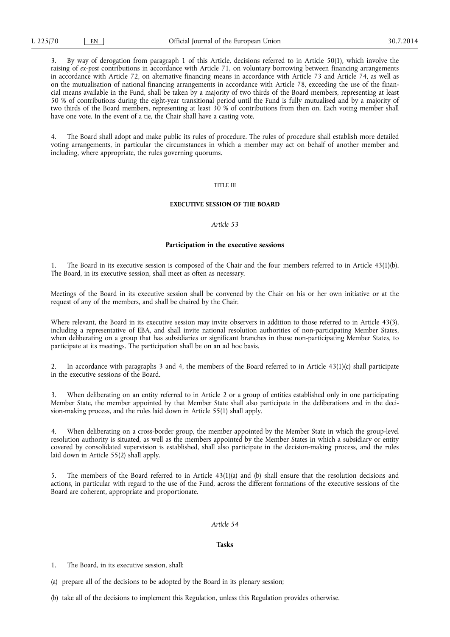3. By way of derogation from paragraph 1 of this Article, decisions referred to in Article 50(1), which involve the raising of *ex-post* contributions in accordance with Article 71, on voluntary borrowing between financing arrangements in accordance with Article 72, on alternative financing means in accordance with Article 73 and Article 74, as well as on the mutualisation of national financing arrangements in accordance with Article 78, exceeding the use of the financial means available in the Fund, shall be taken by a majority of two thirds of the Board members, representing at least 50 % of contributions during the eight-year transitional period until the Fund is fully mutualised and by a majority of two thirds of the Board members, representing at least 30 % of contributions from then on. Each voting member shall have one vote. In the event of a tie, the Chair shall have a casting vote.

4. The Board shall adopt and make public its rules of procedure. The rules of procedure shall establish more detailed voting arrangements, in particular the circumstances in which a member may act on behalf of another member and including, where appropriate, the rules governing quorums.

### TITLE III

## **EXECUTIVE SESSION OF THE BOARD**

## *Article 53*

#### **Participation in the executive sessions**

1. The Board in its executive session is composed of the Chair and the four members referred to in Article 43(1)(b). The Board, in its executive session, shall meet as often as necessary.

Meetings of the Board in its executive session shall be convened by the Chair on his or her own initiative or at the request of any of the members, and shall be chaired by the Chair.

Where relevant, the Board in its executive session may invite observers in addition to those referred to in Article 43(3), including a representative of EBA, and shall invite national resolution authorities of non-participating Member States, when deliberating on a group that has subsidiaries or significant branches in those non-participating Member States, to participate at its meetings. The participation shall be on an ad hoc basis.

2. In accordance with paragraphs 3 and 4, the members of the Board referred to in Article 43(1)(c) shall participate in the executive sessions of the Board.

3. When deliberating on an entity referred to in Article 2 or a group of entities established only in one participating Member State, the member appointed by that Member State shall also participate in the deliberations and in the decision-making process, and the rules laid down in Article 55(1) shall apply.

4. When deliberating on a cross-border group, the member appointed by the Member State in which the group-level resolution authority is situated, as well as the members appointed by the Member States in which a subsidiary or entity covered by consolidated supervision is established, shall also participate in the decision-making process, and the rules laid down in Article 55(2) shall apply.

5. The members of the Board referred to in Article 43(1)(a) and (b) shall ensure that the resolution decisions and actions, in particular with regard to the use of the Fund, across the different formations of the executive sessions of the Board are coherent, appropriate and proportionate.

## *Article 54*

#### **Tasks**

1. The Board, in its executive session, shall:

(a) prepare all of the decisions to be adopted by the Board in its plenary session;

(b) take all of the decisions to implement this Regulation, unless this Regulation provides otherwise.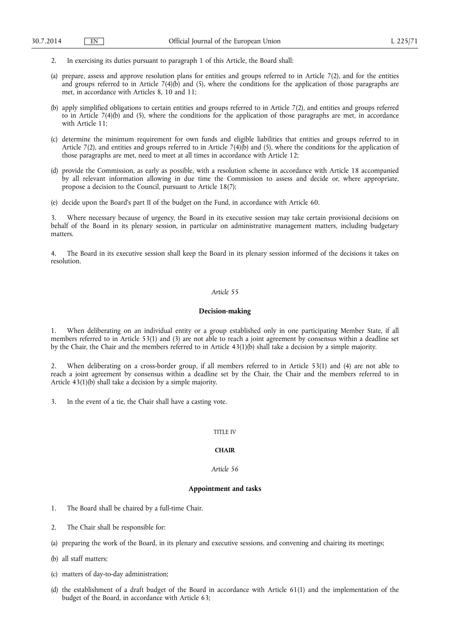- 2. In exercising its duties pursuant to paragraph 1 of this Article, the Board shall:
- (a) prepare, assess and approve resolution plans for entities and groups referred to in Article 7(2), and for the entities and groups referred to in Article 7(4)(b) and (5), where the conditions for the application of those paragraphs are met, in accordance with Articles 8, 10 and 11;
- (b) apply simplified obligations to certain entities and groups referred to in Article 7(2), and entities and groups referred to in Article  $7(4)(b)$  and (5), where the conditions for the application of those paragraphs are met, in accordance with Article 11;
- (c) determine the minimum requirement for own funds and eligible liabilities that entities and groups referred to in Article 7(2), and entities and groups referred to in Article 7(4)(b) and (5), where the conditions for the application of those paragraphs are met, need to meet at all times in accordance with Article 12;
- (d) provide the Commission, as early as possible, with a resolution scheme in accordance with Article 18 accompanied by all relevant information allowing in due time the Commission to assess and decide or, where appropriate, propose a decision to the Council, pursuant to Article 18(7);
- (e) decide upon the Board's part II of the budget on the Fund, in accordance with Article 60.

3. Where necessary because of urgency, the Board in its executive session may take certain provisional decisions on behalf of the Board in its plenary session, in particular on administrative management matters, including budgetary matters.

4. The Board in its executive session shall keep the Board in its plenary session informed of the decisions it takes on resolution.

### *Article 55*

### **Decision-making**

1. When deliberating on an individual entity or a group established only in one participating Member State, if all members referred to in Article 53(1) and (3) are not able to reach a joint agreement by consensus within a deadline set by the Chair, the Chair and the members referred to in Article 43(1)(b) shall take a decision by a simple majority.

2. When deliberating on a cross-border group, if all members referred to in Article 53(1) and (4) are not able to reach a joint agreement by consensus within a deadline set by the Chair, the Chair and the members referred to in Article 43(1)(b) shall take a decision by a simple majority.

3. In the event of a tie, the Chair shall have a casting vote.

#### TITLE IV

### **CHAIR**

## *Article 56*

### **Appointment and tasks**

- 1. The Board shall be chaired by a full-time Chair.
- 2. The Chair shall be responsible for:
- (a) preparing the work of the Board, in its plenary and executive sessions, and convening and chairing its meetings;
- (b) all staff matters;
- (c) matters of day-to-day administration;
- (d) the establishment of a draft budget of the Board in accordance with Article 61(1) and the implementation of the budget of the Board, in accordance with Article 63;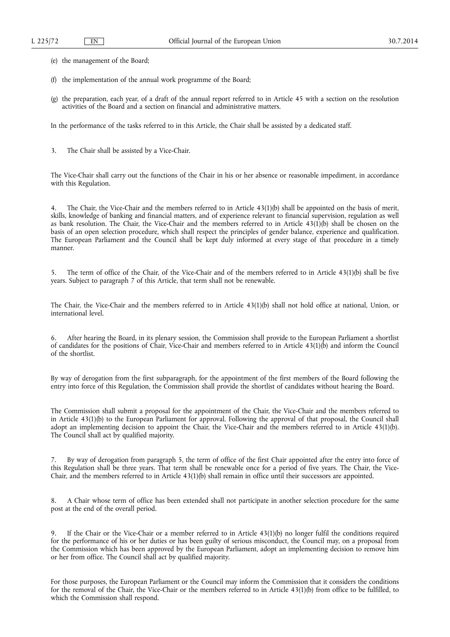(e) the management of the Board;

- (f) the implementation of the annual work programme of the Board;
- (g) the preparation, each year, of a draft of the annual report referred to in Article 45 with a section on the resolution activities of the Board and a section on financial and administrative matters.

In the performance of the tasks referred to in this Article, the Chair shall be assisted by a dedicated staff.

3. The Chair shall be assisted by a Vice-Chair.

The Vice-Chair shall carry out the functions of the Chair in his or her absence or reasonable impediment, in accordance with this Regulation.

4. The Chair, the Vice-Chair and the members referred to in Article 43(1)(b) shall be appointed on the basis of merit, skills, knowledge of banking and financial matters, and of experience relevant to financial supervision, regulation as well as bank resolution. The Chair, the Vice-Chair and the members referred to in Article  $43(1)(b)$  shall be chosen on the basis of an open selection procedure, which shall respect the principles of gender balance, experience and qualification. The European Parliament and the Council shall be kept duly informed at every stage of that procedure in a timely manner.

5. The term of office of the Chair, of the Vice-Chair and of the members referred to in Article 43(1)(b) shall be five years. Subject to paragraph 7 of this Article, that term shall not be renewable.

The Chair, the Vice-Chair and the members referred to in Article 43(1)(b) shall not hold office at national, Union, or international level.

6. After hearing the Board, in its plenary session, the Commission shall provide to the European Parliament a shortlist of candidates for the positions of Chair, Vice-Chair and members referred to in Article 43(1)(b) and inform the Council of the shortlist.

By way of derogation from the first subparagraph, for the appointment of the first members of the Board following the entry into force of this Regulation, the Commission shall provide the shortlist of candidates without hearing the Board.

The Commission shall submit a proposal for the appointment of the Chair, the Vice-Chair and the members referred to in Article 43(1)(b) to the European Parliament for approval. Following the approval of that proposal, the Council shall adopt an implementing decision to appoint the Chair, the Vice-Chair and the members referred to in Article 43(1)(b). The Council shall act by qualified majority.

7. By way of derogation from paragraph 5, the term of office of the first Chair appointed after the entry into force of this Regulation shall be three years. That term shall be renewable once for a period of five years. The Chair, the Vice-Chair, and the members referred to in Article 43(1)(b) shall remain in office until their successors are appointed.

8. A Chair whose term of office has been extended shall not participate in another selection procedure for the same post at the end of the overall period.

9. If the Chair or the Vice-Chair or a member referred to in Article 43(1)(b) no longer fulfil the conditions required for the performance of his or her duties or has been guilty of serious misconduct, the Council may, on a proposal from the Commission which has been approved by the European Parliament, adopt an implementing decision to remove him or her from office. The Council shall act by qualified majority.

For those purposes, the European Parliament or the Council may inform the Commission that it considers the conditions for the removal of the Chair, the Vice-Chair or the members referred to in Article 43(1)(b) from office to be fulfilled, to which the Commission shall respond.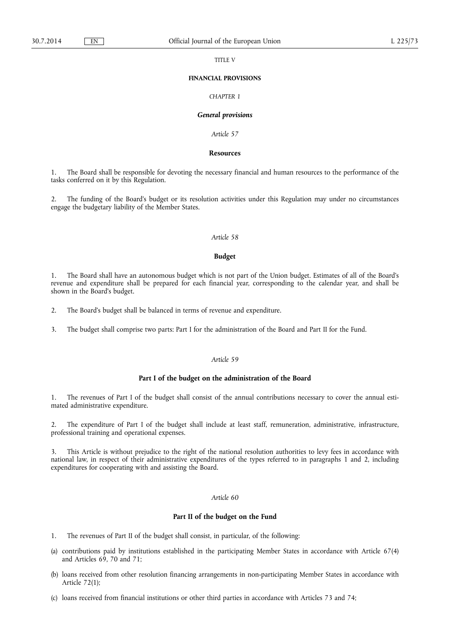#### TITLE V

### **FINANCIAL PROVISIONS**

# *CHAPTER 1*

#### *General provisions*

*Article 57* 

# **Resources**

1. The Board shall be responsible for devoting the necessary financial and human resources to the performance of the tasks conferred on it by this Regulation.

2. The funding of the Board's budget or its resolution activities under this Regulation may under no circumstances engage the budgetary liability of the Member States.

#### *Article 58*

### **Budget**

1. The Board shall have an autonomous budget which is not part of the Union budget. Estimates of all of the Board's revenue and expenditure shall be prepared for each financial year, corresponding to the calendar year, and shall be shown in the Board's budget.

2. The Board's budget shall be balanced in terms of revenue and expenditure.

3. The budget shall comprise two parts: Part I for the administration of the Board and Part II for the Fund.

# *Article 59*

### **Part I of the budget on the administration of the Board**

1. The revenues of Part I of the budget shall consist of the annual contributions necessary to cover the annual estimated administrative expenditure.

2. The expenditure of Part I of the budget shall include at least staff, remuneration, administrative, infrastructure, professional training and operational expenses.

3. This Article is without prejudice to the right of the national resolution authorities to levy fees in accordance with national law, in respect of their administrative expenditures of the types referred to in paragraphs 1 and 2, including expenditures for cooperating with and assisting the Board.

# *Article 60*

# **Part II of the budget on the Fund**

- 1. The revenues of Part II of the budget shall consist, in particular, of the following:
- (a) contributions paid by institutions established in the participating Member States in accordance with Article 67(4) and Articles 69, 70 and 71;
- (b) loans received from other resolution financing arrangements in non-participating Member States in accordance with Article 72(1);
- (c) loans received from financial institutions or other third parties in accordance with Articles 73 and 74;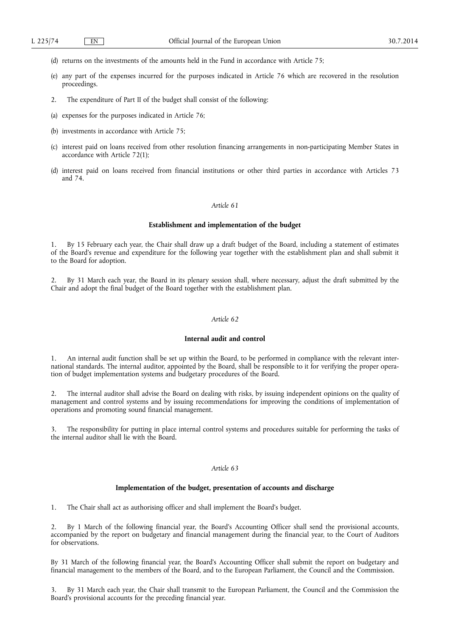- (d) returns on the investments of the amounts held in the Fund in accordance with Article 75;
- (e) any part of the expenses incurred for the purposes indicated in Article 76 which are recovered in the resolution proceedings.
- 2. The expenditure of Part II of the budget shall consist of the following:
- (a) expenses for the purposes indicated in Article 76;
- (b) investments in accordance with Article 75;
- (c) interest paid on loans received from other resolution financing arrangements in non-participating Member States in accordance with Article 72(1);
- (d) interest paid on loans received from financial institutions or other third parties in accordance with Articles 73 and 74.

#### **Establishment and implementation of the budget**

By 15 February each year, the Chair shall draw up a draft budget of the Board, including a statement of estimates of the Board's revenue and expenditure for the following year together with the establishment plan and shall submit it to the Board for adoption.

2. By 31 March each year, the Board in its plenary session shall, where necessary, adjust the draft submitted by the Chair and adopt the final budget of the Board together with the establishment plan.

# *Article 62*

## **Internal audit and control**

1. An internal audit function shall be set up within the Board, to be performed in compliance with the relevant international standards. The internal auditor, appointed by the Board, shall be responsible to it for verifying the proper operation of budget implementation systems and budgetary procedures of the Board.

2. The internal auditor shall advise the Board on dealing with risks, by issuing independent opinions on the quality of management and control systems and by issuing recommendations for improving the conditions of implementation of operations and promoting sound financial management.

3. The responsibility for putting in place internal control systems and procedures suitable for performing the tasks of the internal auditor shall lie with the Board.

### *Article 63*

### **Implementation of the budget, presentation of accounts and discharge**

1. The Chair shall act as authorising officer and shall implement the Board's budget.

2. By 1 March of the following financial year, the Board's Accounting Officer shall send the provisional accounts, accompanied by the report on budgetary and financial management during the financial year, to the Court of Auditors for observations.

By 31 March of the following financial year, the Board's Accounting Officer shall submit the report on budgetary and financial management to the members of the Board, and to the European Parliament, the Council and the Commission.

3. By 31 March each year, the Chair shall transmit to the European Parliament, the Council and the Commission the Board's provisional accounts for the preceding financial year.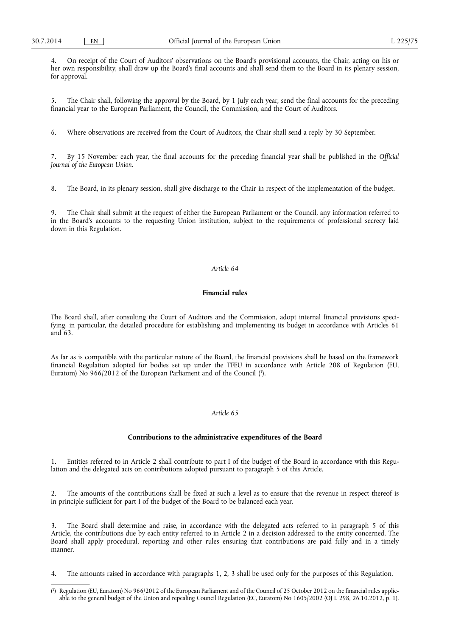4. On receipt of the Court of Auditors' observations on the Board's provisional accounts, the Chair, acting on his or her own responsibility, shall draw up the Board's final accounts and shall send them to the Board in its plenary session, for approval.

5. The Chair shall, following the approval by the Board, by 1 July each year, send the final accounts for the preceding financial year to the European Parliament, the Council, the Commission, and the Court of Auditors.

6. Where observations are received from the Court of Auditors, the Chair shall send a reply by 30 September.

7. By 15 November each year, the final accounts for the preceding financial year shall be published in the *Official Journal of the European Union*.

8. The Board, in its plenary session, shall give discharge to the Chair in respect of the implementation of the budget.

9. The Chair shall submit at the request of either the European Parliament or the Council, any information referred to in the Board's accounts to the requesting Union institution, subject to the requirements of professional secrecy laid down in this Regulation.

# *Article 64*

## **Financial rules**

The Board shall, after consulting the Court of Auditors and the Commission, adopt internal financial provisions specifying, in particular, the detailed procedure for establishing and implementing its budget in accordance with Articles 61 and 63.

As far as is compatible with the particular nature of the Board, the financial provisions shall be based on the framework financial Regulation adopted for bodies set up under the TFEU in accordance with Article 208 of Regulation (EU, Euratom) No 966/2012 of the European Parliament and of the Council (<sup>1</sup>).

#### *Article 65*

#### **Contributions to the administrative expenditures of the Board**

1. Entities referred to in Article 2 shall contribute to part I of the budget of the Board in accordance with this Regulation and the delegated acts on contributions adopted pursuant to paragraph 5 of this Article.

2. The amounts of the contributions shall be fixed at such a level as to ensure that the revenue in respect thereof is in principle sufficient for part I of the budget of the Board to be balanced each year.

The Board shall determine and raise, in accordance with the delegated acts referred to in paragraph 5 of this Article, the contributions due by each entity referred to in Article 2 in a decision addressed to the entity concerned. The Board shall apply procedural, reporting and other rules ensuring that contributions are paid fully and in a timely manner.

4. The amounts raised in accordance with paragraphs 1, 2, 3 shall be used only for the purposes of this Regulation.

<sup>(</sup> 1 ) Regulation (EU, Euratom) No 966/2012 of the European Parliament and of the Council of 25 October 2012 on the financial rules applicable to the general budget of the Union and repealing Council Regulation (EC, Euratom) No 1605/2002 (OJ L 298, 26.10.2012, p. 1).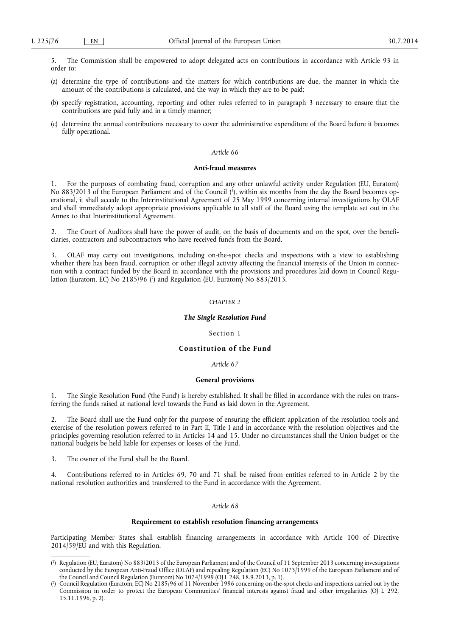5. The Commission shall be empowered to adopt delegated acts on contributions in accordance with Article 93 in order to:

- (a) determine the type of contributions and the matters for which contributions are due, the manner in which the amount of the contributions is calculated, and the way in which they are to be paid;
- (b) specify registration, accounting, reporting and other rules referred to in paragraph 3 necessary to ensure that the contributions are paid fully and in a timely manner;
- (c) determine the annual contributions necessary to cover the administrative expenditure of the Board before it becomes fully operational.

### *Article 66*

#### **Anti-fraud measures**

1. For the purposes of combating fraud, corruption and any other unlawful activity under Regulation (EU, Euratom) No 883/2013 of the European Parliament and of the Council ( 1 ), within six months from the day the Board becomes operational, it shall accede to the Interinstitutional Agreement of 25 May 1999 concerning internal investigations by OLAF and shall immediately adopt appropriate provisions applicable to all staff of the Board using the template set out in the Annex to that Interinstitutional Agreement.

2. The Court of Auditors shall have the power of audit, on the basis of documents and on the spot, over the beneficiaries, contractors and subcontractors who have received funds from the Board.

3. OLAF may carry out investigations, including on-the-spot checks and inspections with a view to establishing whether there has been fraud, corruption or other illegal activity affecting the financial interests of the Union in connection with a contract funded by the Board in accordance with the provisions and procedures laid down in Council Regulation (Euratom, EC) No 2185/96 ( 2 ) and Regulation (EU, Euratom) No 883/2013.

# *CHAPTER 2*

### *The Single Resolution Fund*

#### Section 1

# **Constitution of the Fund**

#### *Article 67*

### **General provisions**

1. The Single Resolution Fund ('the Fund') is hereby established. It shall be filled in accordance with the rules on transferring the funds raised at national level towards the Fund as laid down in the Agreement.

2. The Board shall use the Fund only for the purpose of ensuring the efficient application of the resolution tools and exercise of the resolution powers referred to in Part II, Title I and in accordance with the resolution objectives and the principles governing resolution referred to in Articles 14 and 15. Under no circumstances shall the Union budget or the national budgets be held liable for expenses or losses of the Fund.

3. The owner of the Fund shall be the Board.

4. Contributions referred to in Articles 69, 70 and 71 shall be raised from entities referred to in Article 2 by the national resolution authorities and transferred to the Fund in accordance with the Agreement.

#### *Article 68*

#### **Requirement to establish resolution financing arrangements**

Participating Member States shall establish financing arrangements in accordance with Article 100 of Directive  $2014/59/EU$  and with this Regulation.

<sup>(</sup> 1 ) Regulation (EU, Euratom) No 883/2013 of the European Parliament and of the Council of 11 September 2013 concerning investigations conducted by the European Anti-Fraud Office (OLAF) and repealing Regulation (EC) No 1073/1999 of the European Parliament and of the Council and Council Regulation (Euratom) No 1074/1999 (OJ L 248, 18.9.2013, p. 1).

<sup>(</sup> 2 ) Council Regulation (Euratom, EC) No 2185/96 of 11 November 1996 concerning on-the-spot checks and inspections carried out by the Commission in order to protect the European Communities' financial interests against fraud and other irregularities (OJ L 292, 15.11.1996, p. 2).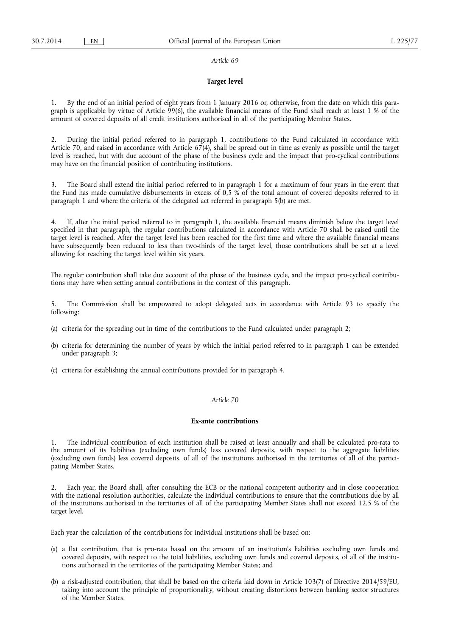### **Target level**

1. By the end of an initial period of eight years from 1 January 2016 or, otherwise, from the date on which this paragraph is applicable by virtue of Article 99(6), the available financial means of the Fund shall reach at least 1 % of the amount of covered deposits of all credit institutions authorised in all of the participating Member States.

2. During the initial period referred to in paragraph 1, contributions to the Fund calculated in accordance with Article 70, and raised in accordance with Article 67(4), shall be spread out in time as evenly as possible until the target level is reached, but with due account of the phase of the business cycle and the impact that pro-cyclical contributions may have on the financial position of contributing institutions.

3. The Board shall extend the initial period referred to in paragraph 1 for a maximum of four years in the event that the Fund has made cumulative disbursements in excess of 0,5 % of the total amount of covered deposits referred to in paragraph 1 and where the criteria of the delegated act referred in paragraph 5(b) are met.

4. If, after the initial period referred to in paragraph 1, the available financial means diminish below the target level specified in that paragraph, the regular contributions calculated in accordance with Article 70 shall be raised until the target level is reached. After the target level has been reached for the first time and where the available financial means have subsequently been reduced to less than two-thirds of the target level, those contributions shall be set at a level allowing for reaching the target level within six years.

The regular contribution shall take due account of the phase of the business cycle, and the impact pro-cyclical contributions may have when setting annual contributions in the context of this paragraph.

The Commission shall be empowered to adopt delegated acts in accordance with Article 93 to specify the following:

- (a) criteria for the spreading out in time of the contributions to the Fund calculated under paragraph 2;
- (b) criteria for determining the number of years by which the initial period referred to in paragraph 1 can be extended under paragraph 3;
- (c) criteria for establishing the annual contributions provided for in paragraph 4.

# *Article 70*

### **Ex-ante contributions**

1. The individual contribution of each institution shall be raised at least annually and shall be calculated pro-rata to the amount of its liabilities (excluding own funds) less covered deposits, with respect to the aggregate liabilities (excluding own funds) less covered deposits, of all of the institutions authorised in the territories of all of the participating Member States.

2. Each year, the Board shall, after consulting the ECB or the national competent authority and in close cooperation with the national resolution authorities, calculate the individual contributions to ensure that the contributions due by all of the institutions authorised in the territories of all of the participating Member States shall not exceed 12,5 % of the target level.

Each year the calculation of the contributions for individual institutions shall be based on:

- (a) a flat contribution, that is pro-rata based on the amount of an institution's liabilities excluding own funds and covered deposits, with respect to the total liabilities, excluding own funds and covered deposits, of all of the institutions authorised in the territories of the participating Member States; and
- (b) a risk-adjusted contribution, that shall be based on the criteria laid down in Article 103(7) of Directive 2014/59/EU, taking into account the principle of proportionality, without creating distortions between banking sector structures of the Member States.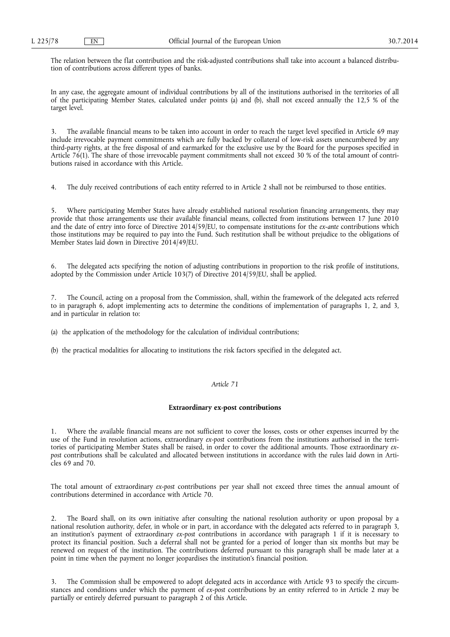The relation between the flat contribution and the risk-adjusted contributions shall take into account a balanced distribution of contributions across different types of banks.

In any case, the aggregate amount of individual contributions by all of the institutions authorised in the territories of all of the participating Member States, calculated under points (a) and (b), shall not exceed annually the 12,5 % of the target level.

3. The available financial means to be taken into account in order to reach the target level specified in Article 69 may include irrevocable payment commitments which are fully backed by collateral of low-risk assets unencumbered by any third-party rights, at the free disposal of and earmarked for the exclusive use by the Board for the purposes specified in Article 76(1). The share of those irrevocable payment commitments shall not exceed 30 % of the total amount of contributions raised in accordance with this Article.

4. The duly received contributions of each entity referred to in Article 2 shall not be reimbursed to those entities.

5. Where participating Member States have already established national resolution financing arrangements, they may provide that those arrangements use their available financial means, collected from institutions between 17 June 2010 and the date of entry into force of Directive 2014/59/EU, to compensate institutions for the *ex-ante* contributions which those institutions may be required to pay into the Fund. Such restitution shall be without prejudice to the obligations of Member States laid down in Directive 2014/49/EU.

6. The delegated acts specifying the notion of adjusting contributions in proportion to the risk profile of institutions, adopted by the Commission under Article 103(7) of Directive 2014/59/EU, shall be applied.

7. The Council, acting on a proposal from the Commission, shall, within the framework of the delegated acts referred to in paragraph 6, adopt implementing acts to determine the conditions of implementation of paragraphs 1, 2, and 3, and in particular in relation to:

(a) the application of the methodology for the calculation of individual contributions;

(b) the practical modalities for allocating to institutions the risk factors specified in the delegated act.

## *Article 71*

#### **Extraordinary ex-post contributions**

1. Where the available financial means are not sufficient to cover the losses, costs or other expenses incurred by the use of the Fund in resolution actions, extraordinary *ex-post* contributions from the institutions authorised in the territories of participating Member States shall be raised, in order to cover the additional amounts. Those extraordinary *expost* contributions shall be calculated and allocated between institutions in accordance with the rules laid down in Articles 69 and 70.

The total amount of extraordinary *ex-post* contributions per year shall not exceed three times the annual amount of contributions determined in accordance with Article 70.

2. The Board shall, on its own initiative after consulting the national resolution authority or upon proposal by a national resolution authority, defer, in whole or in part, in accordance with the delegated acts referred to in paragraph 3, an institution's payment of extraordinary *ex-post* contributions in accordance with paragraph 1 if it is necessary to protect its financial position. Such a deferral shall not be granted for a period of longer than six months but may be renewed on request of the institution. The contributions deferred pursuant to this paragraph shall be made later at a point in time when the payment no longer jeopardises the institution's financial position.

3. The Commission shall be empowered to adopt delegated acts in accordance with Article 93 to specify the circumstances and conditions under which the payment of *ex-post* contributions by an entity referred to in Article 2 may be partially or entirely deferred pursuant to paragraph 2 of this Article.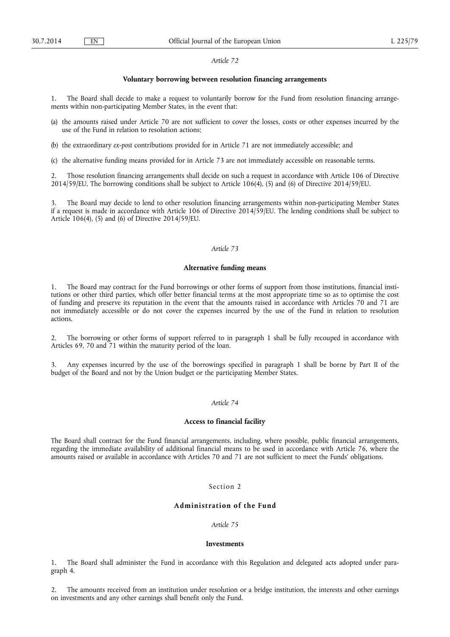#### **Voluntary borrowing between resolution financing arrangements**

1. The Board shall decide to make a request to voluntarily borrow for the Fund from resolution financing arrangements within non-participating Member States, in the event that:

- (a) the amounts raised under Article 70 are not sufficient to cover the losses, costs or other expenses incurred by the use of the Fund in relation to resolution actions;
- (b) the extraordinary *ex-post* contributions provided for in Article 71 are not immediately accessible; and
- (c) the alternative funding means provided for in Article 73 are not immediately accessible on reasonable terms.

2. Those resolution financing arrangements shall decide on such a request in accordance with Article 106 of Directive 2014/59/EU. The borrowing conditions shall be subject to Article 106(4), (5) and (6) of Directive 2014/59/EU.

3. The Board may decide to lend to other resolution financing arrangements within non-participating Member States if a request is made in accordance with Article 106 of Directive 2014/59/EU. The lending conditions shall be subject to Article 106(4), (5) and (6) of Directive 2014/59/EU.

#### *Article 73*

### **Alternative funding means**

1. The Board may contract for the Fund borrowings or other forms of support from those institutions, financial institutions or other third parties, which offer better financial terms at the most appropriate time so as to optimise the cost of funding and preserve its reputation in the event that the amounts raised in accordance with Articles 70 and 71 are not immediately accessible or do not cover the expenses incurred by the use of the Fund in relation to resolution actions.

2. The borrowing or other forms of support referred to in paragraph 1 shall be fully recouped in accordance with Articles 69, 70 and 71 within the maturity period of the loan.

3. Any expenses incurred by the use of the borrowings specified in paragraph 1 shall be borne by Part II of the budget of the Board and not by the Union budget or the participating Member States.

## *Article 74*

### **Access to financial facility**

The Board shall contract for the Fund financial arrangements, including, where possible, public financial arrangements, regarding the immediate availability of additional financial means to be used in accordance with Article 76, where the amounts raised or available in accordance with Articles 70 and 71 are not sufficient to meet the Funds' obligations.

# Section<sub>2</sub>

# **Administration of the Fund**

# *Article 75*

#### **Investments**

1. The Board shall administer the Fund in accordance with this Regulation and delegated acts adopted under paragraph 4.

2. The amounts received from an institution under resolution or a bridge institution, the interests and other earnings on investments and any other earnings shall benefit only the Fund.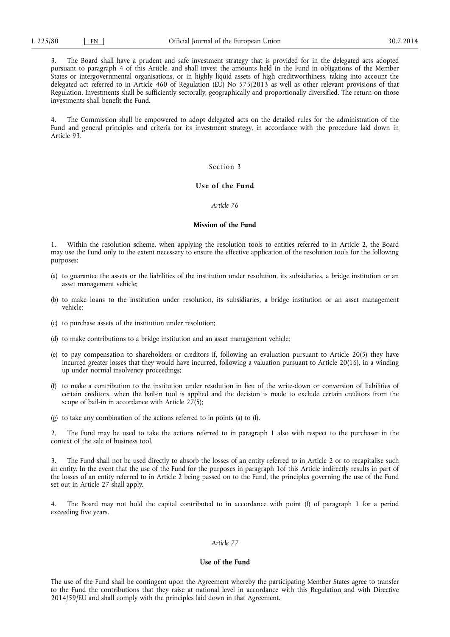3. The Board shall have a prudent and safe investment strategy that is provided for in the delegated acts adopted pursuant to paragraph 4 of this Article, and shall invest the amounts held in the Fund in obligations of the Member States or intergovernmental organisations, or in highly liquid assets of high creditworthiness, taking into account the delegated act referred to in Article 460 of Regulation (EU) No 575/2013 as well as other relevant provisions of that Regulation. Investments shall be sufficiently sectorally, geographically and proportionally diversified. The return on those investments shall benefit the Fund.

4. The Commission shall be empowered to adopt delegated acts on the detailed rules for the administration of the Fund and general principles and criteria for its investment strategy, in accordance with the procedure laid down in Article 93.

## Section 3

# **Use of the Fund**

### *Article 76*

#### **Mission of the Fund**

1. Within the resolution scheme, when applying the resolution tools to entities referred to in Article 2, the Board may use the Fund only to the extent necessary to ensure the effective application of the resolution tools for the following purposes:

- (a) to guarantee the assets or the liabilities of the institution under resolution, its subsidiaries, a bridge institution or an asset management vehicle;
- (b) to make loans to the institution under resolution, its subsidiaries, a bridge institution or an asset management vehicle;
- (c) to purchase assets of the institution under resolution;
- (d) to make contributions to a bridge institution and an asset management vehicle;
- (e) to pay compensation to shareholders or creditors if, following an evaluation pursuant to Article 20(5) they have incurred greater losses that they would have incurred, following a valuation pursuant to Article 20(16), in a winding up under normal insolvency proceedings;
- (f) to make a contribution to the institution under resolution in lieu of the write-down or conversion of liabilities of certain creditors, when the bail-in tool is applied and the decision is made to exclude certain creditors from the scope of bail-in in accordance with Article  $27(5)$ ;
- (g) to take any combination of the actions referred to in points (a) to (f).

2. The Fund may be used to take the actions referred to in paragraph 1 also with respect to the purchaser in the context of the sale of business tool.

3. The Fund shall not be used directly to absorb the losses of an entity referred to in Article 2 or to recapitalise such an entity. In the event that the use of the Fund for the purposes in paragraph 1of this Article indirectly results in part of the losses of an entity referred to in Article 2 being passed on to the Fund, the principles governing the use of the Fund set out in Article 27 shall apply.

The Board may not hold the capital contributed to in accordance with point (f) of paragraph 1 for a period exceeding five years.

# *Article 77*

## **Use of the Fund**

The use of the Fund shall be contingent upon the Agreement whereby the participating Member States agree to transfer to the Fund the contributions that they raise at national level in accordance with this Regulation and with Directive 2014/59/EU and shall comply with the principles laid down in that Agreement.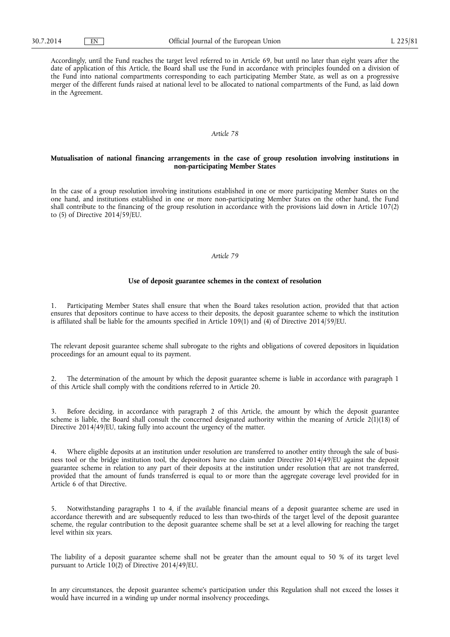Accordingly, until the Fund reaches the target level referred to in Article 69, but until no later than eight years after the date of application of this Article, the Board shall use the Fund in accordance with principles founded on a division of the Fund into national compartments corresponding to each participating Member State, as well as on a progressive merger of the different funds raised at national level to be allocated to national compartments of the Fund, as laid down in the Agreement.

### *Article 78*

### **Mutualisation of national financing arrangements in the case of group resolution involving institutions in non-participating Member States**

In the case of a group resolution involving institutions established in one or more participating Member States on the one hand, and institutions established in one or more non-participating Member States on the other hand, the Fund shall contribute to the financing of the group resolution in accordance with the provisions laid down in Article 107(2) to (5) of Directive 2014/59/EU.

### *Article 79*

### **Use of deposit guarantee schemes in the context of resolution**

1. Participating Member States shall ensure that when the Board takes resolution action, provided that that action ensures that depositors continue to have access to their deposits, the deposit guarantee scheme to which the institution is affiliated shall be liable for the amounts specified in Article 109(1) and (4) of Directive 2014/59/EU.

The relevant deposit guarantee scheme shall subrogate to the rights and obligations of covered depositors in liquidation proceedings for an amount equal to its payment.

2. The determination of the amount by which the deposit guarantee scheme is liable in accordance with paragraph 1 of this Article shall comply with the conditions referred to in Article 20.

3. Before deciding, in accordance with paragraph 2 of this Article, the amount by which the deposit guarantee scheme is liable, the Board shall consult the concerned designated authority within the meaning of Article 2(1)(18) of Directive 2014/49/EU, taking fully into account the urgency of the matter.

4. Where eligible deposits at an institution under resolution are transferred to another entity through the sale of business tool or the bridge institution tool, the depositors have no claim under Directive 2014/49/EU against the deposit guarantee scheme in relation to any part of their deposits at the institution under resolution that are not transferred, provided that the amount of funds transferred is equal to or more than the aggregate coverage level provided for in Article 6 of that Directive.

5. Notwithstanding paragraphs 1 to 4, if the available financial means of a deposit guarantee scheme are used in accordance therewith and are subsequently reduced to less than two-thirds of the target level of the deposit guarantee scheme, the regular contribution to the deposit guarantee scheme shall be set at a level allowing for reaching the target level within six years.

The liability of a deposit guarantee scheme shall not be greater than the amount equal to 50 % of its target level pursuant to Article 10(2) of Directive 2014/49/EU.

In any circumstances, the deposit guarantee scheme's participation under this Regulation shall not exceed the losses it would have incurred in a winding up under normal insolvency proceedings.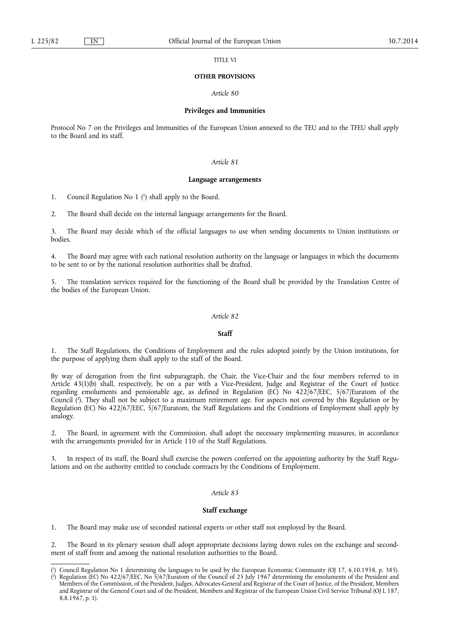TITLE VI

#### **OTHER PROVISIONS**

*Article 80* 

#### **Privileges and Immunities**

Protocol No 7 on the Privileges and Immunities of the European Union annexed to the TEU and to the TFEU shall apply to the Board and its staff.

## *Article 81*

#### **Language arrangements**

1. Council Regulation No 1 ( 1 ) shall apply to the Board.

2. The Board shall decide on the internal language arrangements for the Board.

3. The Board may decide which of the official languages to use when sending documents to Union institutions or bodies.

4. The Board may agree with each national resolution authority on the language or languages in which the documents to be sent to or by the national resolution authorities shall be drafted.

5. The translation services required for the functioning of the Board shall be provided by the Translation Centre of the bodies of the European Union.

#### *Article 82*

### **Staff**

The Staff Regulations, the Conditions of Employment and the rules adopted jointly by the Union institutions, for the purpose of applying them shall apply to the staff of the Board.

By way of derogation from the first subparagraph, the Chair, the Vice-Chair and the four members referred to in Article 43(1)(b) shall, respectively, be on a par with a Vice-President, Judge and Registrar of the Court of Justice regarding emoluments and pensionable age, as defined in Regulation (EC) No 422/67/EEC, 5/67/Euratom of the Council ( 2 ). They shall not be subject to a maximum retirement age. For aspects not covered by this Regulation or by Regulation (EC) No 422/67/EEC, 5/67/Euratom, the Staff Regulations and the Conditions of Employment shall apply by analogy.

2. The Board, in agreement with the Commission, shall adopt the necessary implementing measures, in accordance with the arrangements provided for in Article 110 of the Staff Regulations.

In respect of its staff, the Board shall exercise the powers conferred on the appointing authority by the Staff Regulations and on the authority entitled to conclude contracts by the Conditions of Employment.

# *Article 83*

### **Staff exchange**

1. The Board may make use of seconded national experts or other staff not employed by the Board.

2. The Board in its plenary session shall adopt appropriate decisions laying down rules on the exchange and secondment of staff from and among the national resolution authorities to the Board.

<sup>(</sup> 1 ) Council Regulation No 1 determining the languages to be used by the European Economic Community (OJ 17, 6.10.1958, p. 385).

<sup>(</sup> 2 ) Regulation (EC) No 422/67/EEC, No 5/67/Euratom of the Council of 25 July 1967 determining the emoluments of the President and Members of the Commission, of the President, Judges, Advocates-General and Registrar of the Court of Justice, of the President, Members and Registrar of the General Court and of the President, Members and Registrar of the European Union Civil Service Tribunal (OJ L 187, 8.8.1967, p. 1).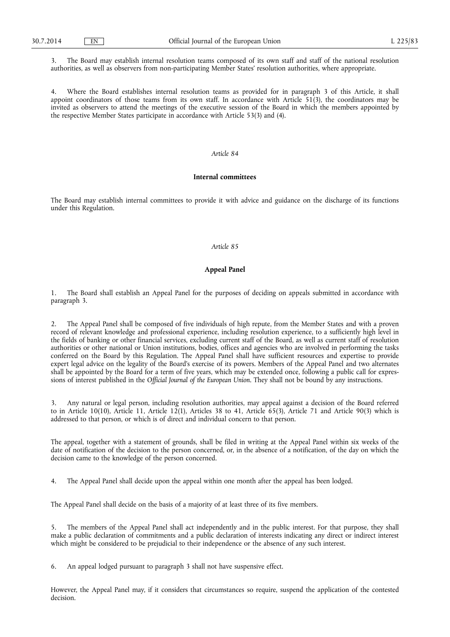3. The Board may establish internal resolution teams composed of its own staff and staff of the national resolution authorities, as well as observers from non-participating Member States' resolution authorities, where appropriate.

4. Where the Board establishes internal resolution teams as provided for in paragraph 3 of this Article, it shall appoint coordinators of those teams from its own staff. In accordance with Article 51(3), the coordinators may be invited as observers to attend the meetings of the executive session of the Board in which the members appointed by the respective Member States participate in accordance with Article 53(3) and (4).

# *Article 84*

#### **Internal committees**

The Board may establish internal committees to provide it with advice and guidance on the discharge of its functions under this Regulation.

### *Article 85*

# **Appeal Panel**

1. The Board shall establish an Appeal Panel for the purposes of deciding on appeals submitted in accordance with paragraph 3.

2. The Appeal Panel shall be composed of five individuals of high repute, from the Member States and with a proven record of relevant knowledge and professional experience, including resolution experience, to a sufficiently high level in the fields of banking or other financial services, excluding current staff of the Board, as well as current staff of resolution authorities or other national or Union institutions, bodies, offices and agencies who are involved in performing the tasks conferred on the Board by this Regulation. The Appeal Panel shall have sufficient resources and expertise to provide expert legal advice on the legality of the Board's exercise of its powers. Members of the Appeal Panel and two alternates shall be appointed by the Board for a term of five years, which may be extended once, following a public call for expressions of interest published in the *Official Journal of the European Union*. They shall not be bound by any instructions.

3. Any natural or legal person, including resolution authorities, may appeal against a decision of the Board referred to in Article 10(10), Article 11, Article 12(1), Articles 38 to 41, Article 65(3), Article 71 and Article 90(3) which is addressed to that person, or which is of direct and individual concern to that person.

The appeal, together with a statement of grounds, shall be filed in writing at the Appeal Panel within six weeks of the date of notification of the decision to the person concerned, or, in the absence of a notification, of the day on which the decision came to the knowledge of the person concerned.

4. The Appeal Panel shall decide upon the appeal within one month after the appeal has been lodged.

The Appeal Panel shall decide on the basis of a majority of at least three of its five members.

5. The members of the Appeal Panel shall act independently and in the public interest. For that purpose, they shall make a public declaration of commitments and a public declaration of interests indicating any direct or indirect interest which might be considered to be prejudicial to their independence or the absence of any such interest.

6. An appeal lodged pursuant to paragraph 3 shall not have suspensive effect.

However, the Appeal Panel may, if it considers that circumstances so require, suspend the application of the contested decision.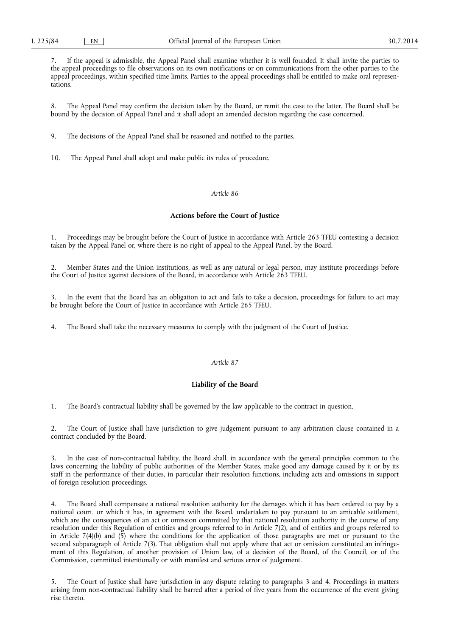7. If the appeal is admissible, the Appeal Panel shall examine whether it is well founded. It shall invite the parties to the appeal proceedings to file observations on its own notifications or on communications from the other parties to the appeal proceedings, within specified time limits. Parties to the appeal proceedings shall be entitled to make oral representations.

8. The Appeal Panel may confirm the decision taken by the Board, or remit the case to the latter. The Board shall be bound by the decision of Appeal Panel and it shall adopt an amended decision regarding the case concerned.

9. The decisions of the Appeal Panel shall be reasoned and notified to the parties.

10. The Appeal Panel shall adopt and make public its rules of procedure.

# *Article 86*

# **Actions before the Court of Justice**

1. Proceedings may be brought before the Court of Justice in accordance with Article 263 TFEU contesting a decision taken by the Appeal Panel or, where there is no right of appeal to the Appeal Panel, by the Board.

2. Member States and the Union institutions, as well as any natural or legal person, may institute proceedings before the Court of Justice against decisions of the Board, in accordance with Article 263 TFEU.

3. In the event that the Board has an obligation to act and fails to take a decision, proceedings for failure to act may be brought before the Court of Justice in accordance with Article 265 TFEU.

4. The Board shall take the necessary measures to comply with the judgment of the Court of Justice.

### *Article 87*

# **Liability of the Board**

1. The Board's contractual liability shall be governed by the law applicable to the contract in question.

2. The Court of Justice shall have jurisdiction to give judgement pursuant to any arbitration clause contained in a contract concluded by the Board.

In the case of non-contractual liability, the Board shall, in accordance with the general principles common to the laws concerning the liability of public authorities of the Member States, make good any damage caused by it or by its staff in the performance of their duties, in particular their resolution functions, including acts and omissions in support of foreign resolution proceedings.

The Board shall compensate a national resolution authority for the damages which it has been ordered to pay by a national court, or which it has, in agreement with the Board, undertaken to pay pursuant to an amicable settlement, which are the consequences of an act or omission committed by that national resolution authority in the course of any resolution under this Regulation of entities and groups referred to in Article 7(2), and of entities and groups referred to in Article 7(4)(b) and (5) where the conditions for the application of those paragraphs are met or pursuant to the second subparagraph of Article 7(3). That obligation shall not apply where that act or omission constituted an infringement of this Regulation, of another provision of Union law, of a decision of the Board, of the Council, or of the Commission, committed intentionally or with manifest and serious error of judgement.

5. The Court of Justice shall have jurisdiction in any dispute relating to paragraphs 3 and 4. Proceedings in matters arising from non-contractual liability shall be barred after a period of five years from the occurrence of the event giving rise thereto.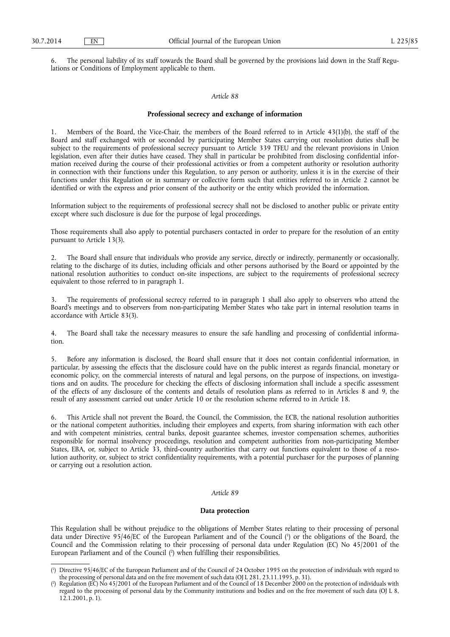6. The personal liability of its staff towards the Board shall be governed by the provisions laid down in the Staff Regulations or Conditions of Employment applicable to them.

#### *Article 88*

#### **Professional secrecy and exchange of information**

1. Members of the Board, the Vice-Chair, the members of the Board referred to in Article 43(1)(b), the staff of the Board and staff exchanged with or seconded by participating Member States carrying out resolution duties shall be subject to the requirements of professional secrecy pursuant to Article 339 TFEU and the relevant provisions in Union legislation, even after their duties have ceased. They shall in particular be prohibited from disclosing confidential information received during the course of their professional activities or from a competent authority or resolution authority in connection with their functions under this Regulation, to any person or authority, unless it is in the exercise of their functions under this Regulation or in summary or collective form such that entities referred to in Article 2 cannot be identified or with the express and prior consent of the authority or the entity which provided the information.

Information subject to the requirements of professional secrecy shall not be disclosed to another public or private entity except where such disclosure is due for the purpose of legal proceedings.

Those requirements shall also apply to potential purchasers contacted in order to prepare for the resolution of an entity pursuant to Article 13(3).

The Board shall ensure that individuals who provide any service, directly or indirectly, permanently or occasionally, relating to the discharge of its duties, including officials and other persons authorised by the Board or appointed by the national resolution authorities to conduct on-site inspections, are subject to the requirements of professional secrecy equivalent to those referred to in paragraph 1.

3. The requirements of professional secrecy referred to in paragraph 1 shall also apply to observers who attend the Board's meetings and to observers from non-participating Member States who take part in internal resolution teams in accordance with Article 83(3).

4. The Board shall take the necessary measures to ensure the safe handling and processing of confidential information.

5. Before any information is disclosed, the Board shall ensure that it does not contain confidential information, in particular, by assessing the effects that the disclosure could have on the public interest as regards financial, monetary or economic policy, on the commercial interests of natural and legal persons, on the purpose of inspections, on investigations and on audits. The procedure for checking the effects of disclosing information shall include a specific assessment of the effects of any disclosure of the contents and details of resolution plans as referred to in Articles 8 and 9, the result of any assessment carried out under Article 10 or the resolution scheme referred to in Article 18.

6. This Article shall not prevent the Board, the Council, the Commission, the ECB, the national resolution authorities or the national competent authorities, including their employees and experts, from sharing information with each other and with competent ministries, central banks, deposit guarantee schemes, investor compensation schemes, authorities responsible for normal insolvency proceedings, resolution and competent authorities from non-participating Member States, EBA, or, subject to Article 33, third-country authorities that carry out functions equivalent to those of a resolution authority, or, subject to strict confidentiality requirements, with a potential purchaser for the purposes of planning or carrying out a resolution action.

# *Article 89*

## **Data protection**

This Regulation shall be without prejudice to the obligations of Member States relating to their processing of personal data under Directive 95/46/EC of the European Parliament and of the Council ( 1 ) or the obligations of the Board, the Council and the Commission relating to their processing of personal data under Regulation (EC) No 45/2001 of the European Parliament and of the Council ( 2 ) when fulfilling their responsibilities.

<sup>(</sup> 1 ) Directive 95/46/EC of the European Parliament and of the Council of 24 October 1995 on the protection of individuals with regard to the processing of personal data and on the free movement of such data (OJ L 281, 23.11.1995, p. 31).

<sup>(</sup> 2 ) Regulation (EC) No 45/2001 of the European Parliament and of the Council of 18 December 2000 on the protection of individuals with regard to the processing of personal data by the Community institutions and bodies and on the free movement of such data (OJ L 8, 12.1.2001, p. 1).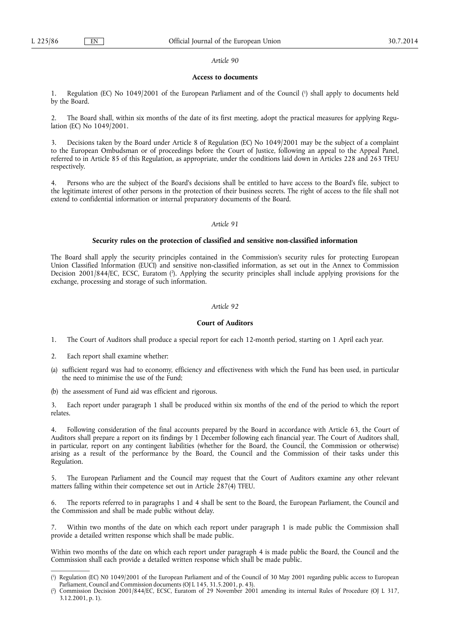### **Access to documents**

1. Regulation (EC) No 1049/2001 of the European Parliament and of the Council ( 1 ) shall apply to documents held by the Board.

2. The Board shall, within six months of the date of its first meeting, adopt the practical measures for applying Regulation (EC) No 1049/2001.

3. Decisions taken by the Board under Article 8 of Regulation (EC) No 1049/2001 may be the subject of a complaint to the European Ombudsman or of proceedings before the Court of Justice, following an appeal to the Appeal Panel, referred to in Article 85 of this Regulation, as appropriate, under the conditions laid down in Articles 228 and 263 TFEU respectively.

4. Persons who are the subject of the Board's decisions shall be entitled to have access to the Board's file, subject to the legitimate interest of other persons in the protection of their business secrets. The right of access to the file shall not extend to confidential information or internal preparatory documents of the Board.

### *Article 91*

### **Security rules on the protection of classified and sensitive non-classified information**

The Board shall apply the security principles contained in the Commission's security rules for protecting European Union Classified Information (EUCI) and sensitive non-classified information, as set out in the Annex to Commission Decision 2001/844/EC, ECSC, Euratom (?). Applying the security principles shall include applying provisions for the exchange, processing and storage of such information.

# *Article 92*

#### **Court of Auditors**

- 1. The Court of Auditors shall produce a special report for each 12-month period, starting on 1 April each year.
- 2. Each report shall examine whether:
- (a) sufficient regard was had to economy, efficiency and effectiveness with which the Fund has been used, in particular the need to minimise the use of the Fund;
- (b) the assessment of Fund aid was efficient and rigorous.

3. Each report under paragraph 1 shall be produced within six months of the end of the period to which the report relates.

4. Following consideration of the final accounts prepared by the Board in accordance with Article 63, the Court of Auditors shall prepare a report on its findings by 1 December following each financial year. The Court of Auditors shall, in particular, report on any contingent liabilities (whether for the Board, the Council, the Commission or otherwise) arising as a result of the performance by the Board, the Council and the Commission of their tasks under this Regulation.

The European Parliament and the Council may request that the Court of Auditors examine any other relevant matters falling within their competence set out in Article 287(4) TFEU.

6. The reports referred to in paragraphs 1 and 4 shall be sent to the Board, the European Parliament, the Council and the Commission and shall be made public without delay.

7. Within two months of the date on which each report under paragraph 1 is made public the Commission shall provide a detailed written response which shall be made public.

Within two months of the date on which each report under paragraph 4 is made public the Board, the Council and the Commission shall each provide a detailed written response which shall be made public.

<sup>(</sup> 1 ) Regulation (EC) N0 1049/2001 of the European Parliament and of the Council of 30 May 2001 regarding public access to European Parliament, Council and Commission documents (OJ L 145, 31.5.2001, p. 43).

<sup>(</sup> 2 ) Commission Decision 2001/844/EC, ECSC, Euratom of 29 November 2001 amending its internal Rules of Procedure (OJ L 317, 3.12.2001, p. 1).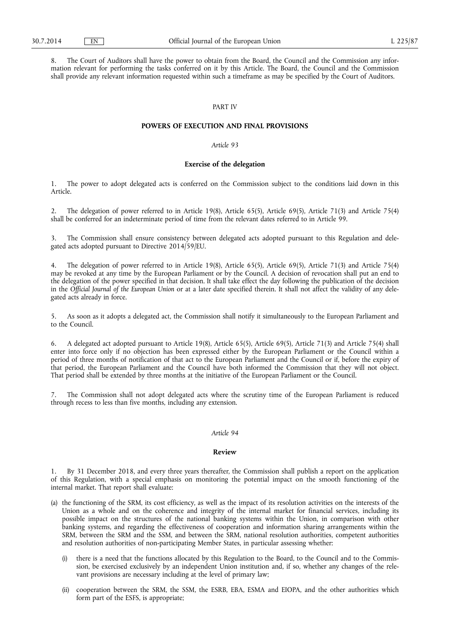8. The Court of Auditors shall have the power to obtain from the Board, the Council and the Commission any information relevant for performing the tasks conferred on it by this Article. The Board, the Council and the Commission shall provide any relevant information requested within such a timeframe as may be specified by the Court of Auditors.

# PART IV

#### **POWERS OF EXECUTION AND FINAL PROVISIONS**

# *Article 93*

#### **Exercise of the delegation**

1. The power to adopt delegated acts is conferred on the Commission subject to the conditions laid down in this Article.

2. The delegation of power referred to in Article 19(8), Article 65(5), Article 69(5), Article 71(3) and Article 75(4) shall be conferred for an indeterminate period of time from the relevant dates referred to in Article 99.

3. The Commission shall ensure consistency between delegated acts adopted pursuant to this Regulation and delegated acts adopted pursuant to Directive 2014/59/EU.

The delegation of power referred to in Article 19(8), Article 65(5), Article 69(5), Article 71(3) and Article 75(4) may be revoked at any time by the European Parliament or by the Council. A decision of revocation shall put an end to the delegation of the power specified in that decision. It shall take effect the day following the publication of the decision in the *Official Journal of the European Union* or at a later date specified therein. It shall not affect the validity of any delegated acts already in force.

5. As soon as it adopts a delegated act, the Commission shall notify it simultaneously to the European Parliament and to the Council.

6. A delegated act adopted pursuant to Article 19(8), Article 65(5), Article 69(5), Article 71(3) and Article 75(4) shall enter into force only if no objection has been expressed either by the European Parliament or the Council within a period of three months of notification of that act to the European Parliament and the Council or if, before the expiry of that period, the European Parliament and the Council have both informed the Commission that they will not object. That period shall be extended by three months at the initiative of the European Parliament or the Council.

The Commission shall not adopt delegated acts where the scrutiny time of the European Parliament is reduced through recess to less than five months, including any extension.

### *Article 94*

### **Review**

1. By 31 December 2018, and every three years thereafter, the Commission shall publish a report on the application of this Regulation, with a special emphasis on monitoring the potential impact on the smooth functioning of the internal market. That report shall evaluate:

- (a) the functioning of the SRM, its cost efficiency, as well as the impact of its resolution activities on the interests of the Union as a whole and on the coherence and integrity of the internal market for financial services, including its possible impact on the structures of the national banking systems within the Union, in comparison with other banking systems, and regarding the effectiveness of cooperation and information sharing arrangements within the SRM, between the SRM and the SSM, and between the SRM, national resolution authorities, competent authorities and resolution authorities of non-participating Member States, in particular assessing whether:
	- (i) there is a need that the functions allocated by this Regulation to the Board, to the Council and to the Commission, be exercised exclusively by an independent Union institution and, if so, whether any changes of the relevant provisions are necessary including at the level of primary law;
	- (ii) cooperation between the SRM, the SSM, the ESRB, EBA, ESMA and EIOPA, and the other authorities which form part of the ESFS, is appropriate;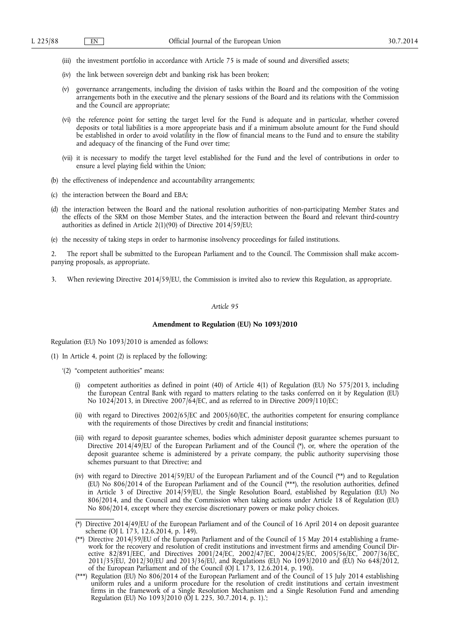- (iii) the investment portfolio in accordance with Article 75 is made of sound and diversified assets;
- (iv) the link between sovereign debt and banking risk has been broken;
- (v) governance arrangements, including the division of tasks within the Board and the composition of the voting arrangements both in the executive and the plenary sessions of the Board and its relations with the Commission and the Council are appropriate;
- (vi) the reference point for setting the target level for the Fund is adequate and in particular, whether covered deposits or total liabilities is a more appropriate basis and if a minimum absolute amount for the Fund should be established in order to avoid volatility in the flow of financial means to the Fund and to ensure the stability and adequacy of the financing of the Fund over time;
- (vii) it is necessary to modify the target level established for the Fund and the level of contributions in order to ensure a level playing field within the Union;
- (b) the effectiveness of independence and accountability arrangements;
- (c) the interaction between the Board and EBA;
- (d) the interaction between the Board and the national resolution authorities of non-participating Member States and the effects of the SRM on those Member States, and the interaction between the Board and relevant third-country authorities as defined in Article 2(1)(90) of Directive 2014/59/EU;
- (e) the necessity of taking steps in order to harmonise insolvency proceedings for failed institutions.

2. The report shall be submitted to the European Parliament and to the Council. The Commission shall make accompanying proposals, as appropriate.

3. When reviewing Directive 2014/59/EU, the Commission is invited also to review this Regulation, as appropriate.

### *Article 95*

#### **Amendment to Regulation (EU) No 1093/2010**

Regulation (EU) No 1093/2010 is amended as follows:

- (1) In Article 4, point (2) is replaced by the following:
	- '(2) "competent authorities" means:
		- (i) competent authorities as defined in point (40) of Article 4(1) of Regulation (EU) No 575/2013, including the European Central Bank with regard to matters relating to the tasks conferred on it by Regulation (EU) No 1024/2013, in Directive 2007/64/EC, and as referred to in Directive 2009/110/EC;
		- (ii) with regard to Directives 2002/65/EC and 2005/60/EC, the authorities competent for ensuring compliance with the requirements of those Directives by credit and financial institutions;
		- (iii) with regard to deposit guarantee schemes, bodies which administer deposit guarantee schemes pursuant to Directive 2014/49/EU of the European Parliament and of the Council (\*), or, where the operation of the deposit guarantee scheme is administered by a private company, the public authority supervising those schemes pursuant to that Directive; and
		- (iv) with regard to Directive 2014/59/EU of the European Parliament and of the Council (\*\*) and to Regulation (EU) No 806/2014 of the European Parliament and of the Council (\*\*\*), the resolution authorities, defined in Article 3 of Directive 2014/59/EU, the Single Resolution Board, established by Regulation (EU) No 806/2014, and the Council and the Commission when taking actions under Article 18 of Regulation (EU) No 806/2014, except where they exercise discretionary powers or make policy choices.
		- (\*) Directive 2014/49/EU of the European Parliament and of the Council of 16 April 2014 on deposit guarantee scheme (OJ L 173, 12.6.2014, p. 149).<br>(\*\*) Directive 2014/59/EU of the European Parliament and of the Council of 15 May 2014 establishing a frame-
		- work for the recovery and resolution of credit institutions and investment firms and amending Council Directive 82/891/EEC, and Directives 2001/24/EC, 2002/47/EC, 2004/25/EC, 2005/56/EC, 2007/36/EC, 2011/35/EU, 2012/30/EU and 2013/36/EU, and Regulations (EU) No 1093/2010 and (EU) No 648/2012, of the European Parliament and o
		- uniform rules and a uniform procedure for the resolution of credit institutions and certain investment firms in the framework of a Single Resolution Mechanism and a Single Resolution Fund and amending Regulation (EU) No 1093/2010 (OJ L 225, 30.7.2014, p. 1).';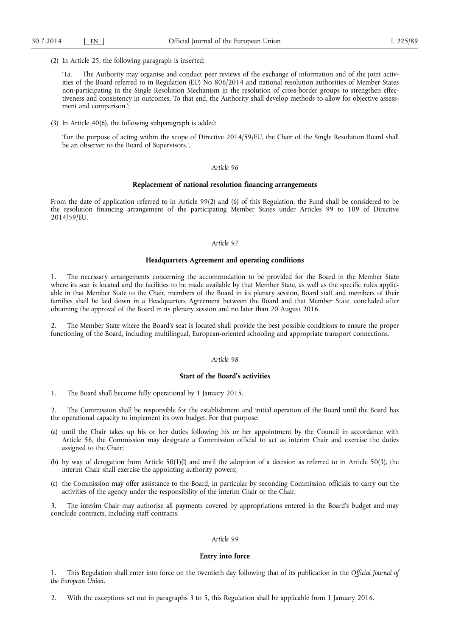(2) In Article 25, the following paragraph is inserted:

'1a. The Authority may organise and conduct peer reviews of the exchange of information and of the joint activities of the Board referred to in Regulation (EU) No 806/2014 and national resolution authorities of Member States non-participating in the Single Resolution Mechanism in the resolution of cross-border groups to strengthen effectiveness and consistency in outcomes. To that end, the Authority shall develop methods to allow for objective assessment and comparison.';

(3) In Article 40(6), the following subparagraph is added:

'For the purpose of acting within the scope of Directive 2014/59/EU, the Chair of the Single Resolution Board shall be an observer to the Board of Supervisors.'.

### *Article 96*

#### **Replacement of national resolution financing arrangements**

From the date of application referred to in Article 99(2) and (6) of this Regulation, the Fund shall be considered to be the resolution financing arrangement of the participating Member States under Articles 99 to 109 of Directive 2014/59/EU.

## *Article 97*

## **Headquarters Agreement and operating conditions**

1. The necessary arrangements concerning the accommodation to be provided for the Board in the Member State where its seat is located and the facilities to be made available by that Member State, as well as the specific rules applicable in that Member State to the Chair, members of the Board in its plenary session, Board staff and members of their families shall be laid down in a Headquarters Agreement between the Board and that Member State, concluded after obtaining the approval of the Board in its plenary session and no later than 20 August 2016.

2. The Member State where the Board's seat is located shall provide the best possible conditions to ensure the proper functioning of the Board, including multilingual, European-oriented schooling and appropriate transport connections.

## *Article 98*

# **Start of the Board's activities**

1. The Board shall become fully operational by 1 January 2015.

2. The Commission shall be responsible for the establishment and initial operation of the Board until the Board has the operational capacity to implement its own budget. For that purpose:

- (a) until the Chair takes up his or her duties following his or her appointment by the Council in accordance with Article 56, the Commission may designate a Commission official to act as interim Chair and exercise the duties assigned to the Chair;
- (b) by way of derogation from Article 50(1)(l) and until the adoption of a decision as referred to in Article 50(3), the interim Chair shall exercise the appointing authority powers;
- (c) the Commission may offer assistance to the Board, in particular by seconding Commission officials to carry out the activities of the agency under the responsibility of the interim Chair or the Chair.

3. The interim Chair may authorise all payments covered by appropriations entered in the Board's budget and may conclude contracts, including staff contracts.

### *Article 99*

#### **Entry into force**

1. This Regulation shall enter into force on the twentieth day following that of its publication in the *Official Journal of the European Union*.

2. With the exceptions set out in paragraphs 3 to 5, this Regulation shall be applicable from 1 January 2016.